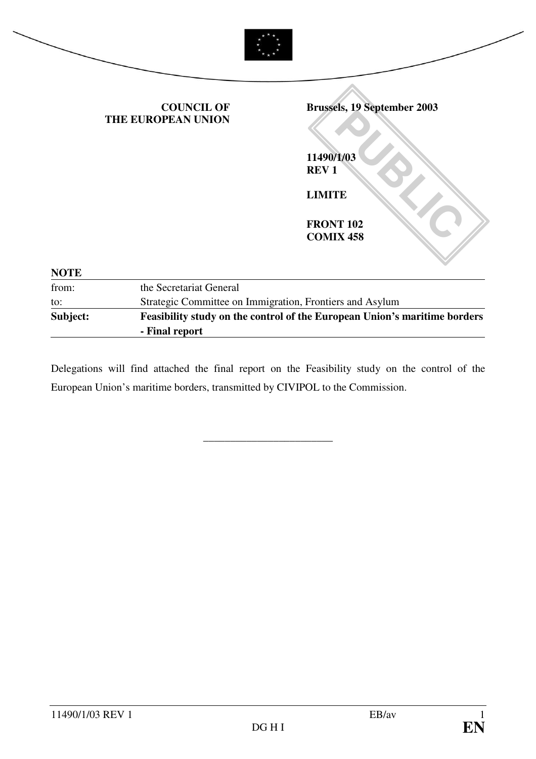|             | <b>COUNCIL OF</b><br>THE EUROPEAN UNION                                   | <b>Brussels, 19 September 2003</b>   |
|-------------|---------------------------------------------------------------------------|--------------------------------------|
|             |                                                                           | 11490/1/03<br><b>REV1</b>            |
|             |                                                                           | <b>LIMITE</b>                        |
|             |                                                                           | <b>FRONT 102</b><br><b>COMIX 458</b> |
| <b>NOTE</b> |                                                                           |                                      |
| from:       | the Secretariat General                                                   |                                      |
| to:         | Strategic Committee on Immigration, Frontiers and Asylum                  |                                      |
| Subject:    | Feasibility study on the control of the European Union's maritime borders |                                      |

Delegations will find attached the final report on the Feasibility study on the control of the European Union's maritime borders, transmitted by CIVIPOL to the Commission.

\_\_\_\_\_\_\_\_\_\_\_\_\_\_\_\_\_\_\_\_\_\_\_\_

**- Final report**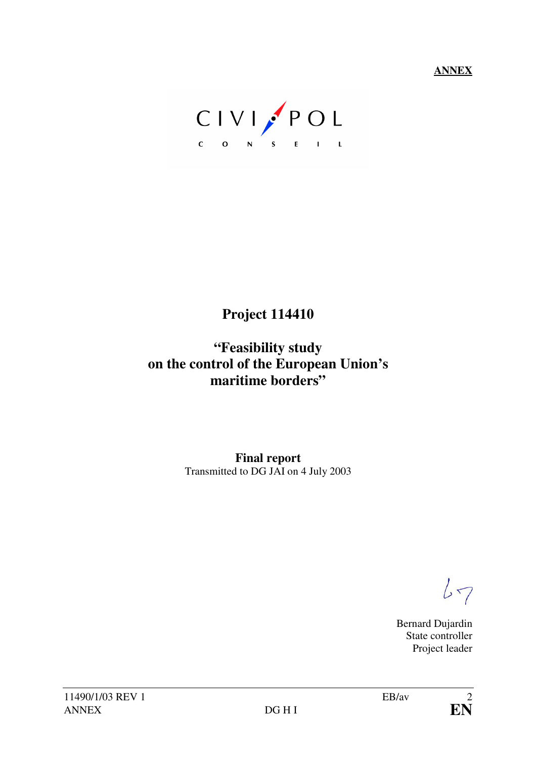**ANNEX**

CIVI POL

# **Project 114410**

# **"Feasibility study on the control of the European Union's maritime borders"**

**Final report**  Transmitted to DG JAI on 4 July 2003

 $67$ 

Bernard Dujardin State controller Project leader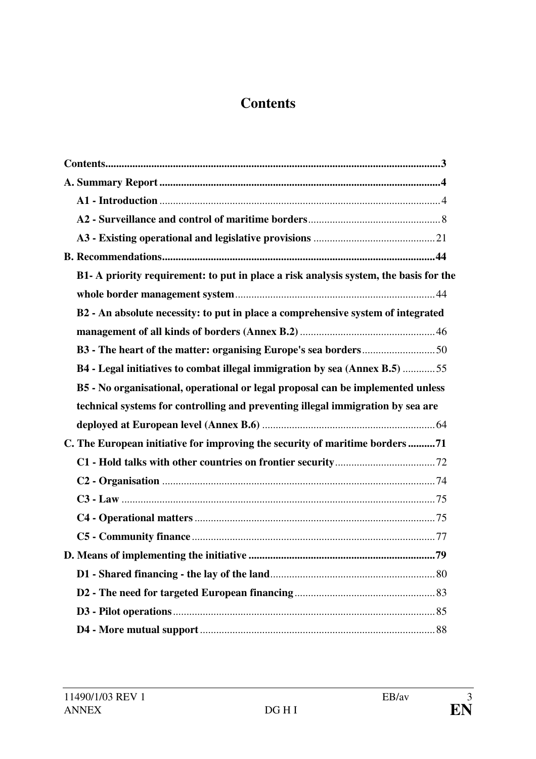# **Contents**

| B1- A priority requirement: to put in place a risk analysis system, the basis for the |
|---------------------------------------------------------------------------------------|
|                                                                                       |
| B2 - An absolute necessity: to put in place a comprehensive system of integrated      |
|                                                                                       |
|                                                                                       |
| B4 - Legal initiatives to combat illegal immigration by sea (Annex B.5) 55            |
| B5 - No organisational, operational or legal proposal can be implemented unless       |
| technical systems for controlling and preventing illegal immigration by sea are       |
|                                                                                       |
| C. The European initiative for improving the security of maritime borders71           |
|                                                                                       |
|                                                                                       |
|                                                                                       |
|                                                                                       |
|                                                                                       |
|                                                                                       |
|                                                                                       |
|                                                                                       |
|                                                                                       |
|                                                                                       |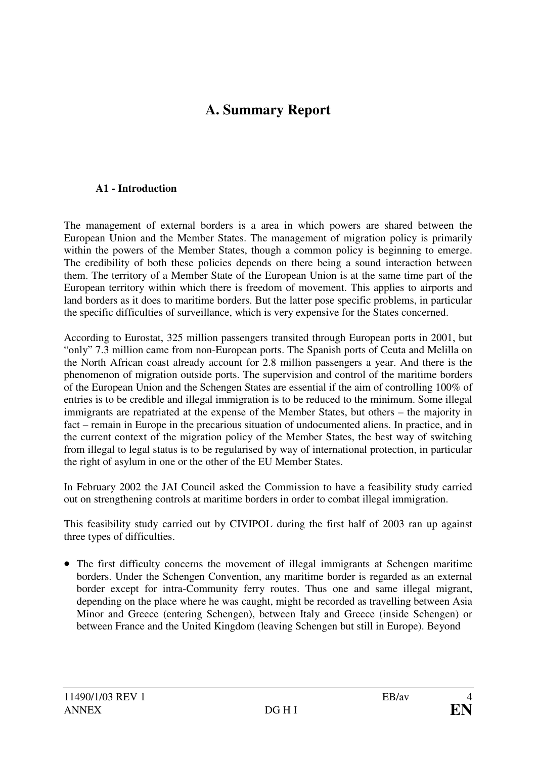# **A. Summary Report**

#### **A1 - Introduction**

The management of external borders is a area in which powers are shared between the European Union and the Member States. The management of migration policy is primarily within the powers of the Member States, though a common policy is beginning to emerge. The credibility of both these policies depends on there being a sound interaction between them. The territory of a Member State of the European Union is at the same time part of the European territory within which there is freedom of movement. This applies to airports and land borders as it does to maritime borders. But the latter pose specific problems, in particular the specific difficulties of surveillance, which is very expensive for the States concerned.

According to Eurostat, 325 million passengers transited through European ports in 2001, but "only" 7.3 million came from non-European ports. The Spanish ports of Ceuta and Melilla on the North African coast already account for 2.8 million passengers a year. And there is the phenomenon of migration outside ports. The supervision and control of the maritime borders of the European Union and the Schengen States are essential if the aim of controlling 100% of entries is to be credible and illegal immigration is to be reduced to the minimum. Some illegal immigrants are repatriated at the expense of the Member States, but others – the majority in fact – remain in Europe in the precarious situation of undocumented aliens. In practice, and in the current context of the migration policy of the Member States, the best way of switching from illegal to legal status is to be regularised by way of international protection, in particular the right of asylum in one or the other of the EU Member States.

In February 2002 the JAI Council asked the Commission to have a feasibility study carried out on strengthening controls at maritime borders in order to combat illegal immigration.

This feasibility study carried out by CIVIPOL during the first half of 2003 ran up against three types of difficulties.

• The first difficulty concerns the movement of illegal immigrants at Schengen maritime borders. Under the Schengen Convention, any maritime border is regarded as an external border except for intra-Community ferry routes. Thus one and same illegal migrant, depending on the place where he was caught, might be recorded as travelling between Asia Minor and Greece (entering Schengen), between Italy and Greece (inside Schengen) or between France and the United Kingdom (leaving Schengen but still in Europe). Beyond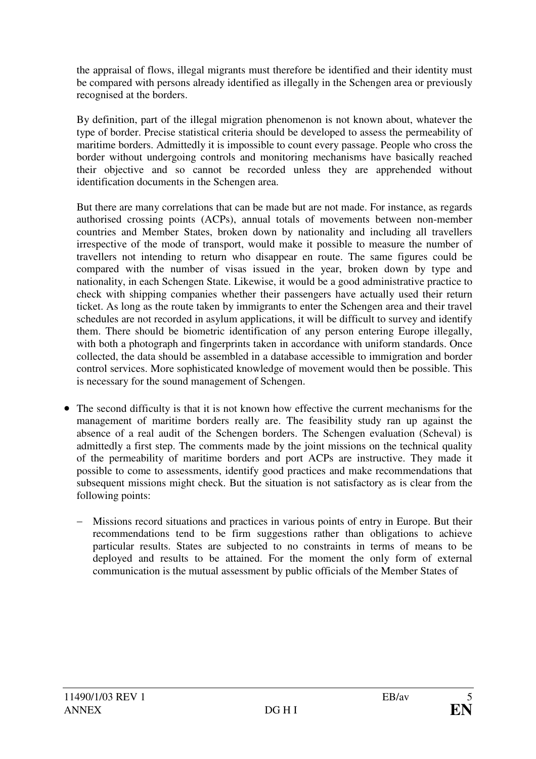the appraisal of flows, illegal migrants must therefore be identified and their identity must be compared with persons already identified as illegally in the Schengen area or previously recognised at the borders.

By definition, part of the illegal migration phenomenon is not known about, whatever the type of border. Precise statistical criteria should be developed to assess the permeability of maritime borders. Admittedly it is impossible to count every passage. People who cross the border without undergoing controls and monitoring mechanisms have basically reached their objective and so cannot be recorded unless they are apprehended without identification documents in the Schengen area.

But there are many correlations that can be made but are not made. For instance, as regards authorised crossing points (ACPs), annual totals of movements between non-member countries and Member States, broken down by nationality and including all travellers irrespective of the mode of transport, would make it possible to measure the number of travellers not intending to return who disappear en route. The same figures could be compared with the number of visas issued in the year, broken down by type and nationality, in each Schengen State. Likewise, it would be a good administrative practice to check with shipping companies whether their passengers have actually used their return ticket. As long as the route taken by immigrants to enter the Schengen area and their travel schedules are not recorded in asylum applications, it will be difficult to survey and identify them. There should be biometric identification of any person entering Europe illegally, with both a photograph and fingerprints taken in accordance with uniform standards. Once collected, the data should be assembled in a database accessible to immigration and border control services. More sophisticated knowledge of movement would then be possible. This is necessary for the sound management of Schengen.

- The second difficulty is that it is not known how effective the current mechanisms for the management of maritime borders really are. The feasibility study ran up against the absence of a real audit of the Schengen borders. The Schengen evaluation (Scheval) is admittedly a first step. The comments made by the joint missions on the technical quality of the permeability of maritime borders and port ACPs are instructive. They made it possible to come to assessments, identify good practices and make recommendations that subsequent missions might check. But the situation is not satisfactory as is clear from the following points:
	- Missions record situations and practices in various points of entry in Europe. But their recommendations tend to be firm suggestions rather than obligations to achieve particular results. States are subjected to no constraints in terms of means to be deployed and results to be attained. For the moment the only form of external communication is the mutual assessment by public officials of the Member States of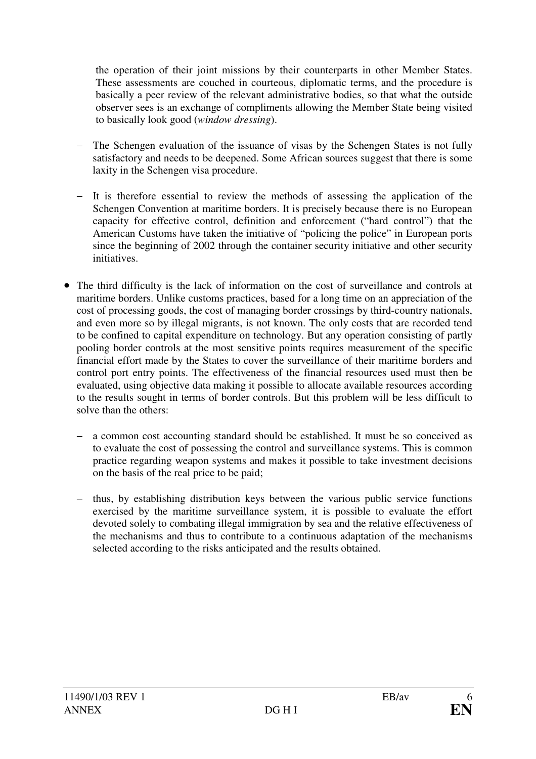the operation of their joint missions by their counterparts in other Member States. These assessments are couched in courteous, diplomatic terms, and the procedure is basically a peer review of the relevant administrative bodies, so that what the outside observer sees is an exchange of compliments allowing the Member State being visited to basically look good (*window dressing*).

- The Schengen evaluation of the issuance of visas by the Schengen States is not fully satisfactory and needs to be deepened. Some African sources suggest that there is some laxity in the Schengen visa procedure.
- It is therefore essential to review the methods of assessing the application of the Schengen Convention at maritime borders. It is precisely because there is no European capacity for effective control, definition and enforcement ("hard control") that the American Customs have taken the initiative of "policing the police" in European ports since the beginning of 2002 through the container security initiative and other security initiatives.
- · The third difficulty is the lack of information on the cost of surveillance and controls at maritime borders. Unlike customs practices, based for a long time on an appreciation of the cost of processing goods, the cost of managing border crossings by third-country nationals, and even more so by illegal migrants, is not known. The only costs that are recorded tend to be confined to capital expenditure on technology. But any operation consisting of partly pooling border controls at the most sensitive points requires measurement of the specific financial effort made by the States to cover the surveillance of their maritime borders and control port entry points. The effectiveness of the financial resources used must then be evaluated, using objective data making it possible to allocate available resources according to the results sought in terms of border controls. But this problem will be less difficult to solve than the others:
	- a common cost accounting standard should be established. It must be so conceived as to evaluate the cost of possessing the control and surveillance systems. This is common practice regarding weapon systems and makes it possible to take investment decisions on the basis of the real price to be paid;
	- thus, by establishing distribution keys between the various public service functions exercised by the maritime surveillance system, it is possible to evaluate the effort devoted solely to combating illegal immigration by sea and the relative effectiveness of the mechanisms and thus to contribute to a continuous adaptation of the mechanisms selected according to the risks anticipated and the results obtained.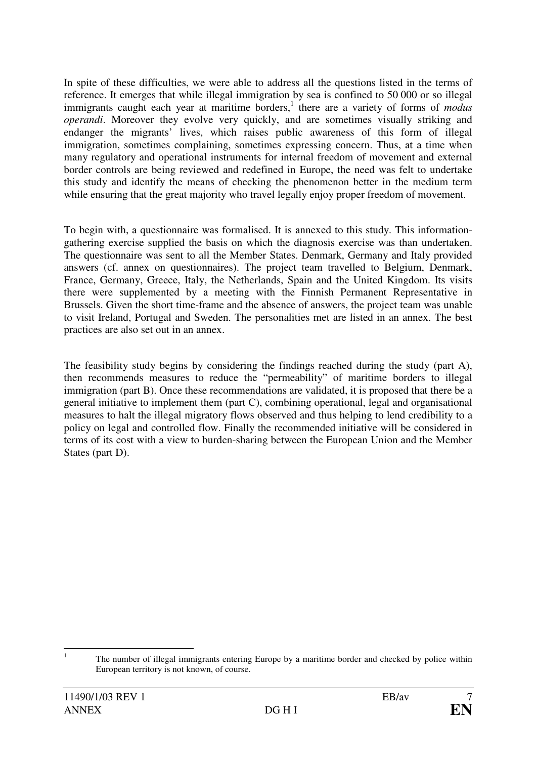In spite of these difficulties, we were able to address all the questions listed in the terms of reference. It emerges that while illegal immigration by sea is confined to 50 000 or so illegal immigrants caught each year at maritime borders,<sup>1</sup> there are a variety of forms of *modus operandi*. Moreover they evolve very quickly, and are sometimes visually striking and endanger the migrants' lives, which raises public awareness of this form of illegal immigration, sometimes complaining, sometimes expressing concern. Thus, at a time when many regulatory and operational instruments for internal freedom of movement and external border controls are being reviewed and redefined in Europe, the need was felt to undertake this study and identify the means of checking the phenomenon better in the medium term while ensuring that the great majority who travel legally enjoy proper freedom of movement.

To begin with, a questionnaire was formalised. It is annexed to this study. This informationgathering exercise supplied the basis on which the diagnosis exercise was than undertaken. The questionnaire was sent to all the Member States. Denmark, Germany and Italy provided answers (cf. annex on questionnaires). The project team travelled to Belgium, Denmark, France, Germany, Greece, Italy, the Netherlands, Spain and the United Kingdom. Its visits there were supplemented by a meeting with the Finnish Permanent Representative in Brussels. Given the short time-frame and the absence of answers, the project team was unable to visit Ireland, Portugal and Sweden. The personalities met are listed in an annex. The best practices are also set out in an annex.

The feasibility study begins by considering the findings reached during the study (part A), then recommends measures to reduce the "permeability" of maritime borders to illegal immigration (part B). Once these recommendations are validated, it is proposed that there be a general initiative to implement them (part C), combining operational, legal and organisational measures to halt the illegal migratory flows observed and thus helping to lend credibility to a policy on legal and controlled flow. Finally the recommended initiative will be considered in terms of its cost with a view to burden-sharing between the European Union and the Member States (part D).

 $\frac{1}{1}$  The number of illegal immigrants entering Europe by a maritime border and checked by police within European territory is not known, of course.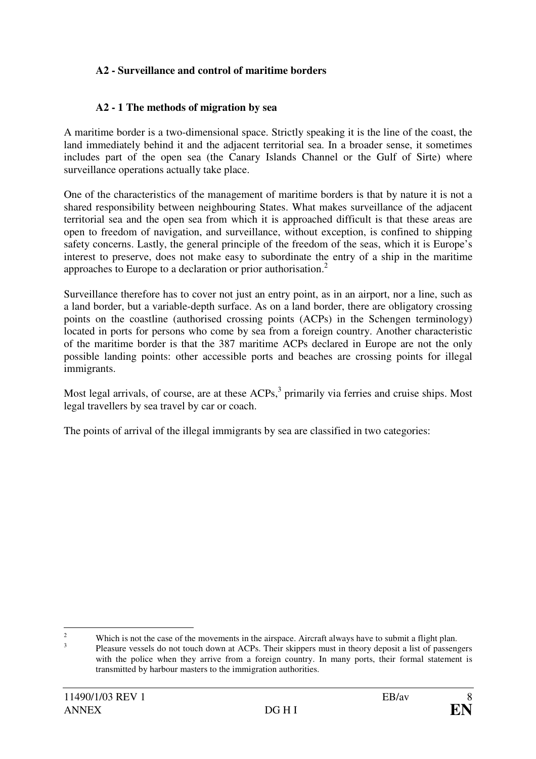## **A2 - Surveillance and control of maritime borders**

#### **A2 - 1 The methods of migration by sea**

A maritime border is a two-dimensional space. Strictly speaking it is the line of the coast, the land immediately behind it and the adjacent territorial sea. In a broader sense, it sometimes includes part of the open sea (the Canary Islands Channel or the Gulf of Sirte) where surveillance operations actually take place.

One of the characteristics of the management of maritime borders is that by nature it is not a shared responsibility between neighbouring States. What makes surveillance of the adjacent territorial sea and the open sea from which it is approached difficult is that these areas are open to freedom of navigation, and surveillance, without exception, is confined to shipping safety concerns. Lastly, the general principle of the freedom of the seas, which it is Europe's interest to preserve, does not make easy to subordinate the entry of a ship in the maritime approaches to Europe to a declaration or prior authorisation.<sup>2</sup>

Surveillance therefore has to cover not just an entry point, as in an airport, nor a line, such as a land border, but a variable-depth surface. As on a land border, there are obligatory crossing points on the coastline (authorised crossing points (ACPs) in the Schengen terminology) located in ports for persons who come by sea from a foreign country. Another characteristic of the maritime border is that the 387 maritime ACPs declared in Europe are not the only possible landing points: other accessible ports and beaches are crossing points for illegal immigrants.

Most legal arrivals, of course, are at these  $ACPs$ ,  $\beta$  primarily via ferries and cruise ships. Most legal travellers by sea travel by car or coach.

The points of arrival of the illegal immigrants by sea are classified in two categories:

 $\frac{1}{2}$ 3

Which is not the case of the movements in the airspace. Aircraft always have to submit a flight plan. Pleasure vessels do not touch down at ACPs. Their skippers must in theory deposit a list of passengers with the police when they arrive from a foreign country. In many ports, their formal statement is transmitted by harbour masters to the immigration authorities.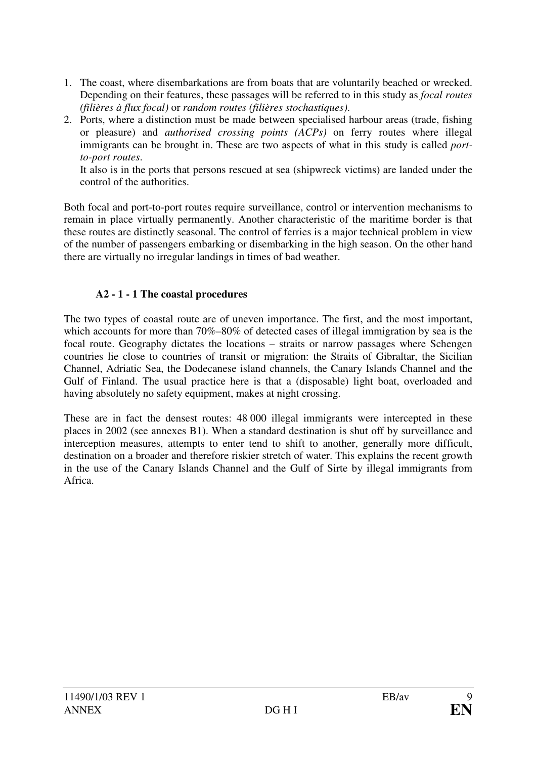- 1. The coast, where disembarkations are from boats that are voluntarily beached or wrecked. Depending on their features, these passages will be referred to in this study as *focal routes (filières à flux focal)* or *random routes (filières stochastiques)*.
- 2. Ports, where a distinction must be made between specialised harbour areas (trade, fishing or pleasure) and *authorised crossing points (ACPs)* on ferry routes where illegal immigrants can be brought in. These are two aspects of what in this study is called *portto-port routes*.

It also is in the ports that persons rescued at sea (shipwreck victims) are landed under the control of the authorities.

Both focal and port-to-port routes require surveillance, control or intervention mechanisms to remain in place virtually permanently. Another characteristic of the maritime border is that these routes are distinctly seasonal. The control of ferries is a major technical problem in view of the number of passengers embarking or disembarking in the high season. On the other hand there are virtually no irregular landings in times of bad weather.

# **A2 - 1 - 1 The coastal procedures**

The two types of coastal route are of uneven importance. The first, and the most important, which accounts for more than 70%–80% of detected cases of illegal immigration by sea is the focal route. Geography dictates the locations – straits or narrow passages where Schengen countries lie close to countries of transit or migration: the Straits of Gibraltar, the Sicilian Channel, Adriatic Sea, the Dodecanese island channels, the Canary Islands Channel and the Gulf of Finland. The usual practice here is that a (disposable) light boat, overloaded and having absolutely no safety equipment, makes at night crossing.

These are in fact the densest routes: 48 000 illegal immigrants were intercepted in these places in 2002 (see annexes B1). When a standard destination is shut off by surveillance and interception measures, attempts to enter tend to shift to another, generally more difficult, destination on a broader and therefore riskier stretch of water. This explains the recent growth in the use of the Canary Islands Channel and the Gulf of Sirte by illegal immigrants from Africa.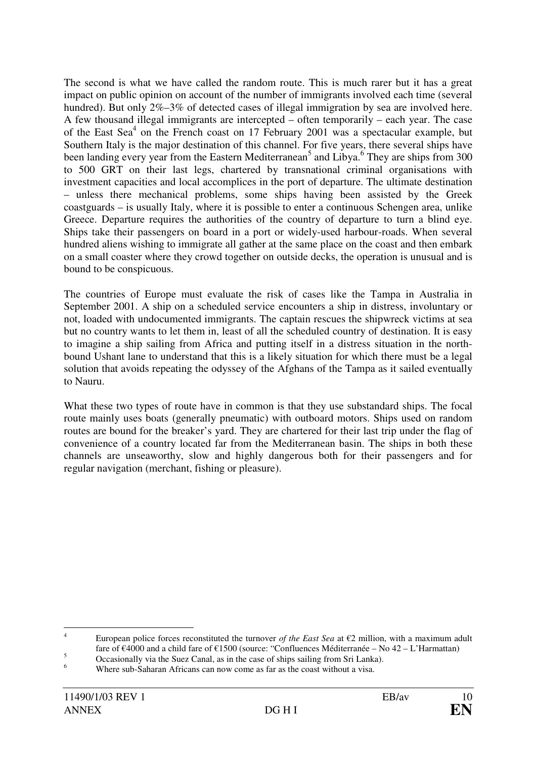The second is what we have called the random route. This is much rarer but it has a great impact on public opinion on account of the number of immigrants involved each time (several hundred). But only 2%–3% of detected cases of illegal immigration by sea are involved here. A few thousand illegal immigrants are intercepted – often temporarily – each year. The case of the East Sea<sup>4</sup> on the French coast on 17 February 2001 was a spectacular example, but Southern Italy is the major destination of this channel. For five years, there several ships have been landing every year from the Eastern Mediterranean<sup>5</sup> and Libya.<sup>6</sup> They are ships from 300 to 500 GRT on their last legs, chartered by transnational criminal organisations with investment capacities and local accomplices in the port of departure. The ultimate destination – unless there mechanical problems, some ships having been assisted by the Greek coastguards – is usually Italy, where it is possible to enter a continuous Schengen area, unlike Greece. Departure requires the authorities of the country of departure to turn a blind eye. Ships take their passengers on board in a port or widely-used harbour-roads. When several hundred aliens wishing to immigrate all gather at the same place on the coast and then embark on a small coaster where they crowd together on outside decks, the operation is unusual and is bound to be conspicuous.

The countries of Europe must evaluate the risk of cases like the Tampa in Australia in September 2001. A ship on a scheduled service encounters a ship in distress, involuntary or not, loaded with undocumented immigrants. The captain rescues the shipwreck victims at sea but no country wants to let them in, least of all the scheduled country of destination. It is easy to imagine a ship sailing from Africa and putting itself in a distress situation in the northbound Ushant lane to understand that this is a likely situation for which there must be a legal solution that avoids repeating the odyssey of the Afghans of the Tampa as it sailed eventually to Nauru.

What these two types of route have in common is that they use substandard ships. The focal route mainly uses boats (generally pneumatic) with outboard motors. Ships used on random routes are bound for the breaker's yard. They are chartered for their last trip under the flag of convenience of a country located far from the Mediterranean basin. The ships in both these channels are unseaworthy, slow and highly dangerous both for their passengers and for regular navigation (merchant, fishing or pleasure).

 $\frac{1}{4}$ European police forces reconstituted the turnover *of the East Sea* at  $\epsilon$ 2 million, with a maximum adult fare of €4000 and a child fare of €1500 (source: "Confluences Méditerranée – No 42 – L'Harmattan)

<sup>5</sup> Occasionally via the Suez Canal, as in the case of ships sailing from Sri Lanka).

<sup>6</sup> Where sub-Saharan Africans can now come as far as the coast without a visa.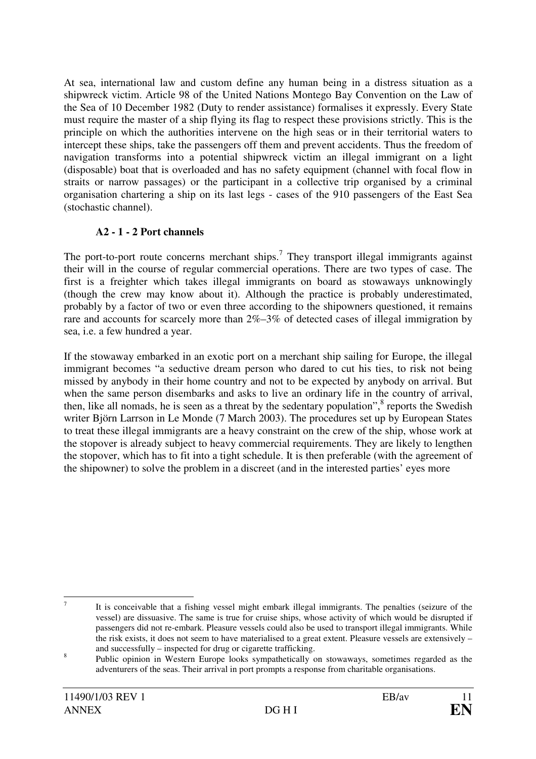At sea, international law and custom define any human being in a distress situation as a shipwreck victim. Article 98 of the United Nations Montego Bay Convention on the Law of the Sea of 10 December 1982 (Duty to render assistance) formalises it expressly. Every State must require the master of a ship flying its flag to respect these provisions strictly. This is the principle on which the authorities intervene on the high seas or in their territorial waters to intercept these ships, take the passengers off them and prevent accidents. Thus the freedom of navigation transforms into a potential shipwreck victim an illegal immigrant on a light (disposable) boat that is overloaded and has no safety equipment (channel with focal flow in straits or narrow passages) or the participant in a collective trip organised by a criminal organisation chartering a ship on its last legs - cases of the 910 passengers of the East Sea (stochastic channel).

## **A2 - 1 - 2 Port channels**

The port-to-port route concerns merchant ships.<sup>7</sup> They transport illegal immigrants against their will in the course of regular commercial operations. There are two types of case. The first is a freighter which takes illegal immigrants on board as stowaways unknowingly (though the crew may know about it). Although the practice is probably underestimated, probably by a factor of two or even three according to the shipowners questioned, it remains rare and accounts for scarcely more than 2%–3% of detected cases of illegal immigration by sea, i.e. a few hundred a year.

If the stowaway embarked in an exotic port on a merchant ship sailing for Europe, the illegal immigrant becomes "a seductive dream person who dared to cut his ties, to risk not being missed by anybody in their home country and not to be expected by anybody on arrival. But when the same person disembarks and asks to live an ordinary life in the country of arrival, then, like all nomads, he is seen as a threat by the sedentary population", $\frac{8}{3}$  reports the Swedish writer Björn Larrson in Le Monde (7 March 2003). The procedures set up by European States to treat these illegal immigrants are a heavy constraint on the crew of the ship, whose work at the stopover is already subject to heavy commercial requirements. They are likely to lengthen the stopover, which has to fit into a tight schedule. It is then preferable (with the agreement of the shipowner) to solve the problem in a discreet (and in the interested parties' eyes more

 $\overline{a}$ 7 It is conceivable that a fishing vessel might embark illegal immigrants. The penalties (seizure of the vessel) are dissuasive. The same is true for cruise ships, whose activity of which would be disrupted if passengers did not re-embark. Pleasure vessels could also be used to transport illegal immigrants. While the risk exists, it does not seem to have materialised to a great extent. Pleasure vessels are extensively – and successfully – inspected for drug or cigarette trafficking.

<sup>8</sup> Public opinion in Western Europe looks sympathetically on stowaways, sometimes regarded as the adventurers of the seas. Their arrival in port prompts a response from charitable organisations.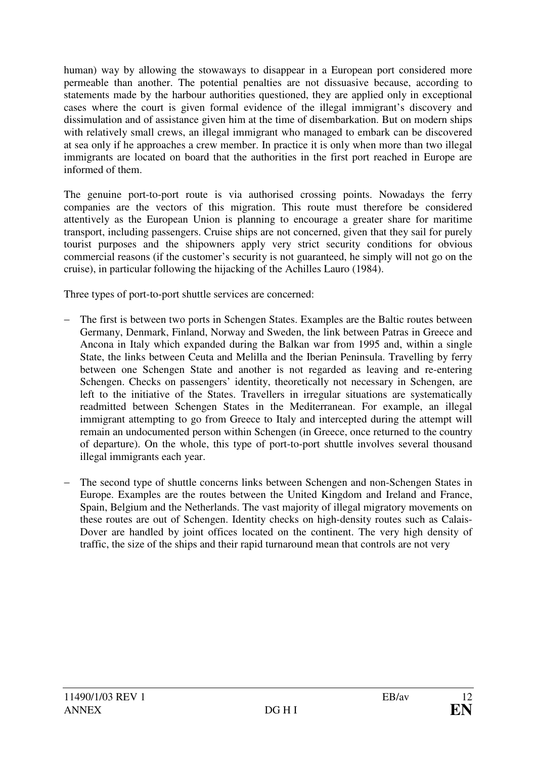human) way by allowing the stowaways to disappear in a European port considered more permeable than another. The potential penalties are not dissuasive because, according to statements made by the harbour authorities questioned, they are applied only in exceptional cases where the court is given formal evidence of the illegal immigrant's discovery and dissimulation and of assistance given him at the time of disembarkation. But on modern ships with relatively small crews, an illegal immigrant who managed to embark can be discovered at sea only if he approaches a crew member. In practice it is only when more than two illegal immigrants are located on board that the authorities in the first port reached in Europe are informed of them.

The genuine port-to-port route is via authorised crossing points. Nowadays the ferry companies are the vectors of this migration. This route must therefore be considered attentively as the European Union is planning to encourage a greater share for maritime transport, including passengers. Cruise ships are not concerned, given that they sail for purely tourist purposes and the shipowners apply very strict security conditions for obvious commercial reasons (if the customer's security is not guaranteed, he simply will not go on the cruise), in particular following the hijacking of the Achilles Lauro (1984).

Three types of port-to-port shuttle services are concerned:

- The first is between two ports in Schengen States. Examples are the Baltic routes between Germany, Denmark, Finland, Norway and Sweden, the link between Patras in Greece and Ancona in Italy which expanded during the Balkan war from 1995 and, within a single State, the links between Ceuta and Melilla and the Iberian Peninsula. Travelling by ferry between one Schengen State and another is not regarded as leaving and re-entering Schengen. Checks on passengers' identity, theoretically not necessary in Schengen, are left to the initiative of the States. Travellers in irregular situations are systematically readmitted between Schengen States in the Mediterranean. For example, an illegal immigrant attempting to go from Greece to Italy and intercepted during the attempt will remain an undocumented person within Schengen (in Greece, once returned to the country of departure). On the whole, this type of port-to-port shuttle involves several thousand illegal immigrants each year.
- The second type of shuttle concerns links between Schengen and non-Schengen States in Europe. Examples are the routes between the United Kingdom and Ireland and France, Spain, Belgium and the Netherlands. The vast majority of illegal migratory movements on these routes are out of Schengen. Identity checks on high-density routes such as Calais-Dover are handled by joint offices located on the continent. The very high density of traffic, the size of the ships and their rapid turnaround mean that controls are not very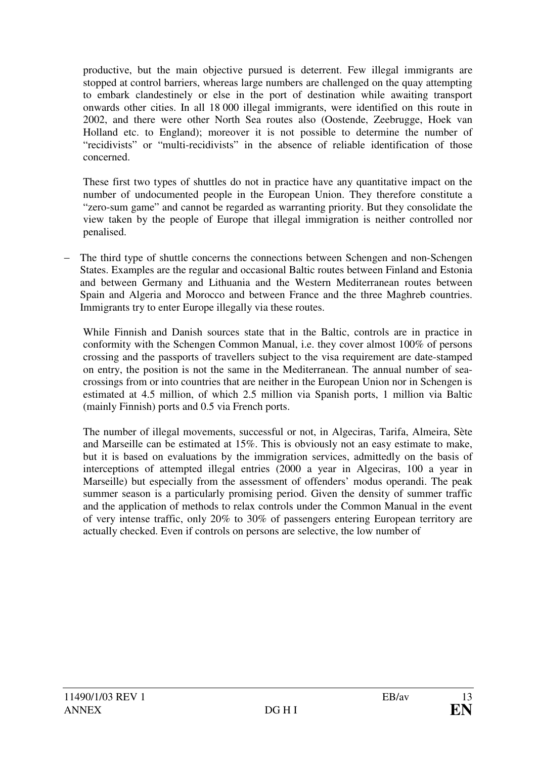productive, but the main objective pursued is deterrent. Few illegal immigrants are stopped at control barriers, whereas large numbers are challenged on the quay attempting to embark clandestinely or else in the port of destination while awaiting transport onwards other cities. In all 18 000 illegal immigrants, were identified on this route in 2002, and there were other North Sea routes also (Oostende, Zeebrugge, Hoek van Holland etc. to England); moreover it is not possible to determine the number of "recidivists" or "multi-recidivists" in the absence of reliable identification of those concerned.

These first two types of shuttles do not in practice have any quantitative impact on the number of undocumented people in the European Union. They therefore constitute a "zero-sum game" and cannot be regarded as warranting priority. But they consolidate the view taken by the people of Europe that illegal immigration is neither controlled nor penalised.

The third type of shuttle concerns the connections between Schengen and non-Schengen States. Examples are the regular and occasional Baltic routes between Finland and Estonia and between Germany and Lithuania and the Western Mediterranean routes between Spain and Algeria and Morocco and between France and the three Maghreb countries. Immigrants try to enter Europe illegally via these routes.

While Finnish and Danish sources state that in the Baltic, controls are in practice in conformity with the Schengen Common Manual, i.e. they cover almost 100% of persons crossing and the passports of travellers subject to the visa requirement are date-stamped on entry, the position is not the same in the Mediterranean. The annual number of seacrossings from or into countries that are neither in the European Union nor in Schengen is estimated at 4.5 million, of which 2.5 million via Spanish ports, 1 million via Baltic (mainly Finnish) ports and 0.5 via French ports.

The number of illegal movements, successful or not, in Algeciras, Tarifa, Almeira, Sète and Marseille can be estimated at 15%. This is obviously not an easy estimate to make, but it is based on evaluations by the immigration services, admittedly on the basis of interceptions of attempted illegal entries (2000 a year in Algeciras, 100 a year in Marseille) but especially from the assessment of offenders' modus operandi. The peak summer season is a particularly promising period. Given the density of summer traffic and the application of methods to relax controls under the Common Manual in the event of very intense traffic, only 20% to 30% of passengers entering European territory are actually checked. Even if controls on persons are selective, the low number of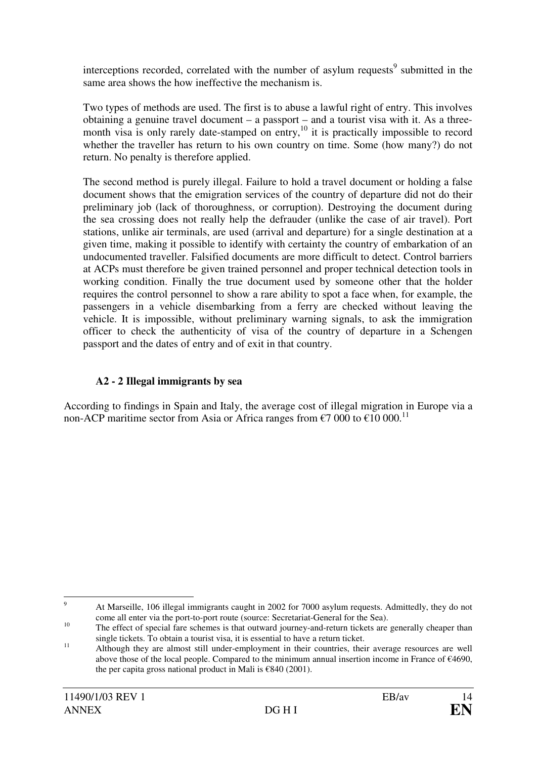interceptions recorded, correlated with the number of asylum requests<sup>9</sup> submitted in the same area shows the how ineffective the mechanism is.

Two types of methods are used. The first is to abuse a lawful right of entry. This involves obtaining a genuine travel document – a passport – and a tourist visa with it. As a threemonth visa is only rarely date-stamped on entry,<sup>10</sup> it is practically impossible to record whether the traveller has return to his own country on time. Some (how many?) do not return. No penalty is therefore applied.

The second method is purely illegal. Failure to hold a travel document or holding a false document shows that the emigration services of the country of departure did not do their preliminary job (lack of thoroughness, or corruption). Destroying the document during the sea crossing does not really help the defrauder (unlike the case of air travel). Port stations, unlike air terminals, are used (arrival and departure) for a single destination at a given time, making it possible to identify with certainty the country of embarkation of an undocumented traveller. Falsified documents are more difficult to detect. Control barriers at ACPs must therefore be given trained personnel and proper technical detection tools in working condition. Finally the true document used by someone other that the holder requires the control personnel to show a rare ability to spot a face when, for example, the passengers in a vehicle disembarking from a ferry are checked without leaving the vehicle. It is impossible, without preliminary warning signals, to ask the immigration officer to check the authenticity of visa of the country of departure in a Schengen passport and the dates of entry and of exit in that country.

## **A2 - 2 Illegal immigrants by sea**

According to findings in Spain and Italy, the average cost of illegal migration in Europe via a non-ACP maritime sector from Asia or Africa ranges from  $\epsilon$ 7 000 to  $\epsilon$ 10 000.<sup>11</sup>

<sup>-&</sup>lt;br>9 At Marseille, 106 illegal immigrants caught in 2002 for 7000 asylum requests. Admittedly, they do not come all enter via the port-to-port route (source: Secretariat-General for the Sea).

<sup>&</sup>lt;sup>10</sup> The effect of special fare schemes is that outward journey-and-return tickets are generally cheaper than single tickets. To obtain a tourist visa, it is essential to have a return ticket.

<sup>&</sup>lt;sup>11</sup> Although they are almost still under-employment in their countries, their average resources are well above those of the local people. Compared to the minimum annual insertion income in France of €4690, the per capita gross national product in Mali is  $\epsilon$ 840 (2001).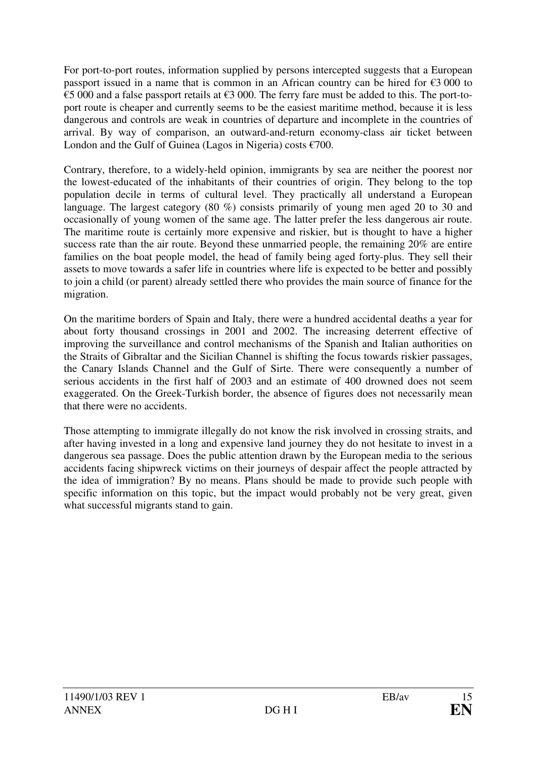For port-to-port routes, information supplied by persons intercepted suggests that a European passport issued in a name that is common in an African country can be hired for  $\epsilon$ 3 000 to €5 000 and a false passport retails at €3 000. The ferry fare must be added to this. The port-toport route is cheaper and currently seems to be the easiest maritime method, because it is less dangerous and controls are weak in countries of departure and incomplete in the countries of arrival. By way of comparison, an outward-and-return economy-class air ticket between London and the Gulf of Guinea (Lagos in Nigeria) costs  $\epsilon$ 700.

Contrary, therefore, to a widely-held opinion, immigrants by sea are neither the poorest nor the lowest-educated of the inhabitants of their countries of origin. They belong to the top population decile in terms of cultural level. They practically all understand a European language. The largest category (80 %) consists primarily of young men aged 20 to 30 and occasionally of young women of the same age. The latter prefer the less dangerous air route. The maritime route is certainly more expensive and riskier, but is thought to have a higher success rate than the air route. Beyond these unmarried people, the remaining 20% are entire families on the boat people model, the head of family being aged forty-plus. They sell their assets to move towards a safer life in countries where life is expected to be better and possibly to join a child (or parent) already settled there who provides the main source of finance for the migration.

On the maritime borders of Spain and Italy, there were a hundred accidental deaths a year for about forty thousand crossings in 2001 and 2002. The increasing deterrent effective of improving the surveillance and control mechanisms of the Spanish and Italian authorities on the Straits of Gibraltar and the Sicilian Channel is shifting the focus towards riskier passages, the Canary Islands Channel and the Gulf of Sirte. There were consequently a number of serious accidents in the first half of 2003 and an estimate of 400 drowned does not seem exaggerated. On the Greek-Turkish border, the absence of figures does not necessarily mean that there were no accidents.

Those attempting to immigrate illegally do not know the risk involved in crossing straits, and after having invested in a long and expensive land journey they do not hesitate to invest in a dangerous sea passage. Does the public attention drawn by the European media to the serious accidents facing shipwreck victims on their journeys of despair affect the people attracted by the idea of immigration? By no means. Plans should be made to provide such people with specific information on this topic, but the impact would probably not be very great, given what successful migrants stand to gain.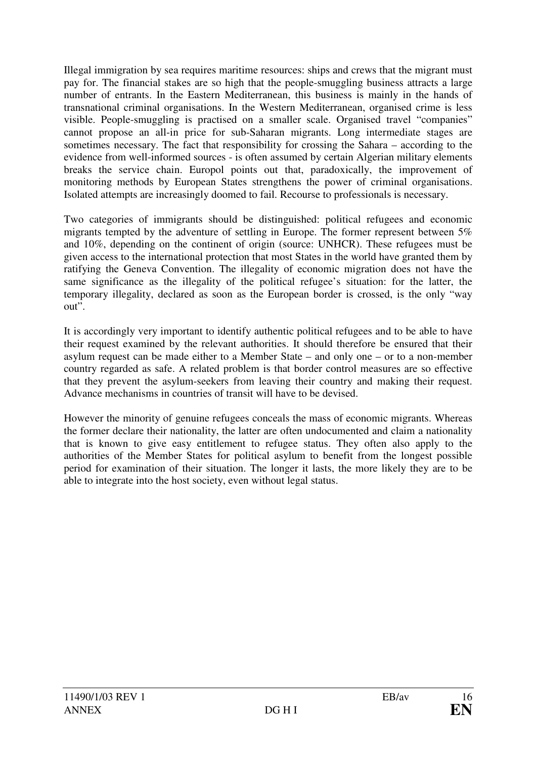Illegal immigration by sea requires maritime resources: ships and crews that the migrant must pay for. The financial stakes are so high that the people-smuggling business attracts a large number of entrants. In the Eastern Mediterranean, this business is mainly in the hands of transnational criminal organisations. In the Western Mediterranean, organised crime is less visible. People-smuggling is practised on a smaller scale. Organised travel "companies" cannot propose an all-in price for sub-Saharan migrants. Long intermediate stages are sometimes necessary. The fact that responsibility for crossing the Sahara – according to the evidence from well-informed sources - is often assumed by certain Algerian military elements breaks the service chain. Europol points out that, paradoxically, the improvement of monitoring methods by European States strengthens the power of criminal organisations. Isolated attempts are increasingly doomed to fail. Recourse to professionals is necessary.

Two categories of immigrants should be distinguished: political refugees and economic migrants tempted by the adventure of settling in Europe. The former represent between 5% and 10%, depending on the continent of origin (source: UNHCR). These refugees must be given access to the international protection that most States in the world have granted them by ratifying the Geneva Convention. The illegality of economic migration does not have the same significance as the illegality of the political refugee's situation: for the latter, the temporary illegality, declared as soon as the European border is crossed, is the only "way out".

It is accordingly very important to identify authentic political refugees and to be able to have their request examined by the relevant authorities. It should therefore be ensured that their asylum request can be made either to a Member State – and only one – or to a non-member country regarded as safe. A related problem is that border control measures are so effective that they prevent the asylum-seekers from leaving their country and making their request. Advance mechanisms in countries of transit will have to be devised.

However the minority of genuine refugees conceals the mass of economic migrants. Whereas the former declare their nationality, the latter are often undocumented and claim a nationality that is known to give easy entitlement to refugee status. They often also apply to the authorities of the Member States for political asylum to benefit from the longest possible period for examination of their situation. The longer it lasts, the more likely they are to be able to integrate into the host society, even without legal status.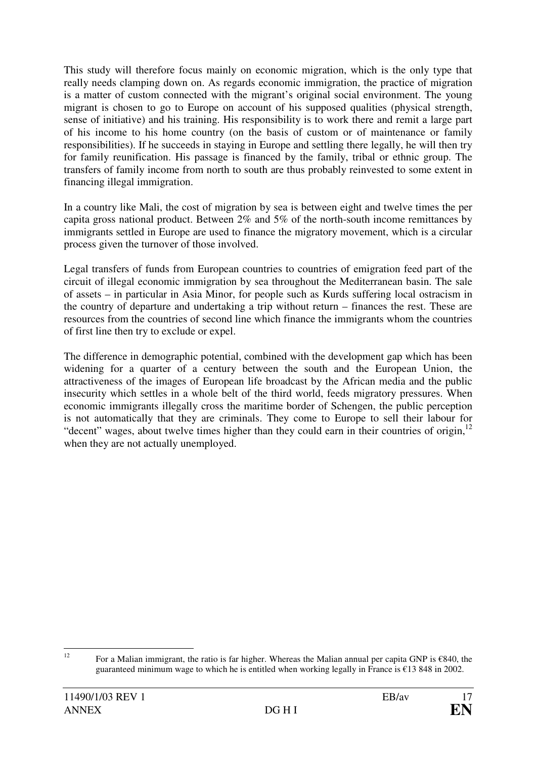This study will therefore focus mainly on economic migration, which is the only type that really needs clamping down on. As regards economic immigration, the practice of migration is a matter of custom connected with the migrant's original social environment. The young migrant is chosen to go to Europe on account of his supposed qualities (physical strength, sense of initiative) and his training. His responsibility is to work there and remit a large part of his income to his home country (on the basis of custom or of maintenance or family responsibilities). If he succeeds in staying in Europe and settling there legally, he will then try for family reunification. His passage is financed by the family, tribal or ethnic group. The transfers of family income from north to south are thus probably reinvested to some extent in financing illegal immigration.

In a country like Mali, the cost of migration by sea is between eight and twelve times the per capita gross national product. Between 2% and 5% of the north-south income remittances by immigrants settled in Europe are used to finance the migratory movement, which is a circular process given the turnover of those involved.

Legal transfers of funds from European countries to countries of emigration feed part of the circuit of illegal economic immigration by sea throughout the Mediterranean basin. The sale of assets – in particular in Asia Minor, for people such as Kurds suffering local ostracism in the country of departure and undertaking a trip without return – finances the rest. These are resources from the countries of second line which finance the immigrants whom the countries of first line then try to exclude or expel.

The difference in demographic potential, combined with the development gap which has been widening for a quarter of a century between the south and the European Union, the attractiveness of the images of European life broadcast by the African media and the public insecurity which settles in a whole belt of the third world, feeds migratory pressures. When economic immigrants illegally cross the maritime border of Schengen, the public perception is not automatically that they are criminals. They come to Europe to sell their labour for "decent" wages, about twelve times higher than they could earn in their countries of origin,<sup>12</sup> when they are not actually unemployed.

 $12$ <sup>12</sup> For a Malian immigrant, the ratio is far higher. Whereas the Malian annual per capita GNP is €840, the guaranteed minimum wage to which he is entitled when working legally in France is €13 848 in 2002.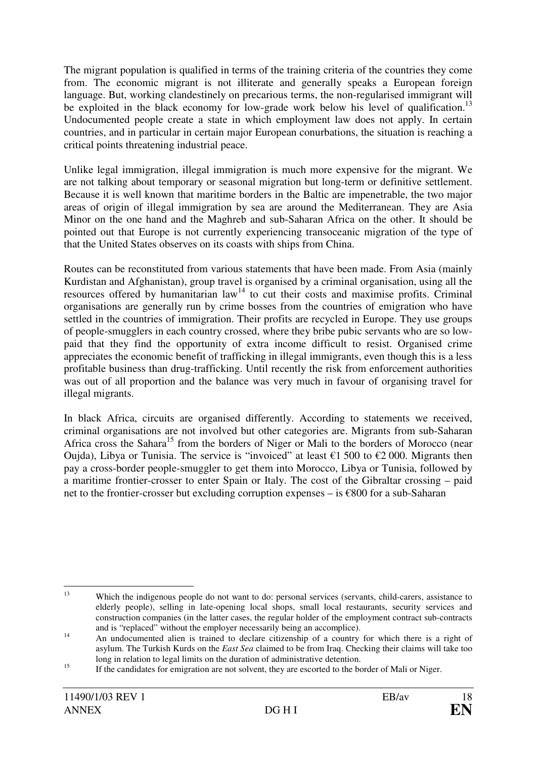The migrant population is qualified in terms of the training criteria of the countries they come from. The economic migrant is not illiterate and generally speaks a European foreign language. But, working clandestinely on precarious terms, the non-regularised immigrant will be exploited in the black economy for low-grade work below his level of qualification.<sup>13</sup> Undocumented people create a state in which employment law does not apply. In certain countries, and in particular in certain major European conurbations, the situation is reaching a critical points threatening industrial peace.

Unlike legal immigration, illegal immigration is much more expensive for the migrant. We are not talking about temporary or seasonal migration but long-term or definitive settlement. Because it is well known that maritime borders in the Baltic are impenetrable, the two major areas of origin of illegal immigration by sea are around the Mediterranean. They are Asia Minor on the one hand and the Maghreb and sub-Saharan Africa on the other. It should be pointed out that Europe is not currently experiencing transoceanic migration of the type of that the United States observes on its coasts with ships from China.

Routes can be reconstituted from various statements that have been made. From Asia (mainly Kurdistan and Afghanistan), group travel is organised by a criminal organisation, using all the resources offered by humanitarian  $law^{14}$  to cut their costs and maximise profits. Criminal organisations are generally run by crime bosses from the countries of emigration who have settled in the countries of immigration. Their profits are recycled in Europe. They use groups of people-smugglers in each country crossed, where they bribe pubic servants who are so lowpaid that they find the opportunity of extra income difficult to resist. Organised crime appreciates the economic benefit of trafficking in illegal immigrants, even though this is a less profitable business than drug-trafficking. Until recently the risk from enforcement authorities was out of all proportion and the balance was very much in favour of organising travel for illegal migrants.

In black Africa, circuits are organised differently. According to statements we received, criminal organisations are not involved but other categories are. Migrants from sub-Saharan Africa cross the Sahara<sup>15</sup> from the borders of Niger or Mali to the borders of Morocco (near Oujda), Libya or Tunisia. The service is "invoiced" at least  $\epsilon$ 1 500 to  $\epsilon$ 2 000. Migrants then pay a cross-border people-smuggler to get them into Morocco, Libya or Tunisia, followed by a maritime frontier-crosser to enter Spain or Italy. The cost of the Gibraltar crossing – paid net to the frontier-crosser but excluding corruption expenses – is €800 for a sub-Saharan

 $13$ <sup>13</sup> Which the indigenous people do not want to do: personal services (servants, child-carers, assistance to elderly people), selling in late-opening local shops, small local restaurants, security services and construction companies (in the latter cases, the regular holder of the employment contract sub-contracts and is "replaced" without the employer necessarily being an accomplice).

<sup>&</sup>lt;sup>14</sup> An undocumented alien is trained to declare citizenship of a country for which there is a right of asylum. The Turkish Kurds on the *East Sea* claimed to be from Iraq. Checking their claims will take too long in relation to legal limits on the duration of administrative detention.

<sup>&</sup>lt;sup>15</sup> If the candidates for emigration are not solvent, they are escorted to the border of Mali or Niger.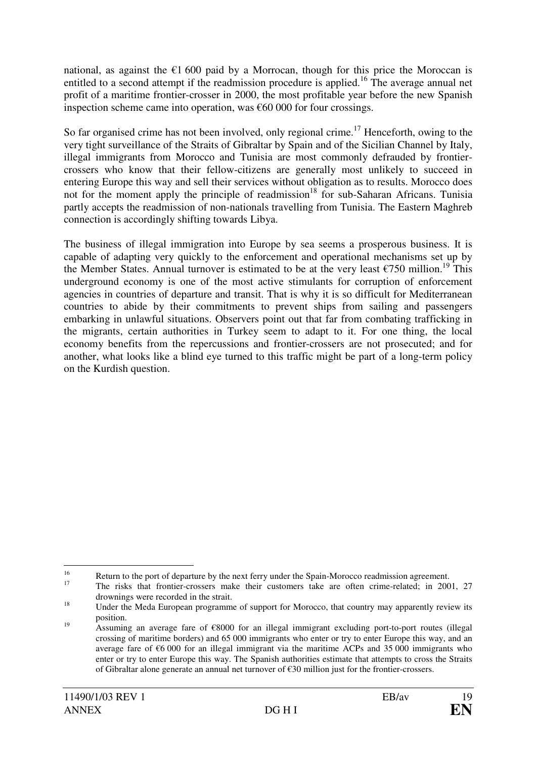national, as against the  $\epsilon$ 1 600 paid by a Morrocan, though for this price the Moroccan is entitled to a second attempt if the readmission procedure is applied.<sup>16</sup> The average annual net profit of a maritime frontier-crosser in 2000, the most profitable year before the new Spanish inspection scheme came into operation, was  $€60,000$  for four crossings.

So far organised crime has not been involved, only regional crime.<sup>17</sup> Henceforth, owing to the very tight surveillance of the Straits of Gibraltar by Spain and of the Sicilian Channel by Italy, illegal immigrants from Morocco and Tunisia are most commonly defrauded by frontiercrossers who know that their fellow-citizens are generally most unlikely to succeed in entering Europe this way and sell their services without obligation as to results. Morocco does not for the moment apply the principle of readmission<sup>18</sup> for sub-Saharan Africans. Tunisia partly accepts the readmission of non-nationals travelling from Tunisia. The Eastern Maghreb connection is accordingly shifting towards Libya.

The business of illegal immigration into Europe by sea seems a prosperous business. It is capable of adapting very quickly to the enforcement and operational mechanisms set up by the Member States. Annual turnover is estimated to be at the very least  $\epsilon$ 750 million.<sup>19</sup> This underground economy is one of the most active stimulants for corruption of enforcement agencies in countries of departure and transit. That is why it is so difficult for Mediterranean countries to abide by their commitments to prevent ships from sailing and passengers embarking in unlawful situations. Observers point out that far from combating trafficking in the migrants, certain authorities in Turkey seem to adapt to it. For one thing, the local economy benefits from the repercussions and frontier-crossers are not prosecuted; and for another, what looks like a blind eye turned to this traffic might be part of a long-term policy on the Kurdish question.

 $\overline{a}$ 

<sup>&</sup>lt;sup>16</sup> Return to the port of departure by the next ferry under the Spain-Morocco readmission agreement.

<sup>17</sup> The risks that frontier-crossers make their customers take are often crime-related; in 2001, 27 drownings were recorded in the strait.

<sup>&</sup>lt;sup>18</sup> Under the Meda European programme of support for Morocco, that country may apparently review its position.

<sup>19</sup> Assuming an average fare of €8000 for an illegal immigrant excluding port-to-port routes (illegal crossing of maritime borders) and 65 000 immigrants who enter or try to enter Europe this way, and an average fare of  $\epsilon$ 6 000 for an illegal immigrant via the maritime ACPs and 35 000 immigrants who enter or try to enter Europe this way. The Spanish authorities estimate that attempts to cross the Straits of Gibraltar alone generate an annual net turnover of €30 million just for the frontier-crossers.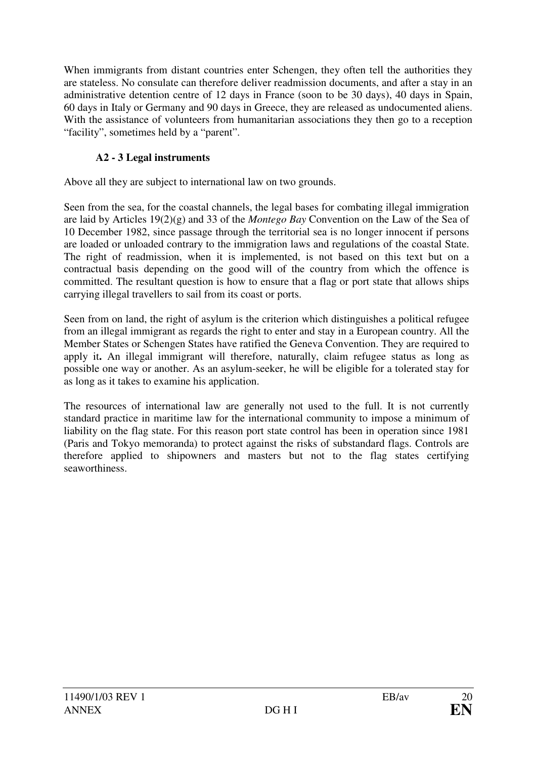When immigrants from distant countries enter Schengen, they often tell the authorities they are stateless. No consulate can therefore deliver readmission documents, and after a stay in an administrative detention centre of 12 days in France (soon to be 30 days), 40 days in Spain, 60 days in Italy or Germany and 90 days in Greece, they are released as undocumented aliens. With the assistance of volunteers from humanitarian associations they then go to a reception "facility", sometimes held by a "parent".

# **A2 - 3 Legal instruments**

Above all they are subject to international law on two grounds.

Seen from the sea, for the coastal channels, the legal bases for combating illegal immigration are laid by Articles 19(2)(g) and 33 of the *Montego Bay* Convention on the Law of the Sea of 10 December 1982, since passage through the territorial sea is no longer innocent if persons are loaded or unloaded contrary to the immigration laws and regulations of the coastal State. The right of readmission, when it is implemented, is not based on this text but on a contractual basis depending on the good will of the country from which the offence is committed. The resultant question is how to ensure that a flag or port state that allows ships carrying illegal travellers to sail from its coast or ports.

Seen from on land, the right of asylum is the criterion which distinguishes a political refugee from an illegal immigrant as regards the right to enter and stay in a European country. All the Member States or Schengen States have ratified the Geneva Convention. They are required to apply it**.** An illegal immigrant will therefore, naturally, claim refugee status as long as possible one way or another. As an asylum-seeker, he will be eligible for a tolerated stay for as long as it takes to examine his application.

The resources of international law are generally not used to the full. It is not currently standard practice in maritime law for the international community to impose a minimum of liability on the flag state. For this reason port state control has been in operation since 1981 (Paris and Tokyo memoranda) to protect against the risks of substandard flags. Controls are therefore applied to shipowners and masters but not to the flag states certifying seaworthiness.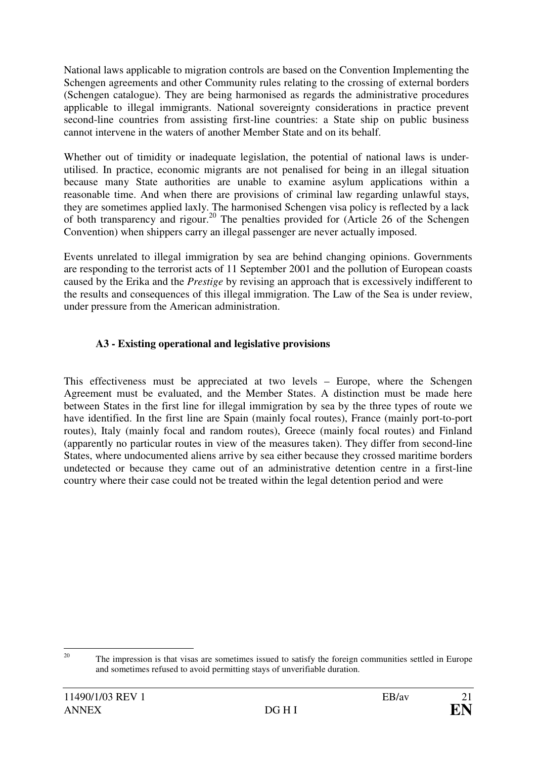National laws applicable to migration controls are based on the Convention Implementing the Schengen agreements and other Community rules relating to the crossing of external borders (Schengen catalogue). They are being harmonised as regards the administrative procedures applicable to illegal immigrants. National sovereignty considerations in practice prevent second-line countries from assisting first-line countries: a State ship on public business cannot intervene in the waters of another Member State and on its behalf.

Whether out of timidity or inadequate legislation, the potential of national laws is underutilised. In practice, economic migrants are not penalised for being in an illegal situation because many State authorities are unable to examine asylum applications within a reasonable time. And when there are provisions of criminal law regarding unlawful stays, they are sometimes applied laxly. The harmonised Schengen visa policy is reflected by a lack of both transparency and rigour.<sup>20</sup> The penalties provided for (Article 26 of the Schengen Convention) when shippers carry an illegal passenger are never actually imposed.

Events unrelated to illegal immigration by sea are behind changing opinions. Governments are responding to the terrorist acts of 11 September 2001 and the pollution of European coasts caused by the Erika and the *Prestige* by revising an approach that is excessively indifferent to the results and consequences of this illegal immigration. The Law of the Sea is under review, under pressure from the American administration.

## **A3 - Existing operational and legislative provisions**

This effectiveness must be appreciated at two levels – Europe, where the Schengen Agreement must be evaluated, and the Member States. A distinction must be made here between States in the first line for illegal immigration by sea by the three types of route we have identified. In the first line are Spain (mainly focal routes), France (mainly port-to-port routes), Italy (mainly focal and random routes), Greece (mainly focal routes) and Finland (apparently no particular routes in view of the measures taken). They differ from second-line States, where undocumented aliens arrive by sea either because they crossed maritime borders undetected or because they came out of an administrative detention centre in a first-line country where their case could not be treated within the legal detention period and were

 $20$ <sup>20</sup> The impression is that visas are sometimes issued to satisfy the foreign communities settled in Europe and sometimes refused to avoid permitting stays of unverifiable duration.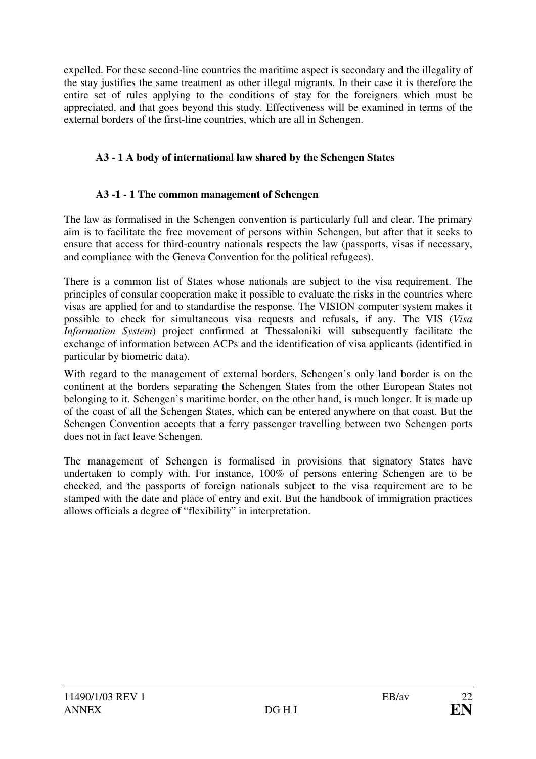expelled. For these second-line countries the maritime aspect is secondary and the illegality of the stay justifies the same treatment as other illegal migrants. In their case it is therefore the entire set of rules applying to the conditions of stay for the foreigners which must be appreciated, and that goes beyond this study. Effectiveness will be examined in terms of the external borders of the first-line countries, which are all in Schengen.

# **A3 - 1 A body of international law shared by the Schengen States**

## **A3 -1 - 1 The common management of Schengen**

The law as formalised in the Schengen convention is particularly full and clear. The primary aim is to facilitate the free movement of persons within Schengen, but after that it seeks to ensure that access for third-country nationals respects the law (passports, visas if necessary, and compliance with the Geneva Convention for the political refugees).

There is a common list of States whose nationals are subject to the visa requirement. The principles of consular cooperation make it possible to evaluate the risks in the countries where visas are applied for and to standardise the response. The VISION computer system makes it possible to check for simultaneous visa requests and refusals, if any. The VIS (*Visa Information System*) project confirmed at Thessaloniki will subsequently facilitate the exchange of information between ACPs and the identification of visa applicants (identified in particular by biometric data).

With regard to the management of external borders, Schengen's only land border is on the continent at the borders separating the Schengen States from the other European States not belonging to it. Schengen's maritime border, on the other hand, is much longer. It is made up of the coast of all the Schengen States, which can be entered anywhere on that coast. But the Schengen Convention accepts that a ferry passenger travelling between two Schengen ports does not in fact leave Schengen.

The management of Schengen is formalised in provisions that signatory States have undertaken to comply with. For instance, 100% of persons entering Schengen are to be checked, and the passports of foreign nationals subject to the visa requirement are to be stamped with the date and place of entry and exit. But the handbook of immigration practices allows officials a degree of "flexibility" in interpretation.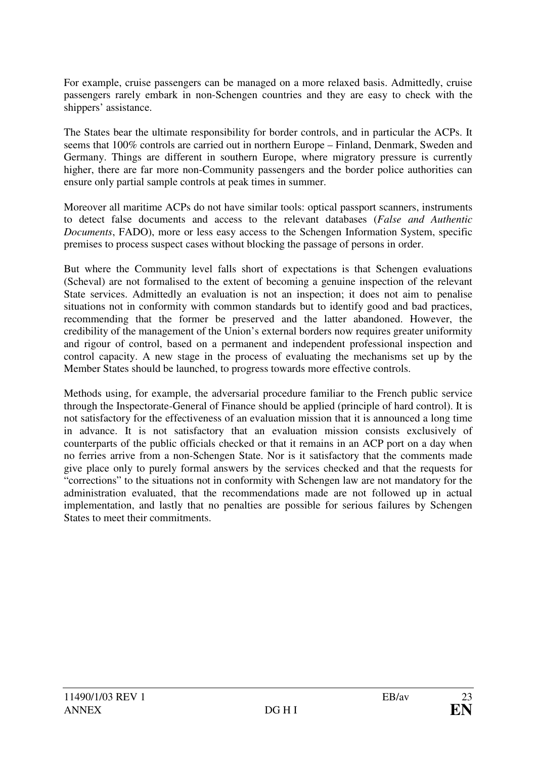For example, cruise passengers can be managed on a more relaxed basis. Admittedly, cruise passengers rarely embark in non-Schengen countries and they are easy to check with the shippers' assistance.

The States bear the ultimate responsibility for border controls, and in particular the ACPs. It seems that 100% controls are carried out in northern Europe – Finland, Denmark, Sweden and Germany. Things are different in southern Europe, where migratory pressure is currently higher, there are far more non-Community passengers and the border police authorities can ensure only partial sample controls at peak times in summer.

Moreover all maritime ACPs do not have similar tools: optical passport scanners, instruments to detect false documents and access to the relevant databases (*False and Authentic Documents*, FADO), more or less easy access to the Schengen Information System, specific premises to process suspect cases without blocking the passage of persons in order.

But where the Community level falls short of expectations is that Schengen evaluations (Scheval) are not formalised to the extent of becoming a genuine inspection of the relevant State services. Admittedly an evaluation is not an inspection; it does not aim to penalise situations not in conformity with common standards but to identify good and bad practices, recommending that the former be preserved and the latter abandoned. However, the credibility of the management of the Union's external borders now requires greater uniformity and rigour of control, based on a permanent and independent professional inspection and control capacity. A new stage in the process of evaluating the mechanisms set up by the Member States should be launched, to progress towards more effective controls.

Methods using, for example, the adversarial procedure familiar to the French public service through the Inspectorate-General of Finance should be applied (principle of hard control). It is not satisfactory for the effectiveness of an evaluation mission that it is announced a long time in advance. It is not satisfactory that an evaluation mission consists exclusively of counterparts of the public officials checked or that it remains in an ACP port on a day when no ferries arrive from a non-Schengen State. Nor is it satisfactory that the comments made give place only to purely formal answers by the services checked and that the requests for "corrections" to the situations not in conformity with Schengen law are not mandatory for the administration evaluated, that the recommendations made are not followed up in actual implementation, and lastly that no penalties are possible for serious failures by Schengen States to meet their commitments.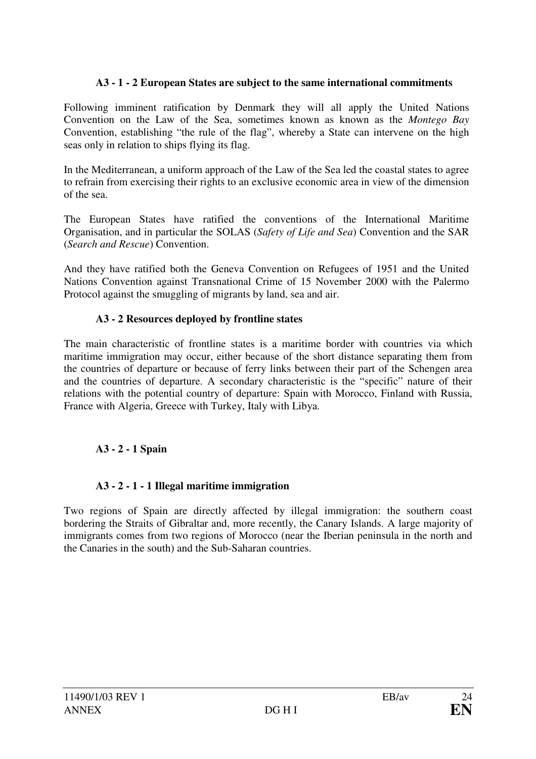### **A3 - 1 - 2 European States are subject to the same international commitments**

Following imminent ratification by Denmark they will all apply the United Nations Convention on the Law of the Sea, sometimes known as known as the *Montego Bay*  Convention, establishing "the rule of the flag", whereby a State can intervene on the high seas only in relation to ships flying its flag.

In the Mediterranean, a uniform approach of the Law of the Sea led the coastal states to agree to refrain from exercising their rights to an exclusive economic area in view of the dimension of the sea.

The European States have ratified the conventions of the International Maritime Organisation, and in particular the SOLAS (*Safety of Life and Sea*) Convention and the SAR (*Search and Rescue*) Convention.

And they have ratified both the Geneva Convention on Refugees of 1951 and the United Nations Convention against Transnational Crime of 15 November 2000 with the Palermo Protocol against the smuggling of migrants by land, sea and air.

#### **A3 - 2 Resources deployed by frontline states**

The main characteristic of frontline states is a maritime border with countries via which maritime immigration may occur, either because of the short distance separating them from the countries of departure or because of ferry links between their part of the Schengen area and the countries of departure. A secondary characteristic is the "specific" nature of their relations with the potential country of departure: Spain with Morocco, Finland with Russia, France with Algeria, Greece with Turkey, Italy with Libya.

# **A3 - 2 - 1 Spain**

# **A3 - 2 - 1 - 1 Illegal maritime immigration**

Two regions of Spain are directly affected by illegal immigration: the southern coast bordering the Straits of Gibraltar and, more recently, the Canary Islands. A large majority of immigrants comes from two regions of Morocco (near the Iberian peninsula in the north and the Canaries in the south) and the Sub-Saharan countries.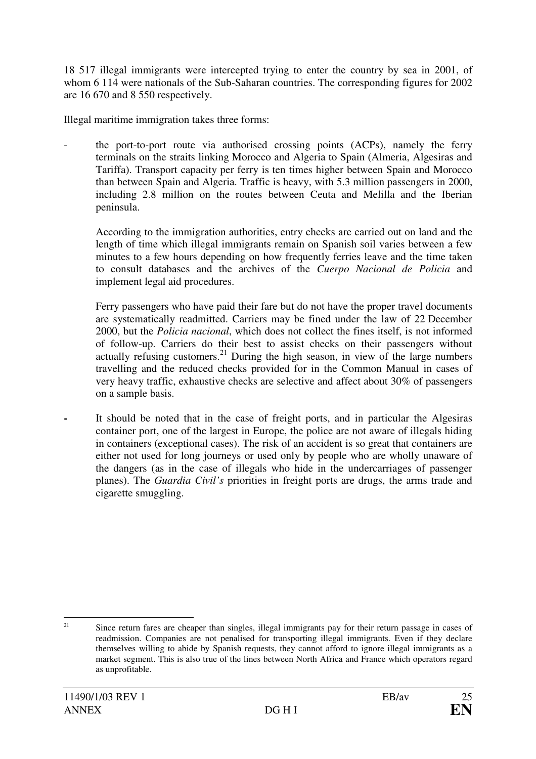18 517 illegal immigrants were intercepted trying to enter the country by sea in 2001, of whom 6 114 were nationals of the Sub-Saharan countries. The corresponding figures for 2002 are 16 670 and 8 550 respectively.

Illegal maritime immigration takes three forms:

the port-to-port route via authorised crossing points (ACPs), namely the ferry terminals on the straits linking Morocco and Algeria to Spain (Almeria, Algesiras and Tariffa). Transport capacity per ferry is ten times higher between Spain and Morocco than between Spain and Algeria. Traffic is heavy, with 5.3 million passengers in 2000, including 2.8 million on the routes between Ceuta and Melilla and the Iberian peninsula.

 According to the immigration authorities, entry checks are carried out on land and the length of time which illegal immigrants remain on Spanish soil varies between a few minutes to a few hours depending on how frequently ferries leave and the time taken to consult databases and the archives of the *Cuerpo Nacional de Policia* and implement legal aid procedures.

 Ferry passengers who have paid their fare but do not have the proper travel documents are systematically readmitted. Carriers may be fined under the law of 22 December 2000, but the *Policia nacional*, which does not collect the fines itself, is not informed of follow-up. Carriers do their best to assist checks on their passengers without actually refusing customers.<sup>21</sup> During the high season, in view of the large numbers travelling and the reduced checks provided for in the Common Manual in cases of very heavy traffic, exhaustive checks are selective and affect about 30% of passengers on a sample basis.

It should be noted that in the case of freight ports, and in particular the Algesiras container port, one of the largest in Europe, the police are not aware of illegals hiding in containers (exceptional cases). The risk of an accident is so great that containers are either not used for long journeys or used only by people who are wholly unaware of the dangers (as in the case of illegals who hide in the undercarriages of passenger planes). The *Guardia Civil's* priorities in freight ports are drugs, the arms trade and cigarette smuggling.

<sup>&</sup>lt;sup>21</sup> Since return fares are cheaper than singles, illegal immigrants pay for their return passage in cases of readmission. Companies are not penalised for transporting illegal immigrants. Even if they declare themselves willing to abide by Spanish requests, they cannot afford to ignore illegal immigrants as a market segment. This is also true of the lines between North Africa and France which operators regard as unprofitable.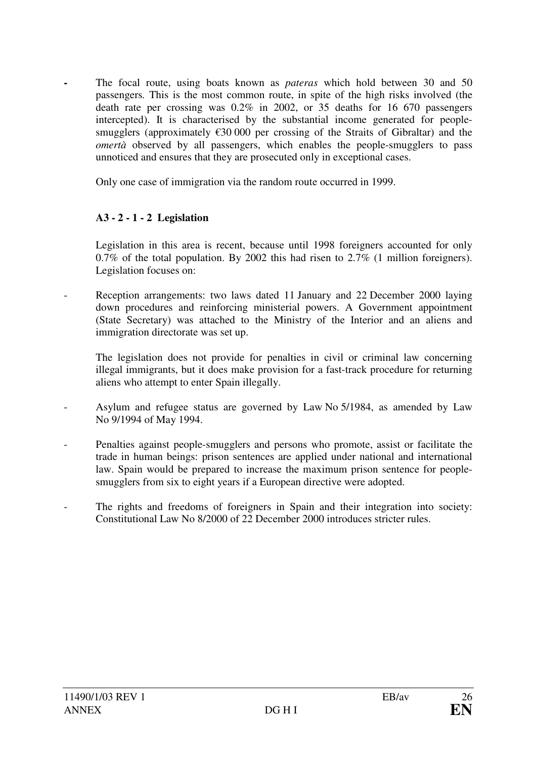**-** The focal route, using boats known as *pateras* which hold between 30 and 50 passengers*.* This is the most common route, in spite of the high risks involved (the death rate per crossing was 0.2% in 2002, or 35 deaths for 16 670 passengers intercepted). It is characterised by the substantial income generated for peoplesmugglers (approximately  $\epsilon$ 30 000 per crossing of the Straits of Gibraltar) and the *omertà* observed by all passengers, which enables the people-smugglers to pass unnoticed and ensures that they are prosecuted only in exceptional cases.

Only one case of immigration via the random route occurred in 1999.

## **A3 - 2 - 1 - 2 Legislation**

Legislation in this area is recent, because until 1998 foreigners accounted for only 0.7% of the total population. By 2002 this had risen to 2.7% (1 million foreigners). Legislation focuses on:

Reception arrangements: two laws dated 11 January and 22 December 2000 laying down procedures and reinforcing ministerial powers. A Government appointment (State Secretary) was attached to the Ministry of the Interior and an aliens and immigration directorate was set up.

 The legislation does not provide for penalties in civil or criminal law concerning illegal immigrants, but it does make provision for a fast-track procedure for returning aliens who attempt to enter Spain illegally.

- Asylum and refugee status are governed by Law No 5/1984, as amended by Law No 9/1994 of May 1994.
- Penalties against people-smugglers and persons who promote, assist or facilitate the trade in human beings: prison sentences are applied under national and international law. Spain would be prepared to increase the maximum prison sentence for peoplesmugglers from six to eight years if a European directive were adopted.
- The rights and freedoms of foreigners in Spain and their integration into society: Constitutional Law No 8/2000 of 22 December 2000 introduces stricter rules.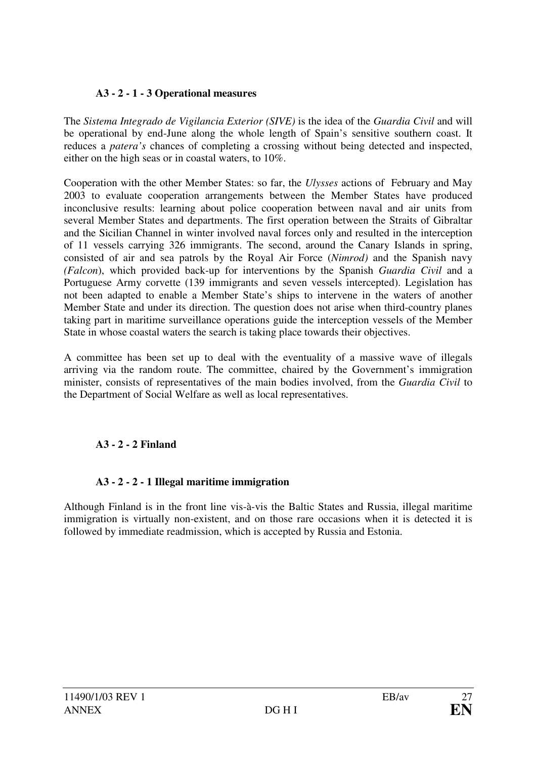## **A3 - 2 - 1 - 3 Operational measures**

The *Sistema Integrado de Vigilancia Exterior (SIVE)* is the idea of the *Guardia Civil* and will be operational by end-June along the whole length of Spain's sensitive southern coast. It reduces a *patera's* chances of completing a crossing without being detected and inspected, either on the high seas or in coastal waters, to 10%.

Cooperation with the other Member States: so far, the *Ulysses* actions of February and May 2003 to evaluate cooperation arrangements between the Member States have produced inconclusive results: learning about police cooperation between naval and air units from several Member States and departments. The first operation between the Straits of Gibraltar and the Sicilian Channel in winter involved naval forces only and resulted in the interception of 11 vessels carrying 326 immigrants. The second, around the Canary Islands in spring, consisted of air and sea patrols by the Royal Air Force (*Nimrod)* and the Spanish navy *(Falcon*), which provided back-up for interventions by the Spanish *Guardia Civil* and a Portuguese Army corvette (139 immigrants and seven vessels intercepted). Legislation has not been adapted to enable a Member State's ships to intervene in the waters of another Member State and under its direction. The question does not arise when third-country planes taking part in maritime surveillance operations guide the interception vessels of the Member State in whose coastal waters the search is taking place towards their objectives.

A committee has been set up to deal with the eventuality of a massive wave of illegals arriving via the random route. The committee, chaired by the Government's immigration minister, consists of representatives of the main bodies involved, from the *Guardia Civil* to the Department of Social Welfare as well as local representatives.

# **A3 - 2 - 2 Finland**

# **A3 - 2 - 2 - 1 Illegal maritime immigration**

Although Finland is in the front line vis-à-vis the Baltic States and Russia, illegal maritime immigration is virtually non-existent, and on those rare occasions when it is detected it is followed by immediate readmission, which is accepted by Russia and Estonia.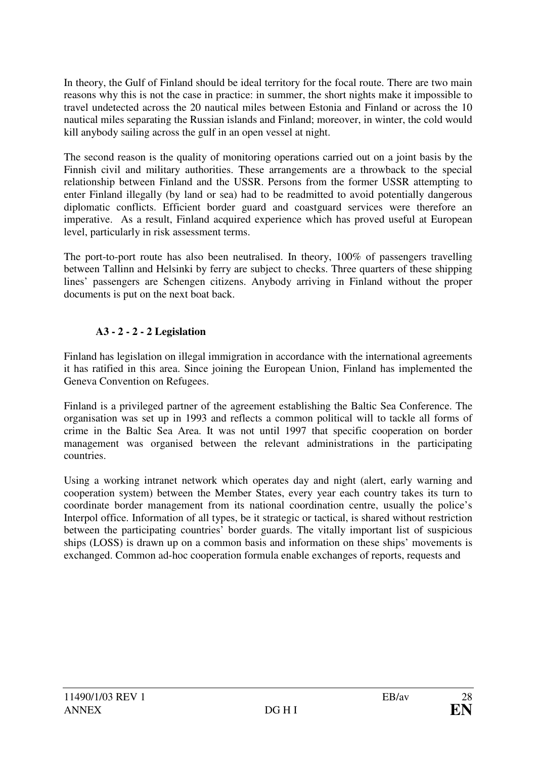In theory, the Gulf of Finland should be ideal territory for the focal route. There are two main reasons why this is not the case in practice: in summer, the short nights make it impossible to travel undetected across the 20 nautical miles between Estonia and Finland or across the 10 nautical miles separating the Russian islands and Finland; moreover, in winter, the cold would kill anybody sailing across the gulf in an open vessel at night.

The second reason is the quality of monitoring operations carried out on a joint basis by the Finnish civil and military authorities. These arrangements are a throwback to the special relationship between Finland and the USSR. Persons from the former USSR attempting to enter Finland illegally (by land or sea) had to be readmitted to avoid potentially dangerous diplomatic conflicts. Efficient border guard and coastguard services were therefore an imperative. As a result, Finland acquired experience which has proved useful at European level, particularly in risk assessment terms.

The port-to-port route has also been neutralised. In theory, 100% of passengers travelling between Tallinn and Helsinki by ferry are subject to checks. Three quarters of these shipping lines' passengers are Schengen citizens. Anybody arriving in Finland without the proper documents is put on the next boat back.

## **A3 - 2 - 2 - 2 Legislation**

Finland has legislation on illegal immigration in accordance with the international agreements it has ratified in this area. Since joining the European Union, Finland has implemented the Geneva Convention on Refugees.

Finland is a privileged partner of the agreement establishing the Baltic Sea Conference. The organisation was set up in 1993 and reflects a common political will to tackle all forms of crime in the Baltic Sea Area. It was not until 1997 that specific cooperation on border management was organised between the relevant administrations in the participating countries.

Using a working intranet network which operates day and night (alert, early warning and cooperation system) between the Member States, every year each country takes its turn to coordinate border management from its national coordination centre, usually the police's Interpol office. Information of all types, be it strategic or tactical, is shared without restriction between the participating countries' border guards. The vitally important list of suspicious ships (LOSS) is drawn up on a common basis and information on these ships' movements is exchanged. Common ad-hoc cooperation formula enable exchanges of reports, requests and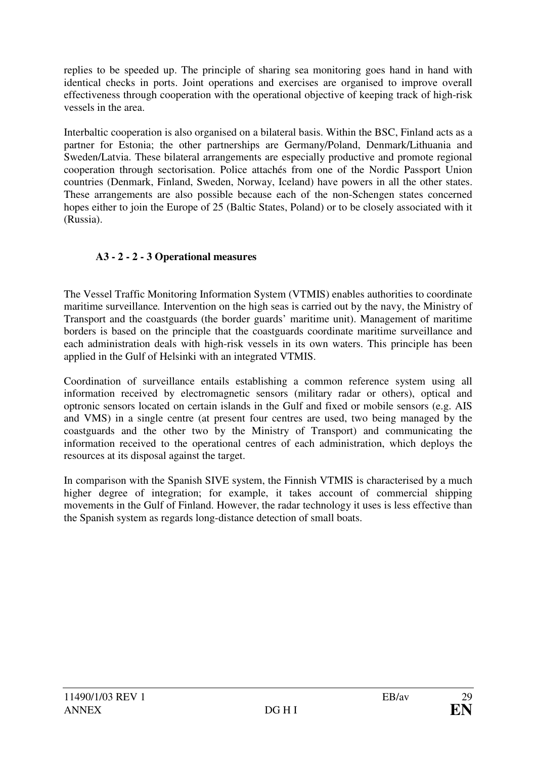replies to be speeded up. The principle of sharing sea monitoring goes hand in hand with identical checks in ports. Joint operations and exercises are organised to improve overall effectiveness through cooperation with the operational objective of keeping track of high-risk vessels in the area.

Interbaltic cooperation is also organised on a bilateral basis. Within the BSC, Finland acts as a partner for Estonia; the other partnerships are Germany/Poland, Denmark/Lithuania and Sweden/Latvia. These bilateral arrangements are especially productive and promote regional cooperation through sectorisation. Police attachés from one of the Nordic Passport Union countries (Denmark, Finland, Sweden, Norway, Iceland) have powers in all the other states. These arrangements are also possible because each of the non-Schengen states concerned hopes either to join the Europe of 25 (Baltic States, Poland) or to be closely associated with it (Russia).

# **A3 - 2 - 2 - 3 Operational measures**

The Vessel Traffic Monitoring Information System (VTMIS) enables authorities to coordinate maritime surveillance*.* Intervention on the high seas is carried out by the navy, the Ministry of Transport and the coastguards (the border guards' maritime unit). Management of maritime borders is based on the principle that the coastguards coordinate maritime surveillance and each administration deals with high-risk vessels in its own waters. This principle has been applied in the Gulf of Helsinki with an integrated VTMIS.

Coordination of surveillance entails establishing a common reference system using all information received by electromagnetic sensors (military radar or others), optical and optronic sensors located on certain islands in the Gulf and fixed or mobile sensors (e.g. AIS and VMS) in a single centre (at present four centres are used, two being managed by the coastguards and the other two by the Ministry of Transport) and communicating the information received to the operational centres of each administration, which deploys the resources at its disposal against the target.

In comparison with the Spanish SIVE system, the Finnish VTMIS is characterised by a much higher degree of integration; for example, it takes account of commercial shipping movements in the Gulf of Finland. However, the radar technology it uses is less effective than the Spanish system as regards long-distance detection of small boats.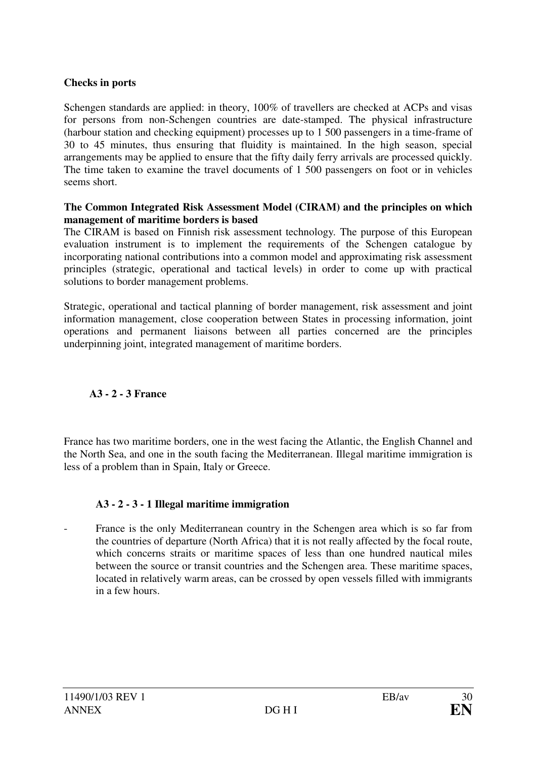#### **Checks in ports**

Schengen standards are applied: in theory, 100% of travellers are checked at ACPs and visas for persons from non-Schengen countries are date-stamped. The physical infrastructure (harbour station and checking equipment) processes up to 1 500 passengers in a time-frame of 30 to 45 minutes, thus ensuring that fluidity is maintained. In the high season, special arrangements may be applied to ensure that the fifty daily ferry arrivals are processed quickly. The time taken to examine the travel documents of 1 500 passengers on foot or in vehicles seems short.

#### **The Common Integrated Risk Assessment Model (CIRAM) and the principles on which management of maritime borders is based**

The CIRAM is based on Finnish risk assessment technology*.* The purpose of this European evaluation instrument is to implement the requirements of the Schengen catalogue by incorporating national contributions into a common model and approximating risk assessment principles (strategic, operational and tactical levels) in order to come up with practical solutions to border management problems.

Strategic, operational and tactical planning of border management, risk assessment and joint information management, close cooperation between States in processing information, joint operations and permanent liaisons between all parties concerned are the principles underpinning joint, integrated management of maritime borders.

#### **A3 - 2 - 3 France**

France has two maritime borders, one in the west facing the Atlantic, the English Channel and the North Sea, and one in the south facing the Mediterranean. Illegal maritime immigration is less of a problem than in Spain, Italy or Greece.

#### **A3 - 2 - 3 - 1 Illegal maritime immigration**

France is the only Mediterranean country in the Schengen area which is so far from the countries of departure (North Africa) that it is not really affected by the focal route, which concerns straits or maritime spaces of less than one hundred nautical miles between the source or transit countries and the Schengen area. These maritime spaces, located in relatively warm areas, can be crossed by open vessels filled with immigrants in a few hours.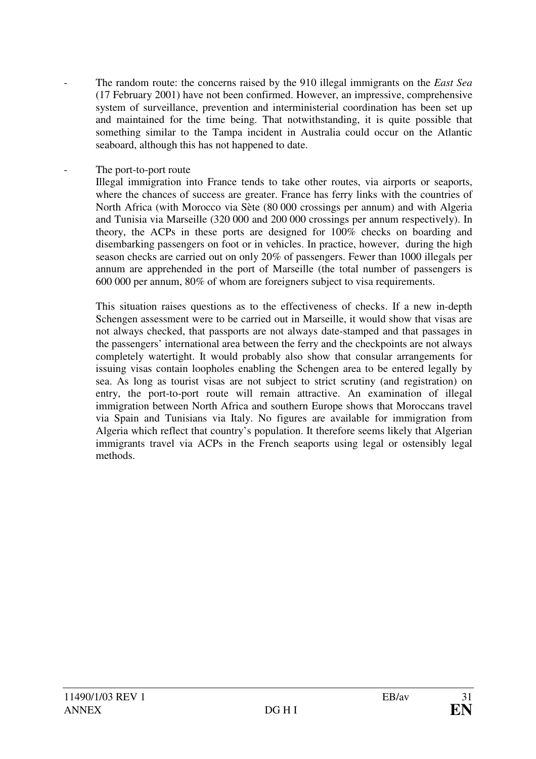The random route: the concerns raised by the 910 illegal immigrants on the *East Sea* (17 February 2001) have not been confirmed. However, an impressive, comprehensive system of surveillance, prevention and interministerial coordination has been set up and maintained for the time being. That notwithstanding, it is quite possible that something similar to the Tampa incident in Australia could occur on the Atlantic seaboard, although this has not happened to date.

#### The port-to-port route

 Illegal immigration into France tends to take other routes, via airports or seaports, where the chances of success are greater. France has ferry links with the countries of North Africa (with Morocco via Sète (80 000 crossings per annum) and with Algeria and Tunisia via Marseille (320 000 and 200 000 crossings per annum respectively). In theory, the ACPs in these ports are designed for 100% checks on boarding and disembarking passengers on foot or in vehicles. In practice, however, during the high season checks are carried out on only 20% of passengers. Fewer than 1000 illegals per annum are apprehended in the port of Marseille (the total number of passengers is 600 000 per annum, 80*%* of whom are foreigners subject to visa requirements.

 This situation raises questions as to the effectiveness of checks. If a new in-depth Schengen assessment were to be carried out in Marseille, it would show that visas are not always checked, that passports are not always date-stamped and that passages in the passengers' international area between the ferry and the checkpoints are not always completely watertight. It would probably also show that consular arrangements for issuing visas contain loopholes enabling the Schengen area to be entered legally by sea. As long as tourist visas are not subject to strict scrutiny (and registration) on entry, the port-to-port route will remain attractive. An examination of illegal immigration between North Africa and southern Europe shows that Moroccans travel via Spain and Tunisians via Italy. No figures are available for immigration from Algeria which reflect that country's population. It therefore seems likely that Algerian immigrants travel via ACPs in the French seaports using legal or ostensibly legal methods.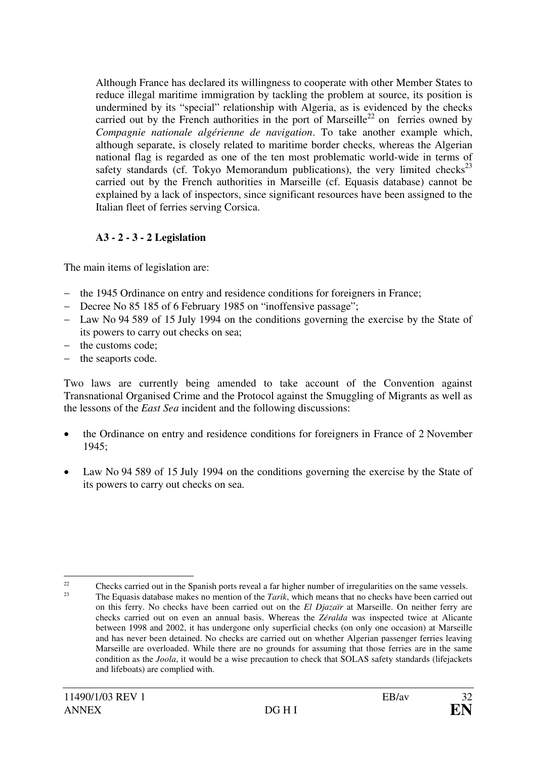Although France has declared its willingness to cooperate with other Member States to reduce illegal maritime immigration by tackling the problem at source, its position is undermined by its "special" relationship with Algeria, as is evidenced by the checks carried out by the French authorities in the port of Marseille<sup>22</sup> on ferries owned by *Compagnie nationale algérienne de navigation*. To take another example which, although separate, is closely related to maritime border checks, whereas the Algerian national flag is regarded as one of the ten most problematic world-wide in terms of safety standards (cf. Tokyo Memorandum publications), the very limited checks<sup>23</sup> carried out by the French authorities in Marseille (cf. Equasis database) cannot be explained by a lack of inspectors, since significant resources have been assigned to the Italian fleet of ferries serving Corsica.

# **A3 - 2 - 3 - 2 Legislation**

The main items of legislation are:

- the 1945 Ordinance on entry and residence conditions for foreigners in France;
- Decree No 85 185 of 6 February 1985 on "inoffensive passage";
- Law No 94 589 of 15 July 1994 on the conditions governing the exercise by the State of its powers to carry out checks on sea;
- the customs code;
- the seaports code.

Two laws are currently being amended to take account of the Convention against Transnational Organised Crime and the Protocol against the Smuggling of Migrants as well as the lessons of the *East Sea* incident and the following discussions:

- the Ordinance on entry and residence conditions for foreigners in France of 2 November 1945;
- Law No 94 589 of 15 July 1994 on the conditions governing the exercise by the State of its powers to carry out checks on sea.

 $\overline{a}$  $22$  Checks carried out in the Spanish ports reveal a far higher number of irregularities on the same vessels.  $2<sup>3</sup>$  The Equasis database makes no mention of the *Tarik*, which means that no checks have been carried out on this ferry. No checks have been carried out on the *El Djazaïr* at Marseille. On neither ferry are checks carried out on even an annual basis. Whereas the *Zéralda* was inspected twice at Alicante between 1998 and 2002, it has undergone only superficial checks (on only one occasion) at Marseille and has never been detained. No checks are carried out on whether Algerian passenger ferries leaving Marseille are overloaded. While there are no grounds for assuming that those ferries are in the same condition as the *Joola*, it would be a wise precaution to check that SOLAS safety standards (lifejackets and lifeboats) are complied with.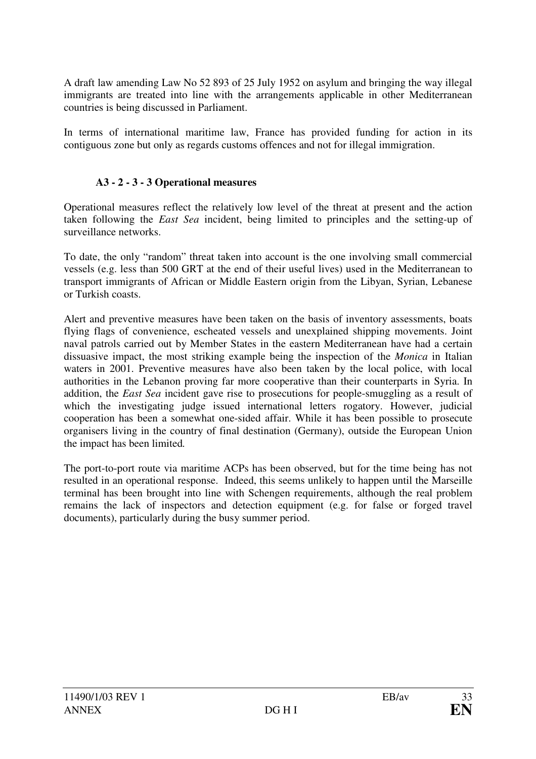A draft law amending Law No 52 893 of 25 July 1952 on asylum and bringing the way illegal immigrants are treated into line with the arrangements applicable in other Mediterranean countries is being discussed in Parliament.

In terms of international maritime law, France has provided funding for action in its contiguous zone but only as regards customs offences and not for illegal immigration.

#### **A3 - 2 - 3 - 3 Operational measures**

Operational measures reflect the relatively low level of the threat at present and the action taken following the *East Sea* incident, being limited to principles and the setting-up of surveillance networks.

To date, the only "random" threat taken into account is the one involving small commercial vessels (e.g. less than 500 GRT at the end of their useful lives) used in the Mediterranean to transport immigrants of African or Middle Eastern origin from the Libyan, Syrian, Lebanese or Turkish coasts.

Alert and preventive measures have been taken on the basis of inventory assessments, boats flying flags of convenience, escheated vessels and unexplained shipping movements. Joint naval patrols carried out by Member States in the eastern Mediterranean have had a certain dissuasive impact, the most striking example being the inspection of the *Monica* in Italian waters in 2001. Preventive measures have also been taken by the local police, with local authorities in the Lebanon proving far more cooperative than their counterparts in Syria. In addition, the *East Sea* incident gave rise to prosecutions for people-smuggling as a result of which the investigating judge issued international letters rogatory. However, judicial cooperation has been a somewhat one-sided affair. While it has been possible to prosecute organisers living in the country of final destination (Germany), outside the European Union the impact has been limited*.* 

The port-to-port route via maritime ACPs has been observed, but for the time being has not resulted in an operational response. Indeed, this seems unlikely to happen until the Marseille terminal has been brought into line with Schengen requirements, although the real problem remains the lack of inspectors and detection equipment (e.g. for false or forged travel documents), particularly during the busy summer period.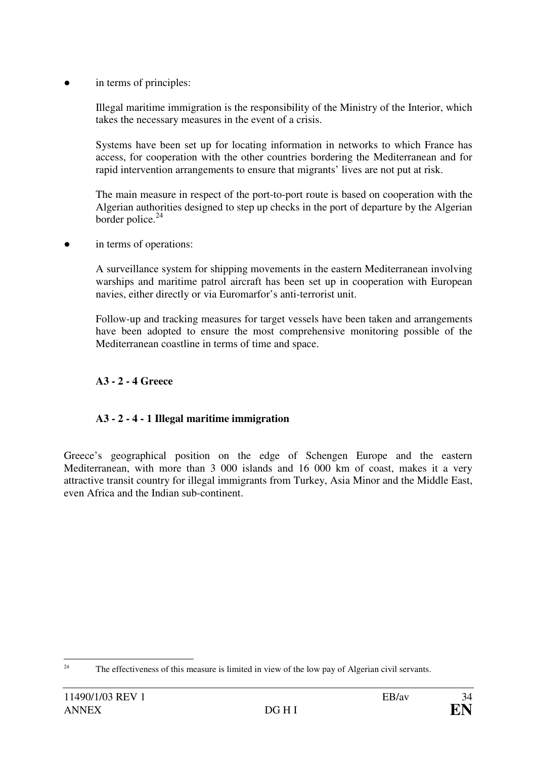in terms of principles:

 Illegal maritime immigration is the responsibility of the Ministry of the Interior, which takes the necessary measures in the event of a crisis.

 Systems have been set up for locating information in networks to which France has access, for cooperation with the other countries bordering the Mediterranean and for rapid intervention arrangements to ensure that migrants' lives are not put at risk.

 The main measure in respect of the port-to-port route is based on cooperation with the Algerian authorities designed to step up checks in the port of departure by the Algerian border police.<sup>24</sup>

in terms of operations:

 A surveillance system for shipping movements in the eastern Mediterranean involving warships and maritime patrol aircraft has been set up in cooperation with European navies, either directly or via Euromarfor's anti-terrorist unit.

 Follow-up and tracking measures for target vessels have been taken and arrangements have been adopted to ensure the most comprehensive monitoring possible of the Mediterranean coastline in terms of time and space.

#### **A3 - 2 - 4 Greece**

#### **A3 - 2 - 4 - 1 Illegal maritime immigration**

Greece's geographical position on the edge of Schengen Europe and the eastern Mediterranean, with more than 3 000 islands and 16 000 km of coast, makes it a very attractive transit country for illegal immigrants from Turkey, Asia Minor and the Middle East, even Africa and the Indian sub-continent.

<sup>&</sup>lt;sup>24</sup> The effectiveness of this measure is limited in view of the low pay of Algerian civil servants.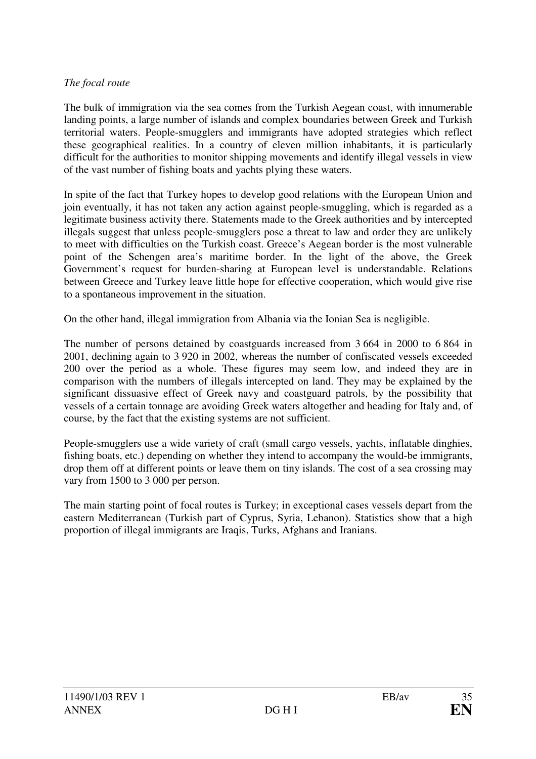#### *The focal route*

The bulk of immigration via the sea comes from the Turkish Aegean coast, with innumerable landing points, a large number of islands and complex boundaries between Greek and Turkish territorial waters. People-smugglers and immigrants have adopted strategies which reflect these geographical realities. In a country of eleven million inhabitants, it is particularly difficult for the authorities to monitor shipping movements and identify illegal vessels in view of the vast number of fishing boats and yachts plying these waters.

In spite of the fact that Turkey hopes to develop good relations with the European Union and join eventually, it has not taken any action against people-smuggling, which is regarded as a legitimate business activity there. Statements made to the Greek authorities and by intercepted illegals suggest that unless people-smugglers pose a threat to law and order they are unlikely to meet with difficulties on the Turkish coast. Greece's Aegean border is the most vulnerable point of the Schengen area's maritime border. In the light of the above, the Greek Government's request for burden-sharing at European level is understandable. Relations between Greece and Turkey leave little hope for effective cooperation, which would give rise to a spontaneous improvement in the situation.

On the other hand, illegal immigration from Albania via the Ionian Sea is negligible.

The number of persons detained by coastguards increased from 3 664 in 2000 to 6 864 in 2001, declining again to 3 920 in 2002, whereas the number of confiscated vessels exceeded 200 over the period as a whole. These figures may seem low, and indeed they are in comparison with the numbers of illegals intercepted on land. They may be explained by the significant dissuasive effect of Greek navy and coastguard patrols, by the possibility that vessels of a certain tonnage are avoiding Greek waters altogether and heading for Italy and, of course, by the fact that the existing systems are not sufficient.

People-smugglers use a wide variety of craft (small cargo vessels, yachts, inflatable dinghies, fishing boats, etc.) depending on whether they intend to accompany the would-be immigrants, drop them off at different points or leave them on tiny islands. The cost of a sea crossing may vary from 1500 to 3 000 per person.

The main starting point of focal routes is Turkey; in exceptional cases vessels depart from the eastern Mediterranean (Turkish part of Cyprus, Syria, Lebanon). Statistics show that a high proportion of illegal immigrants are Iraqis, Turks, Afghans and Iranians.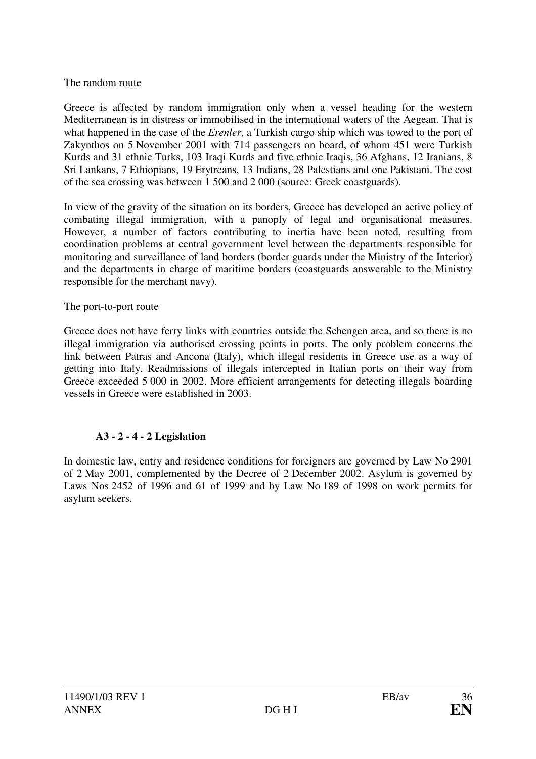#### The random route

Greece is affected by random immigration only when a vessel heading for the western Mediterranean is in distress or immobilised in the international waters of the Aegean. That is what happened in the case of the *Erenler*, a Turkish cargo ship which was towed to the port of Zakynthos on 5 November 2001 with 714 passengers on board, of whom 451 were Turkish Kurds and 31 ethnic Turks, 103 Iraqi Kurds and five ethnic Iraqis, 36 Afghans, 12 Iranians, 8 Sri Lankans, 7 Ethiopians, 19 Erytreans, 13 Indians, 28 Palestians and one Pakistani. The cost of the sea crossing was between 1 500 and 2 000 (source: Greek coastguards).

In view of the gravity of the situation on its borders, Greece has developed an active policy of combating illegal immigration, with a panoply of legal and organisational measures. However, a number of factors contributing to inertia have been noted, resulting from coordination problems at central government level between the departments responsible for monitoring and surveillance of land borders (border guards under the Ministry of the Interior) and the departments in charge of maritime borders (coastguards answerable to the Ministry responsible for the merchant navy).

#### The port-to-port route

Greece does not have ferry links with countries outside the Schengen area, and so there is no illegal immigration via authorised crossing points in ports. The only problem concerns the link between Patras and Ancona (Italy), which illegal residents in Greece use as a way of getting into Italy. Readmissions of illegals intercepted in Italian ports on their way from Greece exceeded 5 000 in 2002. More efficient arrangements for detecting illegals boarding vessels in Greece were established in 2003.

#### **A3 - 2 - 4 - 2 Legislation**

In domestic law, entry and residence conditions for foreigners are governed by Law No 2901 of 2 May 2001, complemented by the Decree of 2 December 2002. Asylum is governed by Laws Nos 2452 of 1996 and 61 of 1999 and by Law No 189 of 1998 on work permits for asylum seekers.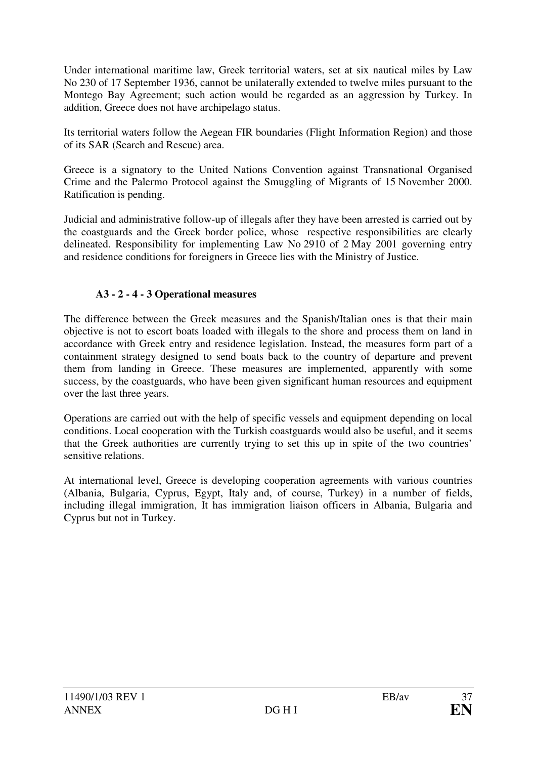Under international maritime law, Greek territorial waters, set at six nautical miles by Law No 230 of 17 September 1936, cannot be unilaterally extended to twelve miles pursuant to the Montego Bay Agreement; such action would be regarded as an aggression by Turkey. In addition, Greece does not have archipelago status.

Its territorial waters follow the Aegean FIR boundaries (Flight Information Region) and those of its SAR (Search and Rescue) area.

Greece is a signatory to the United Nations Convention against Transnational Organised Crime and the Palermo Protocol against the Smuggling of Migrants of 15 November 2000. Ratification is pending.

Judicial and administrative follow-up of illegals after they have been arrested is carried out by the coastguards and the Greek border police, whose respective responsibilities are clearly delineated. Responsibility for implementing Law No 2910 of 2 May 2001 governing entry and residence conditions for foreigners in Greece lies with the Ministry of Justice.

### **A3 - 2 - 4 - 3 Operational measures**

The difference between the Greek measures and the Spanish/Italian ones is that their main objective is not to escort boats loaded with illegals to the shore and process them on land in accordance with Greek entry and residence legislation. Instead, the measures form part of a containment strategy designed to send boats back to the country of departure and prevent them from landing in Greece. These measures are implemented, apparently with some success, by the coastguards, who have been given significant human resources and equipment over the last three years.

Operations are carried out with the help of specific vessels and equipment depending on local conditions. Local cooperation with the Turkish coastguards would also be useful, and it seems that the Greek authorities are currently trying to set this up in spite of the two countries' sensitive relations.

At international level, Greece is developing cooperation agreements with various countries (Albania, Bulgaria, Cyprus, Egypt, Italy and, of course, Turkey) in a number of fields, including illegal immigration, It has immigration liaison officers in Albania, Bulgaria and Cyprus but not in Turkey.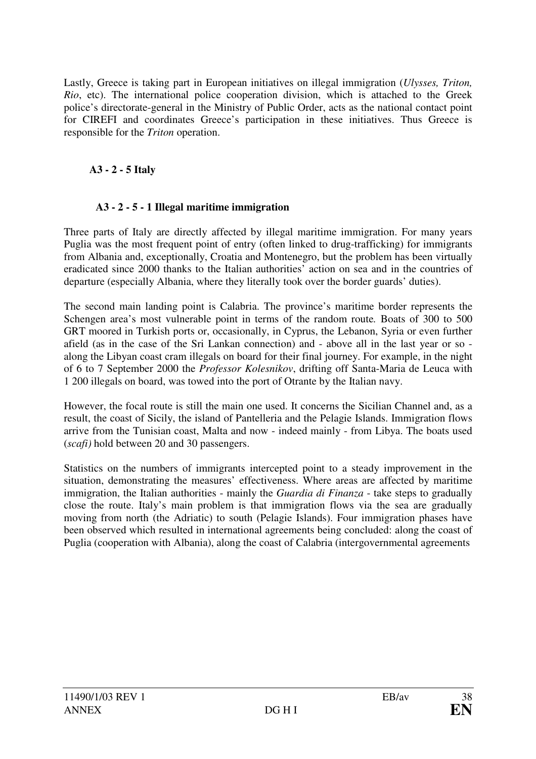Lastly, Greece is taking part in European initiatives on illegal immigration (*Ulysses, Triton, Rio*, etc). The international police cooperation division, which is attached to the Greek police's directorate-general in the Ministry of Public Order, acts as the national contact point for CIREFI and coordinates Greece's participation in these initiatives. Thus Greece is responsible for the *Triton* operation.

## **A3 - 2 - 5 Italy**

### **A3 - 2 - 5 - 1 Illegal maritime immigration**

Three parts of Italy are directly affected by illegal maritime immigration. For many years Puglia was the most frequent point of entry (often linked to drug-trafficking) for immigrants from Albania and, exceptionally, Croatia and Montenegro, but the problem has been virtually eradicated since 2000 thanks to the Italian authorities' action on sea and in the countries of departure (especially Albania, where they literally took over the border guards' duties).

The second main landing point is Calabria. The province's maritime border represents the Schengen area's most vulnerable point in terms of the random route*.* Boats of 300 to 500 GRT moored in Turkish ports or, occasionally, in Cyprus, the Lebanon, Syria or even further afield (as in the case of the Sri Lankan connection) and - above all in the last year or so along the Libyan coast cram illegals on board for their final journey. For example, in the night of 6 to 7 September 2000 the *Professor Kolesnikov*, drifting off Santa-Maria de Leuca with 1 200 illegals on board, was towed into the port of Otrante by the Italian navy.

However, the focal route is still the main one used. It concerns the Sicilian Channel and, as a result, the coast of Sicily, the island of Pantelleria and the Pelagie Islands. Immigration flows arrive from the Tunisian coast, Malta and now - indeed mainly - from Libya. The boats used (*scafi)* hold between 20 and 30 passengers.

Statistics on the numbers of immigrants intercepted point to a steady improvement in the situation, demonstrating the measures' effectiveness. Where areas are affected by maritime immigration, the Italian authorities - mainly the *Guardia di Finanza* - take steps to gradually close the route. Italy's main problem is that immigration flows via the sea are gradually moving from north (the Adriatic) to south (Pelagie Islands). Four immigration phases have been observed which resulted in international agreements being concluded: along the coast of Puglia (cooperation with Albania), along the coast of Calabria (intergovernmental agreements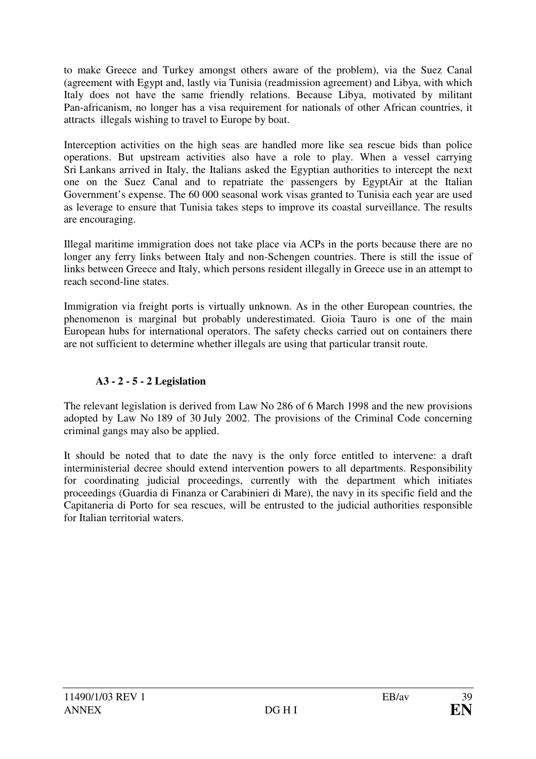to make Greece and Turkey amongst others aware of the problem), via the Suez Canal (agreement with Egypt and, lastly via Tunisia (readmission agreement) and Libya, with which Italy does not have the same friendly relations. Because Libya, motivated by militant Pan-africanism, no longer has a visa requirement for nationals of other African countries, it attracts illegals wishing to travel to Europe by boat.

Interception activities on the high seas are handled more like sea rescue bids than police operations. But upstream activities also have a role to play. When a vessel carrying Sri Lankans arrived in Italy, the Italians asked the Egyptian authorities to intercept the next one on the Suez Canal and to repatriate the passengers by EgyptAir at the Italian Government's expense. The 60 000 seasonal work visas granted to Tunisia each year are used as leverage to ensure that Tunisia takes steps to improve its coastal surveillance. The results are encouraging.

Illegal maritime immigration does not take place via ACPs in the ports because there are no longer any ferry links between Italy and non-Schengen countries. There is still the issue of links between Greece and Italy, which persons resident illegally in Greece use in an attempt to reach second-line states.

Immigration via freight ports is virtually unknown. As in the other European countries, the phenomenon is marginal but probably underestimated. Gioia Tauro is one of the main European hubs for international operators. The safety checks carried out on containers there are not sufficient to determine whether illegals are using that particular transit route.

# **A3 - 2 - 5 - 2 Legislation**

The relevant legislation is derived from Law No 286 of 6 March 1998 and the new provisions adopted by Law No 189 of 30 July 2002. The provisions of the Criminal Code concerning criminal gangs may also be applied.

It should be noted that to date the navy is the only force entitled to intervene: a draft interministerial decree should extend intervention powers to all departments. Responsibility for coordinating judicial proceedings, currently with the department which initiates proceedings (Guardia di Finanza or Carabinieri di Mare), the navy in its specific field and the Capitaneria di Porto for sea rescues, will be entrusted to the judicial authorities responsible for Italian territorial waters.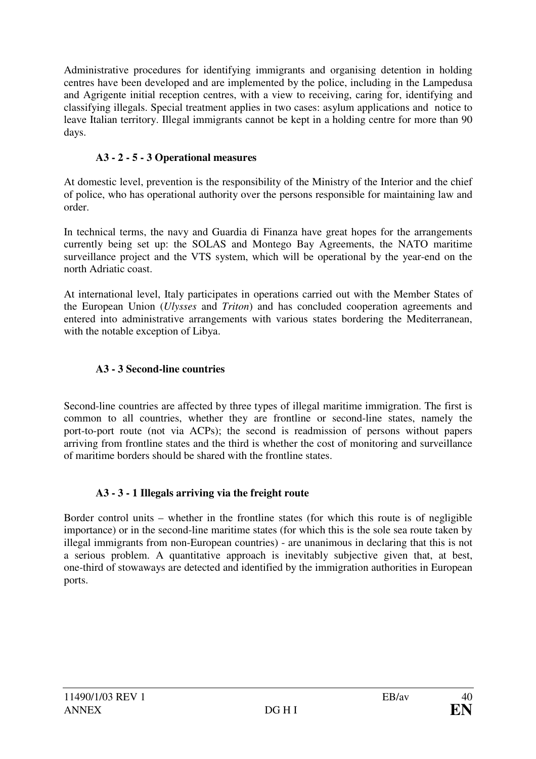Administrative procedures for identifying immigrants and organising detention in holding centres have been developed and are implemented by the police, including in the Lampedusa and Agrigente initial reception centres, with a view to receiving, caring for, identifying and classifying illegals. Special treatment applies in two cases: asylum applications and notice to leave Italian territory. Illegal immigrants cannot be kept in a holding centre for more than 90 days.

# **A3 - 2 - 5 - 3 Operational measures**

At domestic level, prevention is the responsibility of the Ministry of the Interior and the chief of police, who has operational authority over the persons responsible for maintaining law and order.

In technical terms, the navy and Guardia di Finanza have great hopes for the arrangements currently being set up: the SOLAS and Montego Bay Agreements, the NATO maritime surveillance project and the VTS system, which will be operational by the year-end on the north Adriatic coast.

At international level, Italy participates in operations carried out with the Member States of the European Union (*Ulysses* and *Triton*) and has concluded cooperation agreements and entered into administrative arrangements with various states bordering the Mediterranean, with the notable exception of Libya.

# **A3 - 3 Second-line countries**

Second-line countries are affected by three types of illegal maritime immigration. The first is common to all countries, whether they are frontline or second-line states, namely the port-to-port route (not via ACPs); the second is readmission of persons without papers arriving from frontline states and the third is whether the cost of monitoring and surveillance of maritime borders should be shared with the frontline states.

# **A3 - 3 - 1 Illegals arriving via the freight route**

Border control units – whether in the frontline states (for which this route is of negligible importance) or in the second-line maritime states (for which this is the sole sea route taken by illegal immigrants from non-European countries) - are unanimous in declaring that this is not a serious problem. A quantitative approach is inevitably subjective given that, at best, one-third of stowaways are detected and identified by the immigration authorities in European ports.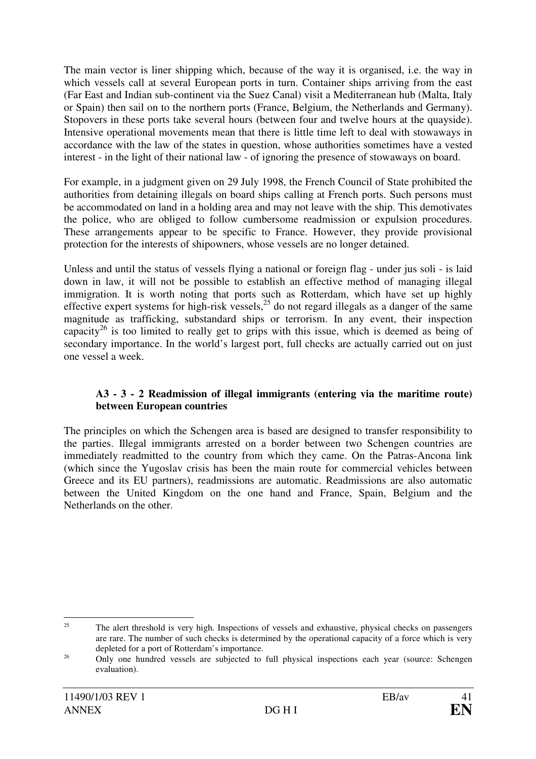The main vector is liner shipping which, because of the way it is organised, i.e. the way in which vessels call at several European ports in turn. Container ships arriving from the east (Far East and Indian sub-continent via the Suez Canal) visit a Mediterranean hub (Malta, Italy or Spain) then sail on to the northern ports (France, Belgium, the Netherlands and Germany). Stopovers in these ports take several hours (between four and twelve hours at the quayside). Intensive operational movements mean that there is little time left to deal with stowaways in accordance with the law of the states in question, whose authorities sometimes have a vested interest - in the light of their national law - of ignoring the presence of stowaways on board.

For example, in a judgment given on 29 July 1998, the French Council of State prohibited the authorities from detaining illegals on board ships calling at French ports. Such persons must be accommodated on land in a holding area and may not leave with the ship. This demotivates the police, who are obliged to follow cumbersome readmission or expulsion procedures. These arrangements appear to be specific to France. However, they provide provisional protection for the interests of shipowners, whose vessels are no longer detained.

Unless and until the status of vessels flying a national or foreign flag - under jus soli - is laid down in law, it will not be possible to establish an effective method of managing illegal immigration. It is worth noting that ports such as Rotterdam, which have set up highly effective expert systems for high-risk vessels,<sup>25</sup> do not regard illegals as a danger of the same magnitude as trafficking, substandard ships or terrorism. In any event, their inspection capacity<sup>26</sup> is too limited to really get to grips with this issue, which is deemed as being of secondary importance. In the world's largest port, full checks are actually carried out on just one vessel a week.

#### **A3 - 3 - 2 Readmission of illegal immigrants (entering via the maritime route) between European countries**

The principles on which the Schengen area is based are designed to transfer responsibility to the parties. Illegal immigrants arrested on a border between two Schengen countries are immediately readmitted to the country from which they came. On the Patras-Ancona link (which since the Yugoslav crisis has been the main route for commercial vehicles between Greece and its EU partners), readmissions are automatic. Readmissions are also automatic between the United Kingdom on the one hand and France, Spain, Belgium and the Netherlands on the other.

<sup>&</sup>lt;sup>25</sup> The alert threshold is very high. Inspections of vessels and exhaustive, physical checks on passengers are rare. The number of such checks is determined by the operational capacity of a force which is very depleted for a port of Rotterdam's importance.

<sup>26</sup> Only one hundred vessels are subjected to full physical inspections each year (source: Schengen evaluation).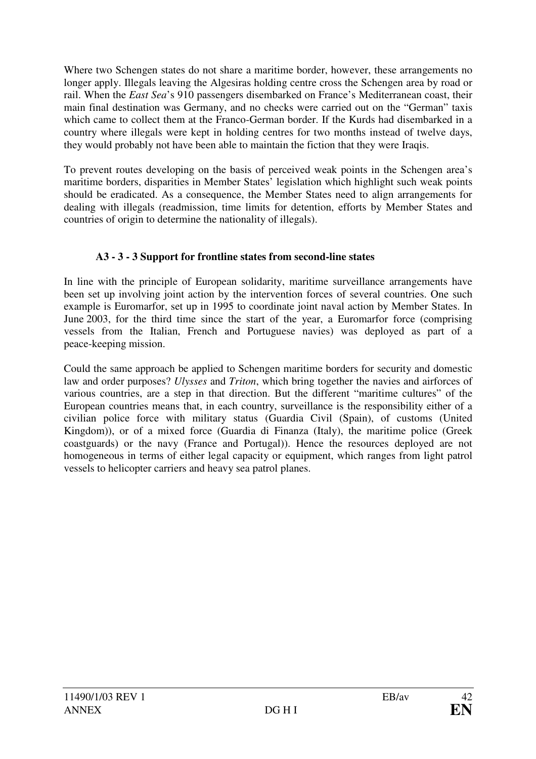Where two Schengen states do not share a maritime border, however, these arrangements no longer apply. Illegals leaving the Algesiras holding centre cross the Schengen area by road or rail. When the *East Sea*'s 910 passengers disembarked on France's Mediterranean coast, their main final destination was Germany, and no checks were carried out on the "German" taxis which came to collect them at the Franco-German border. If the Kurds had disembarked in a country where illegals were kept in holding centres for two months instead of twelve days, they would probably not have been able to maintain the fiction that they were Iraqis.

To prevent routes developing on the basis of perceived weak points in the Schengen area's maritime borders, disparities in Member States' legislation which highlight such weak points should be eradicated. As a consequence, the Member States need to align arrangements for dealing with illegals (readmission, time limits for detention, efforts by Member States and countries of origin to determine the nationality of illegals).

# **A3 - 3 - 3 Support for frontline states from second-line states**

In line with the principle of European solidarity, maritime surveillance arrangements have been set up involving joint action by the intervention forces of several countries. One such example is Euromarfor, set up in 1995 to coordinate joint naval action by Member States. In June 2003, for the third time since the start of the year, a Euromarfor force (comprising vessels from the Italian, French and Portuguese navies) was deployed as part of a peace-keeping mission.

Could the same approach be applied to Schengen maritime borders for security and domestic law and order purposes? *Ulysses* and *Triton*, which bring together the navies and airforces of various countries, are a step in that direction. But the different "maritime cultures" of the European countries means that, in each country, surveillance is the responsibility either of a civilian police force with military status (Guardia Civil (Spain), of customs (United Kingdom)), or of a mixed force (Guardia di Finanza (Italy), the maritime police (Greek coastguards) or the navy (France and Portugal)). Hence the resources deployed are not homogeneous in terms of either legal capacity or equipment, which ranges from light patrol vessels to helicopter carriers and heavy sea patrol planes.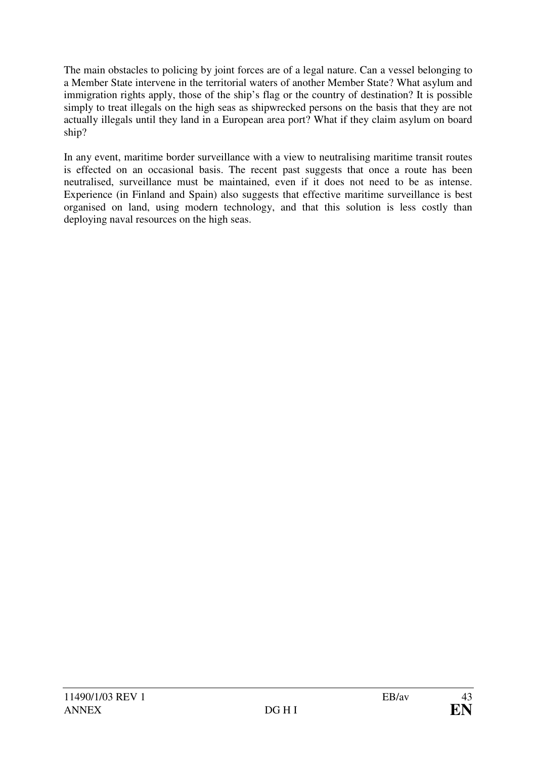The main obstacles to policing by joint forces are of a legal nature. Can a vessel belonging to a Member State intervene in the territorial waters of another Member State? What asylum and immigration rights apply, those of the ship's flag or the country of destination? It is possible simply to treat illegals on the high seas as shipwrecked persons on the basis that they are not actually illegals until they land in a European area port? What if they claim asylum on board ship?

In any event, maritime border surveillance with a view to neutralising maritime transit routes is effected on an occasional basis. The recent past suggests that once a route has been neutralised, surveillance must be maintained, even if it does not need to be as intense. Experience (in Finland and Spain) also suggests that effective maritime surveillance is best organised on land, using modern technology, and that this solution is less costly than deploying naval resources on the high seas.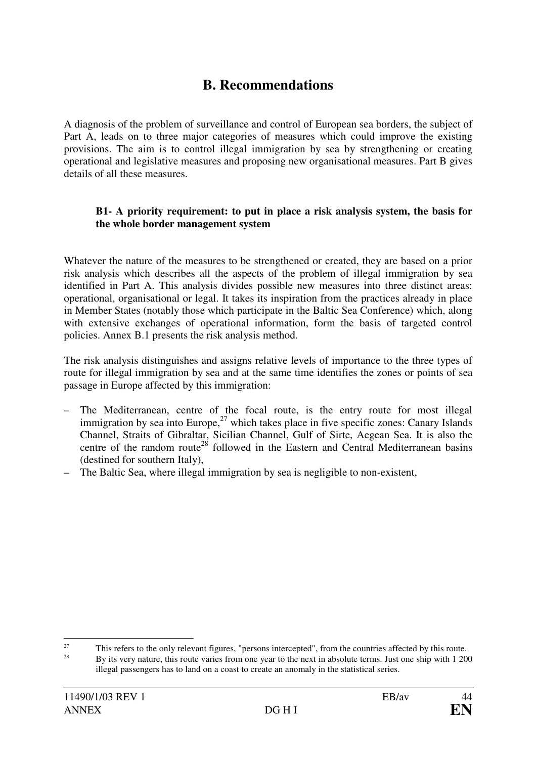# **B. Recommendations**

A diagnosis of the problem of surveillance and control of European sea borders, the subject of Part A, leads on to three major categories of measures which could improve the existing provisions. The aim is to control illegal immigration by sea by strengthening or creating operational and legislative measures and proposing new organisational measures. Part B gives details of all these measures.

#### **B1- A priority requirement: to put in place a risk analysis system, the basis for the whole border management system**

Whatever the nature of the measures to be strengthened or created, they are based on a prior risk analysis which describes all the aspects of the problem of illegal immigration by sea identified in Part A. This analysis divides possible new measures into three distinct areas: operational, organisational or legal. It takes its inspiration from the practices already in place in Member States (notably those which participate in the Baltic Sea Conference) which, along with extensive exchanges of operational information, form the basis of targeted control policies. Annex B.1 presents the risk analysis method.

The risk analysis distinguishes and assigns relative levels of importance to the three types of route for illegal immigration by sea and at the same time identifies the zones or points of sea passage in Europe affected by this immigration:

- The Mediterranean, centre of the focal route, is the entry route for most illegal immigration by sea into Europe.<sup>27</sup> which takes place in five specific zones: Canary Islands Channel, Straits of Gibraltar, Sicilian Channel, Gulf of Sirte, Aegean Sea. It is also the centre of the random route<sup>28</sup> followed in the Eastern and Central Mediterranean basins (destined for southern Italy),
- The Baltic Sea, where illegal immigration by sea is negligible to non-existent,

 $\frac{1}{27}$  $\frac{27}{28}$  This refers to the only relevant figures, "persons intercepted", from the countries affected by this route.

<sup>28</sup> By its very nature, this route varies from one year to the next in absolute terms. Just one ship with 1 200 illegal passengers has to land on a coast to create an anomaly in the statistical series.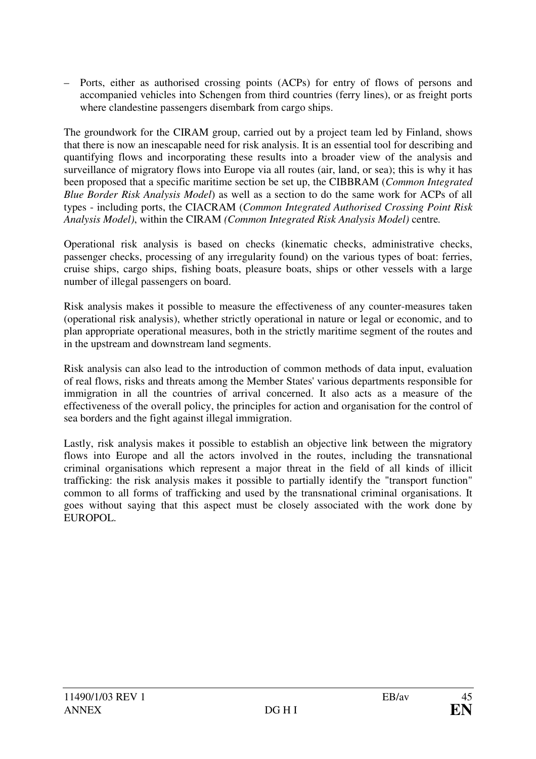– Ports, either as authorised crossing points (ACPs) for entry of flows of persons and accompanied vehicles into Schengen from third countries (ferry lines), or as freight ports where clandestine passengers disembark from cargo ships.

The groundwork for the CIRAM group, carried out by a project team led by Finland, shows that there is now an inescapable need for risk analysis. It is an essential tool for describing and quantifying flows and incorporating these results into a broader view of the analysis and surveillance of migratory flows into Europe via all routes (air, land, or sea); this is why it has been proposed that a specific maritime section be set up, the CIBBRAM (*Common Integrated Blue Border Risk Analysis Model*) as well as a section to do the same work for ACPs of all types - including ports, the CIACRAM (*Common Integrated Authorised Crossing Point Risk Analysis Model)*, within the CIRAM *(Common Integrated Risk Analysis Model)* centre*.* 

Operational risk analysis is based on checks (kinematic checks, administrative checks, passenger checks, processing of any irregularity found) on the various types of boat: ferries, cruise ships, cargo ships, fishing boats, pleasure boats, ships or other vessels with a large number of illegal passengers on board.

Risk analysis makes it possible to measure the effectiveness of any counter-measures taken (operational risk analysis), whether strictly operational in nature or legal or economic, and to plan appropriate operational measures, both in the strictly maritime segment of the routes and in the upstream and downstream land segments.

Risk analysis can also lead to the introduction of common methods of data input, evaluation of real flows, risks and threats among the Member States' various departments responsible for immigration in all the countries of arrival concerned. It also acts as a measure of the effectiveness of the overall policy, the principles for action and organisation for the control of sea borders and the fight against illegal immigration.

Lastly, risk analysis makes it possible to establish an objective link between the migratory flows into Europe and all the actors involved in the routes, including the transnational criminal organisations which represent a major threat in the field of all kinds of illicit trafficking: the risk analysis makes it possible to partially identify the "transport function" common to all forms of trafficking and used by the transnational criminal organisations. It goes without saying that this aspect must be closely associated with the work done by EUROPOL.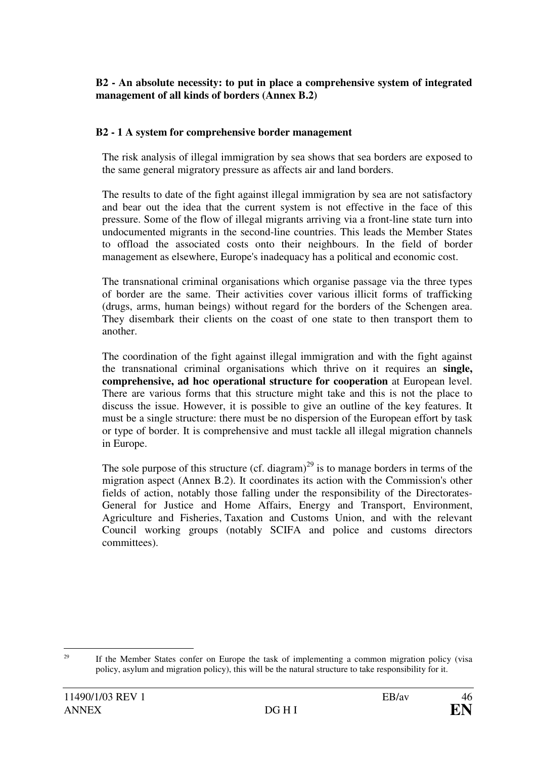#### **B2 - An absolute necessity: to put in place a comprehensive system of integrated management of all kinds of borders (Annex B.2)**

#### **B2 - 1 A system for comprehensive border management**

The risk analysis of illegal immigration by sea shows that sea borders are exposed to the same general migratory pressure as affects air and land borders.

The results to date of the fight against illegal immigration by sea are not satisfactory and bear out the idea that the current system is not effective in the face of this pressure. Some of the flow of illegal migrants arriving via a front-line state turn into undocumented migrants in the second-line countries. This leads the Member States to offload the associated costs onto their neighbours. In the field of border management as elsewhere, Europe's inadequacy has a political and economic cost.

The transnational criminal organisations which organise passage via the three types of border are the same. Their activities cover various illicit forms of trafficking (drugs, arms, human beings) without regard for the borders of the Schengen area. They disembark their clients on the coast of one state to then transport them to another.

The coordination of the fight against illegal immigration and with the fight against the transnational criminal organisations which thrive on it requires an **single, comprehensive, ad hoc operational structure for cooperation** at European level. There are various forms that this structure might take and this is not the place to discuss the issue. However, it is possible to give an outline of the key features. It must be a single structure: there must be no dispersion of the European effort by task or type of border. It is comprehensive and must tackle all illegal migration channels in Europe.

The sole purpose of this structure (cf. diagram)<sup>29</sup> is to manage borders in terms of the migration aspect (Annex B.2). It coordinates its action with the Commission's other fields of action, notably those falling under the responsibility of the Directorates-General for Justice and Home Affairs, Energy and Transport, Environment, Agriculture and Fisheries, Taxation and Customs Union, and with the relevant Council working groups (notably SCIFA and police and customs directors committees).

<sup>&</sup>lt;sup>29</sup> If the Member States confer on Europe the task of implementing a common migration policy (visa policy, asylum and migration policy), this will be the natural structure to take responsibility for it.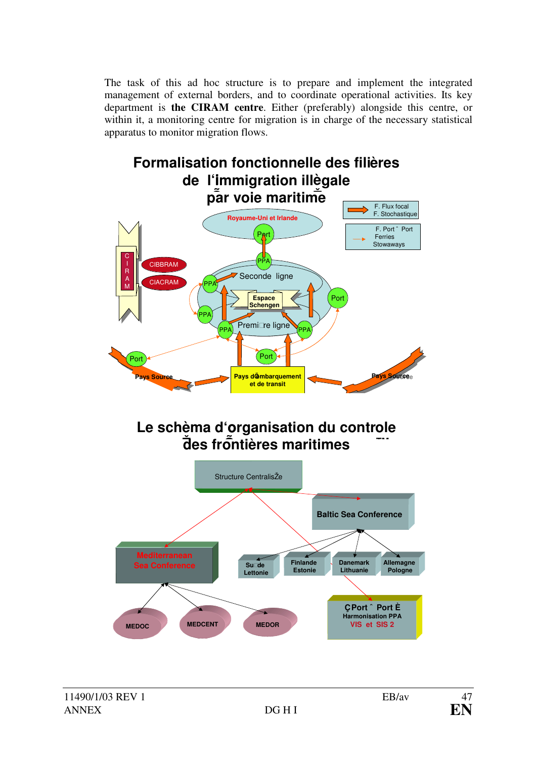The task of this ad hoc structure is to prepare and implement the integrated management of external borders, and to coordinate operational activities. Its key department is **the CIRAM centre**. Either (preferably) alongside this centre, or within it, a monitoring centre for migration is in charge of the necessary statistical apparatus to monitor migration flows.

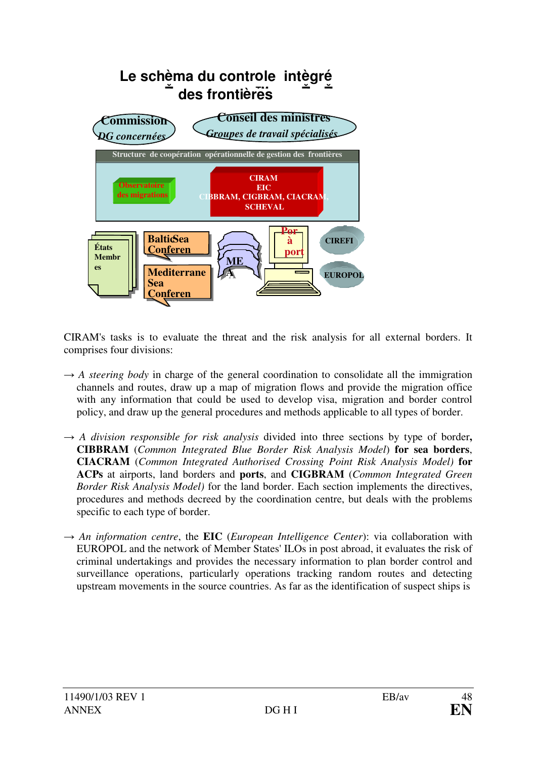

CIRAM's tasks is to evaluate the threat and the risk analysis for all external borders. It comprises four divisions:

- $\rightarrow$  *A steering body* in charge of the general coordination to consolidate all the immigration channels and routes, draw up a map of migration flows and provide the migration office with any information that could be used to develop visa, migration and border control policy, and draw up the general procedures and methods applicable to all types of border.
- $\rightarrow$  *A division responsible for risk analysis* divided into three sections by type of border, **CIBBRAM** (*Common Integrated Blue Border Risk Analysis Model*) **for sea borders**, **CIACRAM** (*Common Integrated Authorised Crossing Point Risk Analysis Model)* **for ACPs** at airports, land borders and **ports**, and **CIGBRAM** (*Common Integrated Green Border Risk Analysis Model)* for the land border. Each section implements the directives, procedures and methods decreed by the coordination centre, but deals with the problems specific to each type of border.
- → *An information centre*, the **EIC** (*European Intelligence Center*): via collaboration with EUROPOL and the network of Member States' ILOs in post abroad, it evaluates the risk of criminal undertakings and provides the necessary information to plan border control and surveillance operations, particularly operations tracking random routes and detecting upstream movements in the source countries. As far as the identification of suspect ships is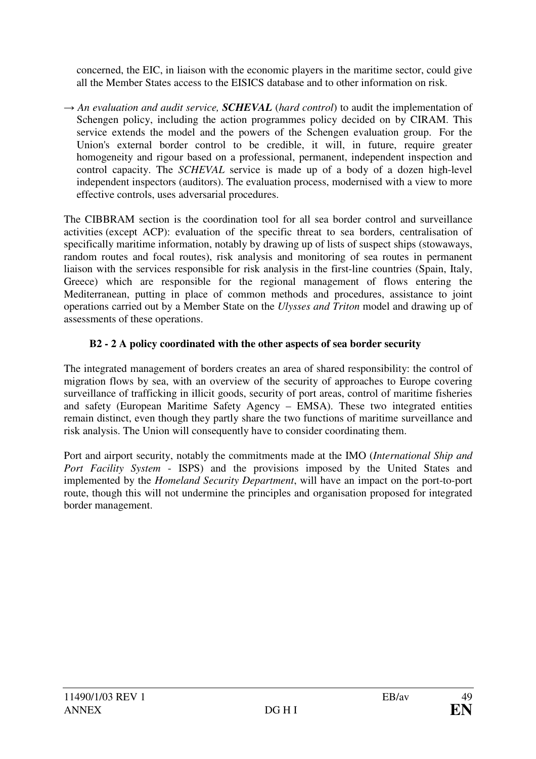concerned, the EIC, in liaison with the economic players in the maritime sector, could give all the Member States access to the EISICS database and to other information on risk.

→ An evaluation and audit service, **SCHEVAL** (hard control) to audit the implementation of Schengen policy, including the action programmes policy decided on by CIRAM. This service extends the model and the powers of the Schengen evaluation group. For the Union's external border control to be credible, it will, in future, require greater homogeneity and rigour based on a professional, permanent, independent inspection and control capacity. The *SCHEVAL* service is made up of a body of a dozen high-level independent inspectors (auditors). The evaluation process, modernised with a view to more effective controls, uses adversarial procedures.

The CIBBRAM section is the coordination tool for all sea border control and surveillance activities (except ACP): evaluation of the specific threat to sea borders, centralisation of specifically maritime information, notably by drawing up of lists of suspect ships (stowaways, random routes and focal routes), risk analysis and monitoring of sea routes in permanent liaison with the services responsible for risk analysis in the first-line countries (Spain, Italy, Greece) which are responsible for the regional management of flows entering the Mediterranean, putting in place of common methods and procedures, assistance to joint operations carried out by a Member State on the *Ulysses and Triton* model and drawing up of assessments of these operations.

# **B2 - 2 A policy coordinated with the other aspects of sea border security**

The integrated management of borders creates an area of shared responsibility: the control of migration flows by sea, with an overview of the security of approaches to Europe covering surveillance of trafficking in illicit goods, security of port areas, control of maritime fisheries and safety (European Maritime Safety Agency – EMSA). These two integrated entities remain distinct, even though they partly share the two functions of maritime surveillance and risk analysis. The Union will consequently have to consider coordinating them.

Port and airport security, notably the commitments made at the IMO (*International Ship and Port Facility System* - ISPS) and the provisions imposed by the United States and implemented by the *Homeland Security Department*, will have an impact on the port-to-port route, though this will not undermine the principles and organisation proposed for integrated border management.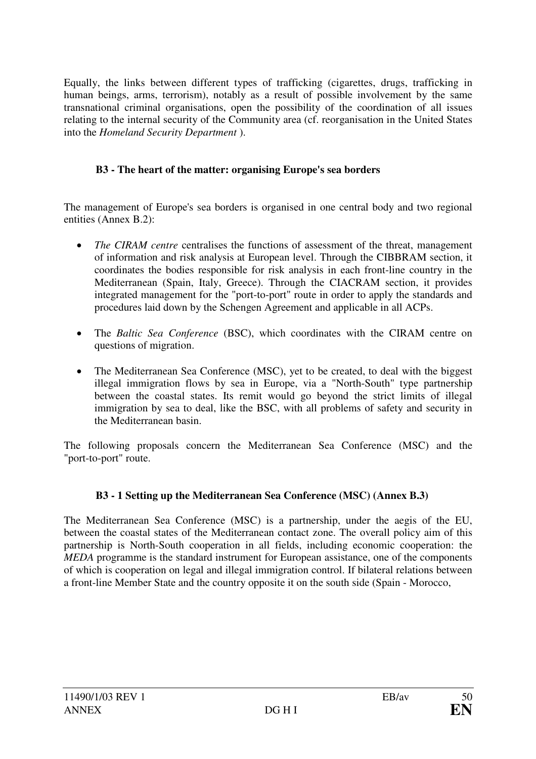Equally, the links between different types of trafficking (cigarettes, drugs, trafficking in human beings, arms, terrorism), notably as a result of possible involvement by the same transnational criminal organisations, open the possibility of the coordination of all issues relating to the internal security of the Community area (cf. reorganisation in the United States into the *Homeland Security Department* ).

# **B3 - The heart of the matter: organising Europe's sea borders**

The management of Europe's sea borders is organised in one central body and two regional entities (Annex B.2):

- The CIRAM centre centralises the functions of assessment of the threat, management of information and risk analysis at European level. Through the CIBBRAM section, it coordinates the bodies responsible for risk analysis in each front-line country in the Mediterranean (Spain, Italy, Greece). Through the CIACRAM section, it provides integrated management for the "port-to-port" route in order to apply the standards and procedures laid down by the Schengen Agreement and applicable in all ACPs.
- · The *Baltic Sea Conference* (BSC), which coordinates with the CIRAM centre on questions of migration.
- The Mediterranean Sea Conference (MSC), yet to be created, to deal with the biggest illegal immigration flows by sea in Europe, via a "North-South" type partnership between the coastal states. Its remit would go beyond the strict limits of illegal immigration by sea to deal, like the BSC, with all problems of safety and security in the Mediterranean basin.

The following proposals concern the Mediterranean Sea Conference (MSC) and the "port-to-port" route.

# **B3 - 1 Setting up the Mediterranean Sea Conference (MSC) (Annex B.3)**

The Mediterranean Sea Conference (MSC) is a partnership, under the aegis of the EU, between the coastal states of the Mediterranean contact zone. The overall policy aim of this partnership is North-South cooperation in all fields, including economic cooperation: the *MEDA* programme is the standard instrument for European assistance, one of the components of which is cooperation on legal and illegal immigration control. If bilateral relations between a front-line Member State and the country opposite it on the south side (Spain - Morocco,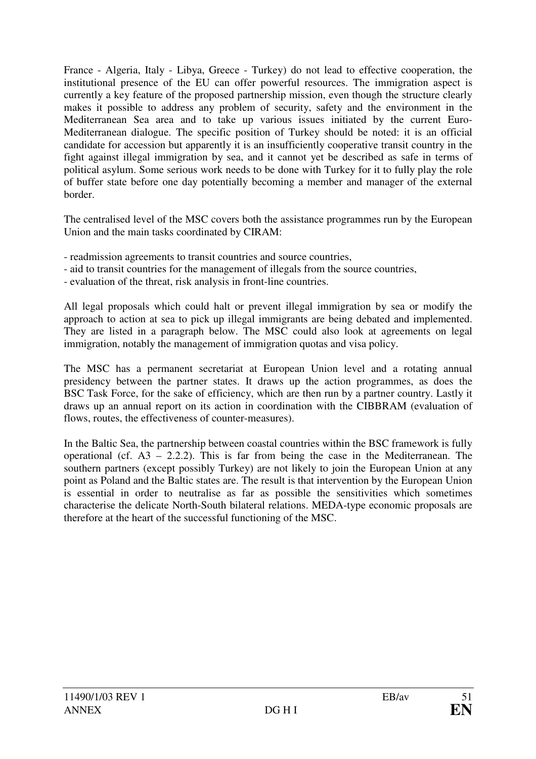France - Algeria, Italy - Libya, Greece - Turkey) do not lead to effective cooperation, the institutional presence of the EU can offer powerful resources. The immigration aspect is currently a key feature of the proposed partnership mission, even though the structure clearly makes it possible to address any problem of security, safety and the environment in the Mediterranean Sea area and to take up various issues initiated by the current Euro-Mediterranean dialogue. The specific position of Turkey should be noted: it is an official candidate for accession but apparently it is an insufficiently cooperative transit country in the fight against illegal immigration by sea, and it cannot yet be described as safe in terms of political asylum. Some serious work needs to be done with Turkey for it to fully play the role of buffer state before one day potentially becoming a member and manager of the external border.

The centralised level of the MSC covers both the assistance programmes run by the European Union and the main tasks coordinated by CIRAM:

- readmission agreements to transit countries and source countries,
- aid to transit countries for the management of illegals from the source countries,
- evaluation of the threat, risk analysis in front-line countries.

All legal proposals which could halt or prevent illegal immigration by sea or modify the approach to action at sea to pick up illegal immigrants are being debated and implemented. They are listed in a paragraph below. The MSC could also look at agreements on legal immigration, notably the management of immigration quotas and visa policy.

The MSC has a permanent secretariat at European Union level and a rotating annual presidency between the partner states. It draws up the action programmes, as does the BSC Task Force, for the sake of efficiency, which are then run by a partner country. Lastly it draws up an annual report on its action in coordination with the CIBBRAM (evaluation of flows, routes, the effectiveness of counter-measures).

In the Baltic Sea, the partnership between coastal countries within the BSC framework is fully operational (cf.  $A3 - 2.2.2$ ). This is far from being the case in the Mediterranean. The southern partners (except possibly Turkey) are not likely to join the European Union at any point as Poland and the Baltic states are. The result is that intervention by the European Union is essential in order to neutralise as far as possible the sensitivities which sometimes characterise the delicate North-South bilateral relations. MEDA-type economic proposals are therefore at the heart of the successful functioning of the MSC.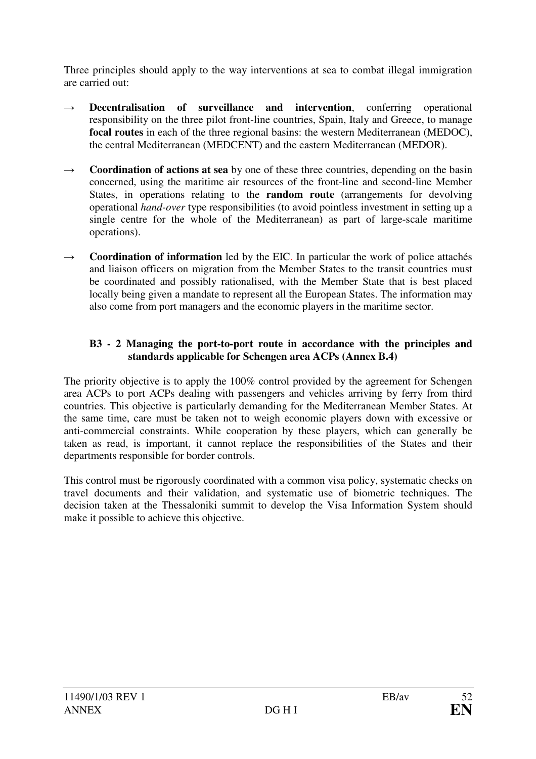Three principles should apply to the way interventions at sea to combat illegal immigration are carried out:

- $\rightarrow$  **Decentralisation of surveillance and intervention**, conferring operational responsibility on the three pilot front-line countries, Spain, Italy and Greece, to manage **focal routes** in each of the three regional basins: the western Mediterranean (MEDOC), the central Mediterranean (MEDCENT) and the eastern Mediterranean (MEDOR).
- $\rightarrow$  **Coordination of actions at sea** by one of these three countries, depending on the basin concerned, using the maritime air resources of the front-line and second-line Member States, in operations relating to the **random route** (arrangements for devolving operational *hand-over* type responsibilities (to avoid pointless investment in setting up a single centre for the whole of the Mediterranean) as part of large-scale maritime operations).
- $\rightarrow$  **Coordination of information** led by the EIC. In particular the work of police attachés and liaison officers on migration from the Member States to the transit countries must be coordinated and possibly rationalised, with the Member State that is best placed locally being given a mandate to represent all the European States. The information may also come from port managers and the economic players in the maritime sector.

### **B3 - 2 Managing the port-to-port route in accordance with the principles and standards applicable for Schengen area ACPs (Annex B.4)**

The priority objective is to apply the 100% control provided by the agreement for Schengen area ACPs to port ACPs dealing with passengers and vehicles arriving by ferry from third countries. This objective is particularly demanding for the Mediterranean Member States. At the same time, care must be taken not to weigh economic players down with excessive or anti-commercial constraints. While cooperation by these players, which can generally be taken as read, is important, it cannot replace the responsibilities of the States and their departments responsible for border controls.

This control must be rigorously coordinated with a common visa policy, systematic checks on travel documents and their validation, and systematic use of biometric techniques. The decision taken at the Thessaloniki summit to develop the Visa Information System should make it possible to achieve this objective.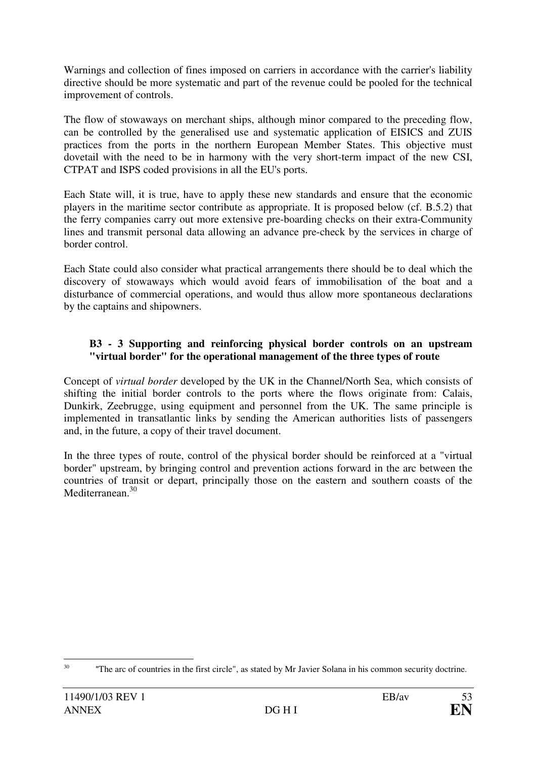Warnings and collection of fines imposed on carriers in accordance with the carrier's liability directive should be more systematic and part of the revenue could be pooled for the technical improvement of controls.

The flow of stowaways on merchant ships, although minor compared to the preceding flow, can be controlled by the generalised use and systematic application of EISICS and ZUIS practices from the ports in the northern European Member States. This objective must dovetail with the need to be in harmony with the very short-term impact of the new CSI, CTPAT and ISPS coded provisions in all the EU's ports.

Each State will, it is true, have to apply these new standards and ensure that the economic players in the maritime sector contribute as appropriate. It is proposed below (cf. B.5.2) that the ferry companies carry out more extensive pre-boarding checks on their extra-Community lines and transmit personal data allowing an advance pre-check by the services in charge of border control.

Each State could also consider what practical arrangements there should be to deal which the discovery of stowaways which would avoid fears of immobilisation of the boat and a disturbance of commercial operations, and would thus allow more spontaneous declarations by the captains and shipowners.

### **B3 - 3 Supporting and reinforcing physical border controls on an upstream "virtual border" for the operational management of the three types of route**

Concept of *virtual border* developed by the UK in the Channel/North Sea, which consists of shifting the initial border controls to the ports where the flows originate from: Calais, Dunkirk, Zeebrugge, using equipment and personnel from the UK. The same principle is implemented in transatlantic links by sending the American authorities lists of passengers and, in the future, a copy of their travel document.

In the three types of route, control of the physical border should be reinforced at a "virtual border" upstream, by bringing control and prevention actions forward in the arc between the countries of transit or depart, principally those on the eastern and southern coasts of the Mediterranean<sup>30</sup>

 $30<sup>1</sup>$ "The arc of countries in the first circle", as stated by Mr Javier Solana in his common security doctrine.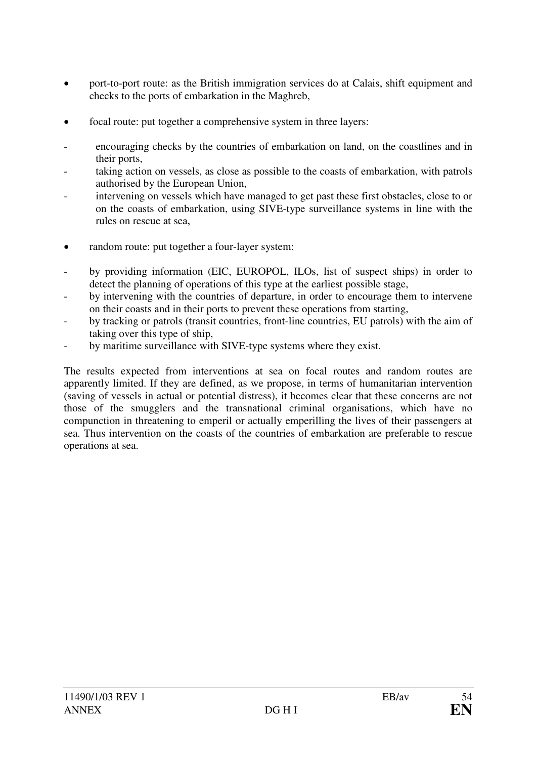- port-to-port route: as the British immigration services do at Calais, shift equipment and checks to the ports of embarkation in the Maghreb,
- focal route: put together a comprehensive system in three layers:
- encouraging checks by the countries of embarkation on land, on the coastlines and in their ports,
- taking action on vessels, as close as possible to the coasts of embarkation, with patrols authorised by the European Union,
- intervening on vessels which have managed to get past these first obstacles, close to or on the coasts of embarkation, using SIVE-type surveillance systems in line with the rules on rescue at sea,
- random route: put together a four-layer system:
- by providing information (EIC, EUROPOL, ILOs, list of suspect ships) in order to detect the planning of operations of this type at the earliest possible stage,
- by intervening with the countries of departure, in order to encourage them to intervene on their coasts and in their ports to prevent these operations from starting,
- by tracking or patrols (transit countries, front-line countries, EU patrols) with the aim of taking over this type of ship,
- by maritime surveillance with SIVE-type systems where they exist.

The results expected from interventions at sea on focal routes and random routes are apparently limited. If they are defined, as we propose, in terms of humanitarian intervention (saving of vessels in actual or potential distress), it becomes clear that these concerns are not those of the smugglers and the transnational criminal organisations, which have no compunction in threatening to emperil or actually emperilling the lives of their passengers at sea. Thus intervention on the coasts of the countries of embarkation are preferable to rescue operations at sea.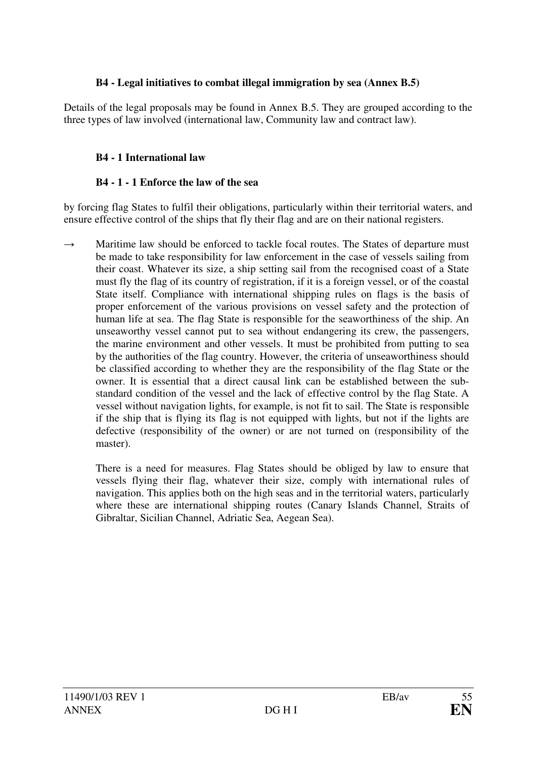### **B4 - Legal initiatives to combat illegal immigration by sea (Annex B.5)**

Details of the legal proposals may be found in Annex B.5. They are grouped according to the three types of law involved (international law, Community law and contract law).

## **B4 - 1 International law**

### **B4 - 1 - 1 Enforce the law of the sea**

by forcing flag States to fulfil their obligations, particularly within their territorial waters, and ensure effective control of the ships that fly their flag and are on their national registers.

 $\rightarrow$  Maritime law should be enforced to tackle focal routes. The States of departure must be made to take responsibility for law enforcement in the case of vessels sailing from their coast. Whatever its size, a ship setting sail from the recognised coast of a State must fly the flag of its country of registration, if it is a foreign vessel, or of the coastal State itself. Compliance with international shipping rules on flags is the basis of proper enforcement of the various provisions on vessel safety and the protection of human life at sea. The flag State is responsible for the seaworthiness of the ship. An unseaworthy vessel cannot put to sea without endangering its crew, the passengers, the marine environment and other vessels. It must be prohibited from putting to sea by the authorities of the flag country. However, the criteria of unseaworthiness should be classified according to whether they are the responsibility of the flag State or the owner. It is essential that a direct causal link can be established between the substandard condition of the vessel and the lack of effective control by the flag State. A vessel without navigation lights, for example, is not fit to sail. The State is responsible if the ship that is flying its flag is not equipped with lights, but not if the lights are defective (responsibility of the owner) or are not turned on (responsibility of the master).

 There is a need for measures. Flag States should be obliged by law to ensure that vessels flying their flag, whatever their size, comply with international rules of navigation. This applies both on the high seas and in the territorial waters, particularly where these are international shipping routes (Canary Islands Channel, Straits of Gibraltar, Sicilian Channel, Adriatic Sea, Aegean Sea).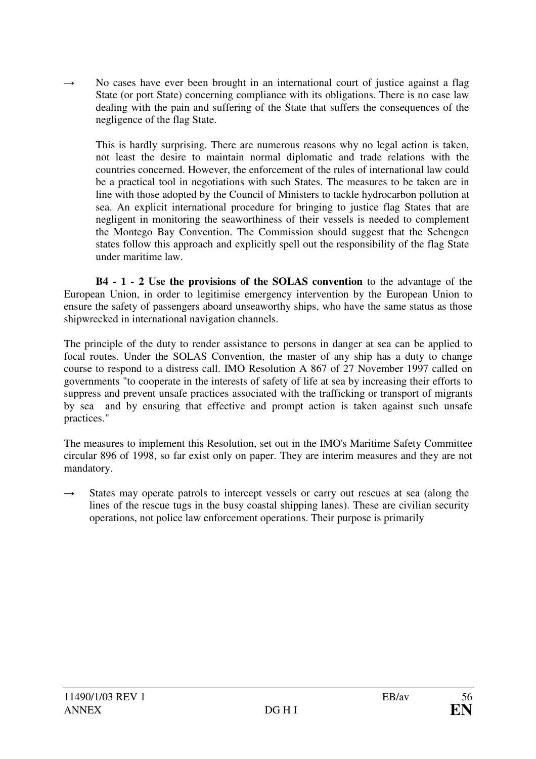$\rightarrow$  No cases have ever been brought in an international court of justice against a flag State (or port State) concerning compliance with its obligations. There is no case law dealing with the pain and suffering of the State that suffers the consequences of the negligence of the flag State.

 This is hardly surprising. There are numerous reasons why no legal action is taken, not least the desire to maintain normal diplomatic and trade relations with the countries concerned. However, the enforcement of the rules of international law could be a practical tool in negotiations with such States. The measures to be taken are in line with those adopted by the Council of Ministers to tackle hydrocarbon pollution at sea. An explicit international procedure for bringing to justice flag States that are negligent in monitoring the seaworthiness of their vessels is needed to complement the Montego Bay Convention. The Commission should suggest that the Schengen states follow this approach and explicitly spell out the responsibility of the flag State under maritime law.

 **B4 - 1 - 2 Use the provisions of the SOLAS convention** to the advantage of the European Union, in order to legitimise emergency intervention by the European Union to ensure the safety of passengers aboard unseaworthy ships, who have the same status as those shipwrecked in international navigation channels.

The principle of the duty to render assistance to persons in danger at sea can be applied to focal routes. Under the SOLAS Convention, the master of any ship has a duty to change course to respond to a distress call. IMO Resolution A 867 of 27 November 1997 called on governments "to cooperate in the interests of safety of life at sea by increasing their efforts to suppress and prevent unsafe practices associated with the trafficking or transport of migrants by sea and by ensuring that effective and prompt action is taken against such unsafe practices."

The measures to implement this Resolution, set out in the IMO's Maritime Safety Committee circular 896 of 1998, so far exist only on paper. They are interim measures and they are not mandatory.

 $\rightarrow$  States may operate patrols to intercept vessels or carry out rescues at sea (along the lines of the rescue tugs in the busy coastal shipping lanes). These are civilian security operations, not police law enforcement operations. Their purpose is primarily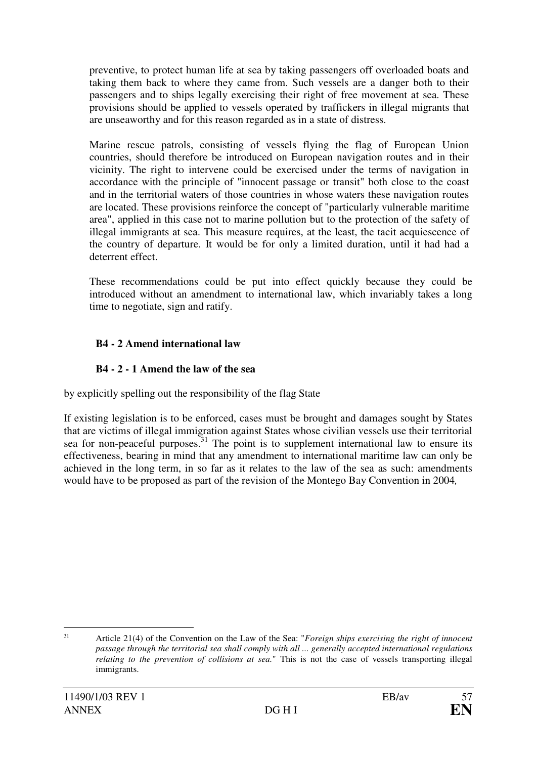preventive, to protect human life at sea by taking passengers off overloaded boats and taking them back to where they came from. Such vessels are a danger both to their passengers and to ships legally exercising their right of free movement at sea. These provisions should be applied to vessels operated by traffickers in illegal migrants that are unseaworthy and for this reason regarded as in a state of distress.

 Marine rescue patrols, consisting of vessels flying the flag of European Union countries, should therefore be introduced on European navigation routes and in their vicinity. The right to intervene could be exercised under the terms of navigation in accordance with the principle of "innocent passage or transit" both close to the coast and in the territorial waters of those countries in whose waters these navigation routes are located. These provisions reinforce the concept of "particularly vulnerable maritime area", applied in this case not to marine pollution but to the protection of the safety of illegal immigrants at sea. This measure requires, at the least, the tacit acquiescence of the country of departure. It would be for only a limited duration, until it had had a deterrent effect.

 These recommendations could be put into effect quickly because they could be introduced without an amendment to international law, which invariably takes a long time to negotiate, sign and ratify.

# **B4 - 2 Amend international law**

# **B4 - 2 - 1 Amend the law of the sea**

by explicitly spelling out the responsibility of the flag State

If existing legislation is to be enforced, cases must be brought and damages sought by States that are victims of illegal immigration against States whose civilian vessels use their territorial sea for non-peaceful purposes.<sup>31</sup> The point is to supplement international law to ensure its effectiveness, bearing in mind that any amendment to international maritime law can only be achieved in the long term, in so far as it relates to the law of the sea as such: amendments would have to be proposed as part of the revision of the Montego Bay Convention in 2004*,*

 31 Article 21(4) of the Convention on the Law of the Sea: "*Foreign ships exercising the right of innocent passage through the territorial sea shall comply with all ... generally accepted international regulations relating to the prevention of collisions at sea.*" This is not the case of vessels transporting illegal immigrants.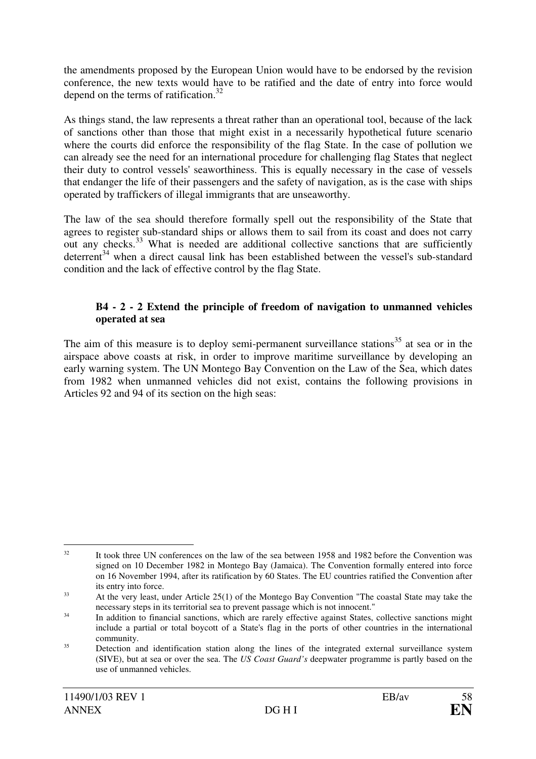the amendments proposed by the European Union would have to be endorsed by the revision conference, the new texts would have to be ratified and the date of entry into force would depend on the terms of ratification.<sup>32</sup>

As things stand, the law represents a threat rather than an operational tool, because of the lack of sanctions other than those that might exist in a necessarily hypothetical future scenario where the courts did enforce the responsibility of the flag State. In the case of pollution we can already see the need for an international procedure for challenging flag States that neglect their duty to control vessels' seaworthiness. This is equally necessary in the case of vessels that endanger the life of their passengers and the safety of navigation, as is the case with ships operated by traffickers of illegal immigrants that are unseaworthy.

The law of the sea should therefore formally spell out the responsibility of the State that agrees to register sub-standard ships or allows them to sail from its coast and does not carry out any checks.<sup>33</sup> What is needed are additional collective sanctions that are sufficiently deterrent<sup>34</sup> when a direct causal link has been established between the vessel's sub-standard condition and the lack of effective control by the flag State.

#### **B4 - 2 - 2 Extend the principle of freedom of navigation to unmanned vehicles operated at sea**

The aim of this measure is to deploy semi-permanent surveillance stations<sup>35</sup> at sea or in the airspace above coasts at risk, in order to improve maritime surveillance by developing an early warning system. The UN Montego Bay Convention on the Law of the Sea, which dates from 1982 when unmanned vehicles did not exist, contains the following provisions in Articles 92 and 94 of its section on the high seas:

 $\overline{a}$ <sup>32</sup> It took three UN conferences on the law of the sea between 1958 and 1982 before the Convention was signed on 10 December 1982 in Montego Bay (Jamaica). The Convention formally entered into force on 16 November 1994, after its ratification by 60 States. The EU countries ratified the Convention after its entry into force.

<sup>33</sup> At the very least, under Article 25(1) of the Montego Bay Convention "The coastal State may take the necessary steps in its territorial sea to prevent passage which is not innocent."

<sup>34</sup> In addition to financial sanctions, which are rarely effective against States, collective sanctions might include a partial or total boycott of a State's flag in the ports of other countries in the international community.

<sup>35</sup> Detection and identification station along the lines of the integrated external surveillance system (SIVE), but at sea or over the sea. The *US Coast Guard's* deepwater programme is partly based on the use of unmanned vehicles.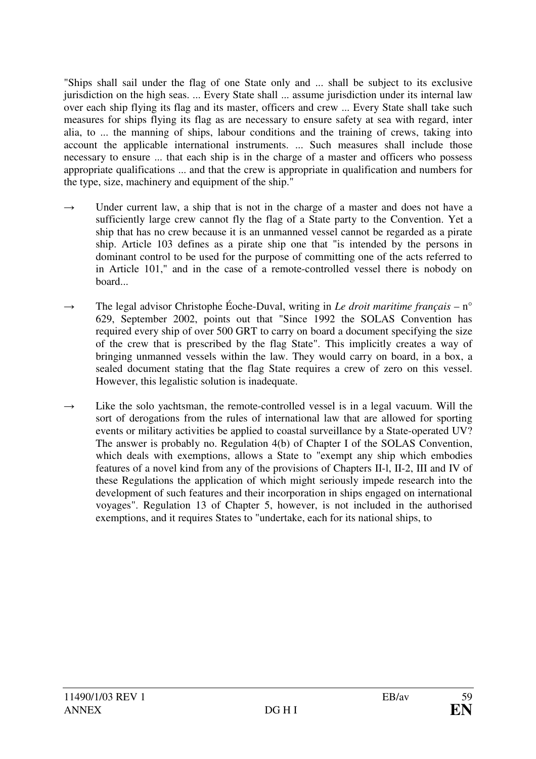"Ships shall sail under the flag of one State only and ... shall be subject to its exclusive jurisdiction on the high seas. ... Every State shall ... assume jurisdiction under its internal law over each ship flying its flag and its master, officers and crew ... Every State shall take such measures for ships flying its flag as are necessary to ensure safety at sea with regard, inter alia, to ... the manning of ships, labour conditions and the training of crews, taking into account the applicable international instruments. ... Such measures shall include those necessary to ensure ... that each ship is in the charge of a master and officers who possess appropriate qualifications ... and that the crew is appropriate in qualification and numbers for the type, size, machinery and equipment of the ship."

- $\rightarrow$  Under current law, a ship that is not in the charge of a master and does not have a sufficiently large crew cannot fly the flag of a State party to the Convention. Yet a ship that has no crew because it is an unmanned vessel cannot be regarded as a pirate ship. Article 103 defines as a pirate ship one that "is intended by the persons in dominant control to be used for the purpose of committing one of the acts referred to in Article 101," and in the case of a remote-controlled vessel there is nobody on board...
- $\rightarrow$  The legal advisor Christophe Éoche-Duval, writing in *Le droit maritime français* – n° 629, September 2002, points out that "Since 1992 the SOLAS Convention has required every ship of over 500 GRT to carry on board a document specifying the size of the crew that is prescribed by the flag State". This implicitly creates a way of bringing unmanned vessels within the law. They would carry on board, in a box, a sealed document stating that the flag State requires a crew of zero on this vessel. However, this legalistic solution is inadequate.
- $\rightarrow$  Like the solo yachtsman, the remote-controlled vessel is in a legal vacuum. Will the sort of derogations from the rules of international law that are allowed for sporting events or military activities be applied to coastal surveillance by a State-operated UV? The answer is probably no. Regulation 4(b) of Chapter I of the SOLAS Convention, which deals with exemptions, allows a State to "exempt any ship which embodies features of a novel kind from any of the provisions of Chapters II-l, II-2, III and IV of these Regulations the application of which might seriously impede research into the development of such features and their incorporation in ships engaged on international voyages". Regulation 13 of Chapter 5, however, is not included in the authorised exemptions, and it requires States to "undertake, each for its national ships, to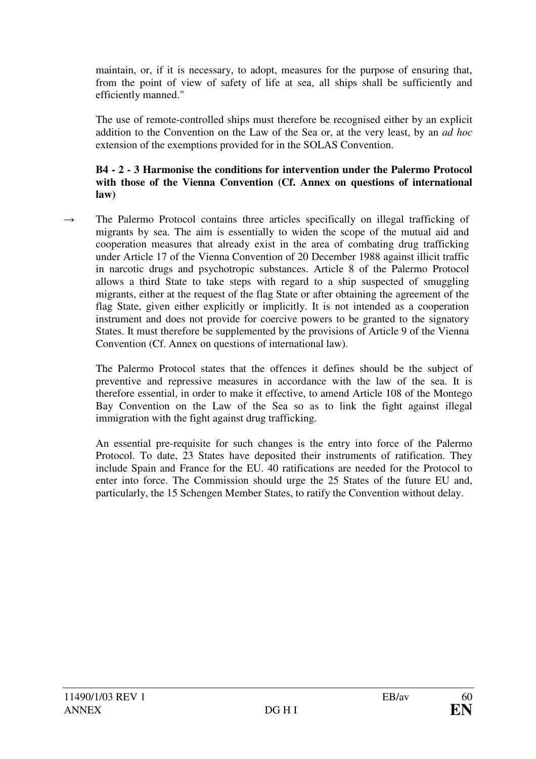maintain, or, if it is necessary, to adopt, measures for the purpose of ensuring that, from the point of view of safety of life at sea, all ships shall be sufficiently and efficiently manned."

 The use of remote-controlled ships must therefore be recognised either by an explicit addition to the Convention on the Law of the Sea or, at the very least, by an *ad hoc* extension of the exemptions provided for in the SOLAS Convention.

#### **B4 - 2 - 3 Harmonise the conditions for intervention under the Palermo Protocol with those of the Vienna Convention (Cf. Annex on questions of international law)**

 $\rightarrow$  The Palermo Protocol contains three articles specifically on illegal trafficking of migrants by sea. The aim is essentially to widen the scope of the mutual aid and cooperation measures that already exist in the area of combating drug trafficking under Article 17 of the Vienna Convention of 20 December 1988 against illicit traffic in narcotic drugs and psychotropic substances. Article 8 of the Palermo Protocol allows a third State to take steps with regard to a ship suspected of smuggling migrants, either at the request of the flag State or after obtaining the agreement of the flag State, given either explicitly or implicitly. It is not intended as a cooperation instrument and does not provide for coercive powers to be granted to the signatory States. It must therefore be supplemented by the provisions of Article 9 of the Vienna Convention (Cf. Annex on questions of international law).

 The Palermo Protocol states that the offences it defines should be the subject of preventive and repressive measures in accordance with the law of the sea. It is therefore essential, in order to make it effective, to amend Article 108 of the Montego Bay Convention on the Law of the Sea so as to link the fight against illegal immigration with the fight against drug trafficking.

 An essential pre-requisite for such changes is the entry into force of the Palermo Protocol. To date, 23 States have deposited their instruments of ratification. They include Spain and France for the EU. 40 ratifications are needed for the Protocol to enter into force. The Commission should urge the 25 States of the future EU and, particularly, the 15 Schengen Member States, to ratify the Convention without delay.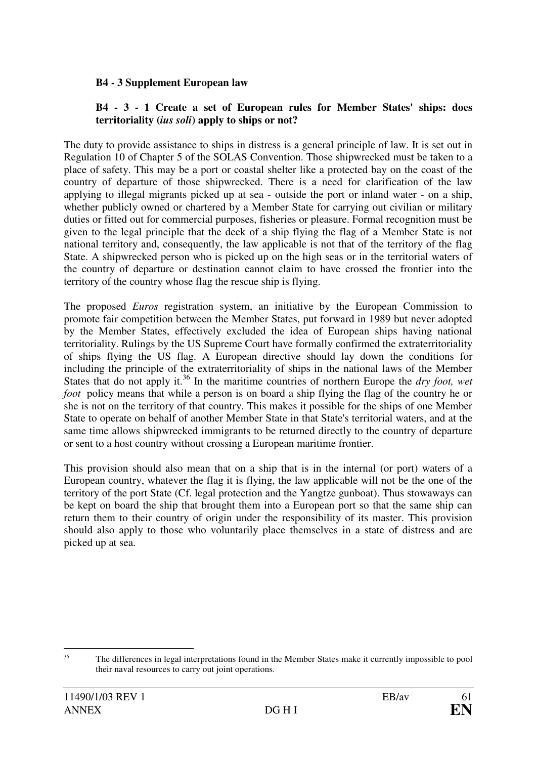#### **B4 - 3 Supplement European law**

#### **B4 - 3 - 1 Create a set of European rules for Member States' ships: does territoriality (***ius soli***) apply to ships or not?**

The duty to provide assistance to ships in distress is a general principle of law. It is set out in Regulation 10 of Chapter 5 of the SOLAS Convention. Those shipwrecked must be taken to a place of safety. This may be a port or coastal shelter like a protected bay on the coast of the country of departure of those shipwrecked. There is a need for clarification of the law applying to illegal migrants picked up at sea - outside the port or inland water - on a ship, whether publicly owned or chartered by a Member State for carrying out civilian or military duties or fitted out for commercial purposes, fisheries or pleasure. Formal recognition must be given to the legal principle that the deck of a ship flying the flag of a Member State is not national territory and, consequently, the law applicable is not that of the territory of the flag State. A shipwrecked person who is picked up on the high seas or in the territorial waters of the country of departure or destination cannot claim to have crossed the frontier into the territory of the country whose flag the rescue ship is flying.

The proposed *Euros* registration system, an initiative by the European Commission to promote fair competition between the Member States, put forward in 1989 but never adopted by the Member States, effectively excluded the idea of European ships having national territoriality. Rulings by the US Supreme Court have formally confirmed the extraterritoriality of ships flying the US flag. A European directive should lay down the conditions for including the principle of the extraterritoriality of ships in the national laws of the Member States that do not apply it.<sup>36</sup> In the maritime countries of northern Europe the *dry foot, wet foot* policy means that while a person is on board a ship flying the flag of the country he or she is not on the territory of that country. This makes it possible for the ships of one Member State to operate on behalf of another Member State in that State's territorial waters, and at the same time allows shipwrecked immigrants to be returned directly to the country of departure or sent to a host country without crossing a European maritime frontier.

This provision should also mean that on a ship that is in the internal (or port) waters of a European country, whatever the flag it is flying, the law applicable will not be the one of the territory of the port State (Cf. legal protection and the Yangtze gunboat). Thus stowaways can be kept on board the ship that brought them into a European port so that the same ship can return them to their country of origin under the responsibility of its master. This provision should also apply to those who voluntarily place themselves in a state of distress and are picked up at sea.

 36 The differences in legal interpretations found in the Member States make it currently impossible to pool their naval resources to carry out joint operations.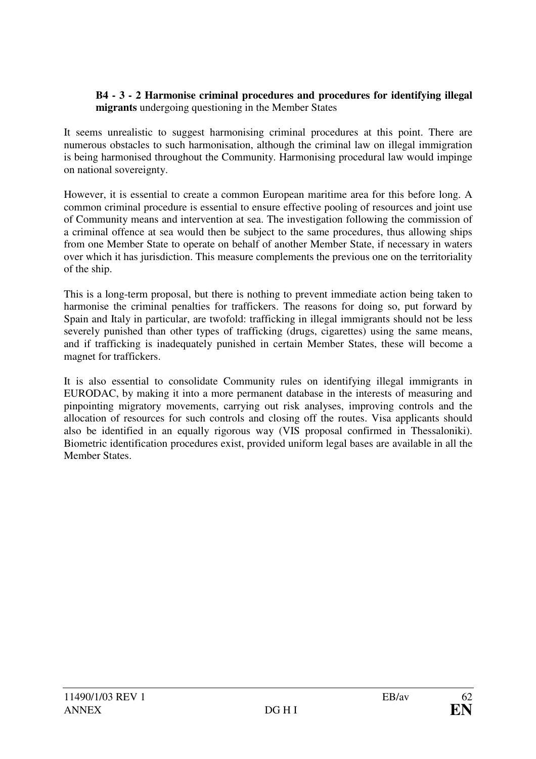#### **B4 - 3 - 2 Harmonise criminal procedures and procedures for identifying illegal migrants** undergoing questioning in the Member States

It seems unrealistic to suggest harmonising criminal procedures at this point. There are numerous obstacles to such harmonisation, although the criminal law on illegal immigration is being harmonised throughout the Community. Harmonising procedural law would impinge on national sovereignty.

However, it is essential to create a common European maritime area for this before long. A common criminal procedure is essential to ensure effective pooling of resources and joint use of Community means and intervention at sea. The investigation following the commission of a criminal offence at sea would then be subject to the same procedures, thus allowing ships from one Member State to operate on behalf of another Member State, if necessary in waters over which it has jurisdiction. This measure complements the previous one on the territoriality of the ship.

This is a long-term proposal, but there is nothing to prevent immediate action being taken to harmonise the criminal penalties for traffickers. The reasons for doing so, put forward by Spain and Italy in particular, are twofold: trafficking in illegal immigrants should not be less severely punished than other types of trafficking (drugs, cigarettes) using the same means, and if trafficking is inadequately punished in certain Member States, these will become a magnet for traffickers.

It is also essential to consolidate Community rules on identifying illegal immigrants in EURODAC, by making it into a more permanent database in the interests of measuring and pinpointing migratory movements, carrying out risk analyses, improving controls and the allocation of resources for such controls and closing off the routes. Visa applicants should also be identified in an equally rigorous way (VIS proposal confirmed in Thessaloniki). Biometric identification procedures exist, provided uniform legal bases are available in all the Member States.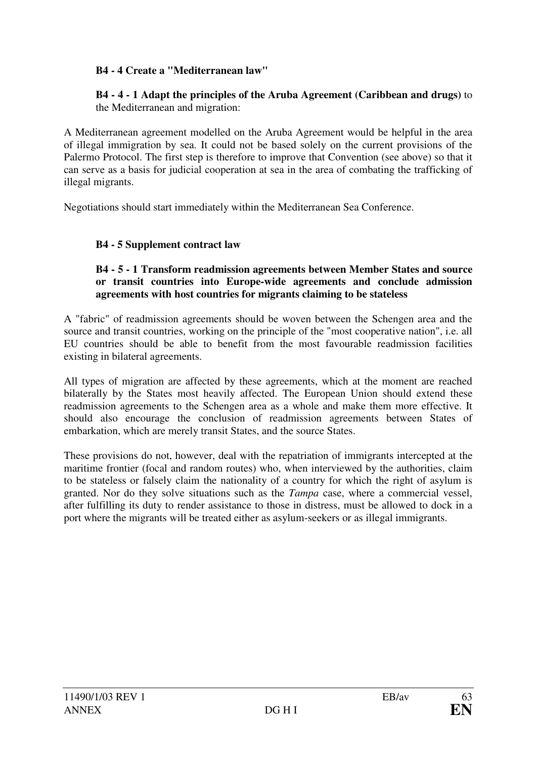### **B4 - 4 Create a "Mediterranean law"**

#### **B4 - 4 - 1 Adapt the principles of the Aruba Agreement (Caribbean and drugs)** to the Mediterranean and migration:

A Mediterranean agreement modelled on the Aruba Agreement would be helpful in the area of illegal immigration by sea. It could not be based solely on the current provisions of the Palermo Protocol. The first step is therefore to improve that Convention (see above) so that it can serve as a basis for judicial cooperation at sea in the area of combating the trafficking of illegal migrants.

Negotiations should start immediately within the Mediterranean Sea Conference.

### **B4 - 5 Supplement contract law**

#### **B4 - 5 - 1 Transform readmission agreements between Member States and source or transit countries into Europe-wide agreements and conclude admission agreements with host countries for migrants claiming to be stateless**

A "fabric" of readmission agreements should be woven between the Schengen area and the source and transit countries, working on the principle of the "most cooperative nation", i.e. all EU countries should be able to benefit from the most favourable readmission facilities existing in bilateral agreements.

All types of migration are affected by these agreements, which at the moment are reached bilaterally by the States most heavily affected. The European Union should extend these readmission agreements to the Schengen area as a whole and make them more effective. It should also encourage the conclusion of readmission agreements between States of embarkation, which are merely transit States, and the source States.

These provisions do not, however, deal with the repatriation of immigrants intercepted at the maritime frontier (focal and random routes) who, when interviewed by the authorities, claim to be stateless or falsely claim the nationality of a country for which the right of asylum is granted. Nor do they solve situations such as the *Tampa* case, where a commercial vessel, after fulfilling its duty to render assistance to those in distress, must be allowed to dock in a port where the migrants will be treated either as asylum-seekers or as illegal immigrants.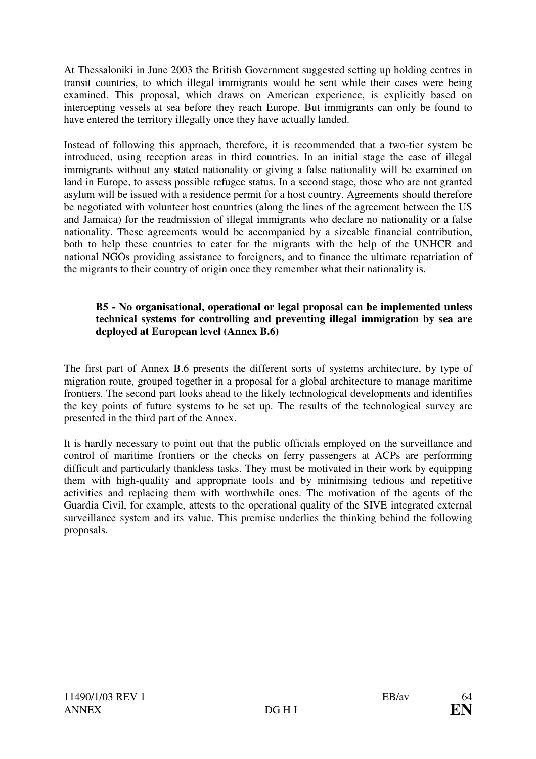At Thessaloniki in June 2003 the British Government suggested setting up holding centres in transit countries, to which illegal immigrants would be sent while their cases were being examined. This proposal, which draws on American experience, is explicitly based on intercepting vessels at sea before they reach Europe. But immigrants can only be found to have entered the territory illegally once they have actually landed.

Instead of following this approach, therefore, it is recommended that a two-tier system be introduced, using reception areas in third countries. In an initial stage the case of illegal immigrants without any stated nationality or giving a false nationality will be examined on land in Europe, to assess possible refugee status. In a second stage, those who are not granted asylum will be issued with a residence permit for a host country. Agreements should therefore be negotiated with volunteer host countries (along the lines of the agreement between the US and Jamaica) for the readmission of illegal immigrants who declare no nationality or a false nationality. These agreements would be accompanied by a sizeable financial contribution, both to help these countries to cater for the migrants with the help of the UNHCR and national NGOs providing assistance to foreigners, and to finance the ultimate repatriation of the migrants to their country of origin once they remember what their nationality is.

#### **B5 - No organisational, operational or legal proposal can be implemented unless technical systems for controlling and preventing illegal immigration by sea are deployed at European level (Annex B.6)**

The first part of Annex B.6 presents the different sorts of systems architecture, by type of migration route, grouped together in a proposal for a global architecture to manage maritime frontiers. The second part looks ahead to the likely technological developments and identifies the key points of future systems to be set up. The results of the technological survey are presented in the third part of the Annex.

It is hardly necessary to point out that the public officials employed on the surveillance and control of maritime frontiers or the checks on ferry passengers at ACPs are performing difficult and particularly thankless tasks. They must be motivated in their work by equipping them with high-quality and appropriate tools and by minimising tedious and repetitive activities and replacing them with worthwhile ones. The motivation of the agents of the Guardia Civil, for example, attests to the operational quality of the SIVE integrated external surveillance system and its value. This premise underlies the thinking behind the following proposals.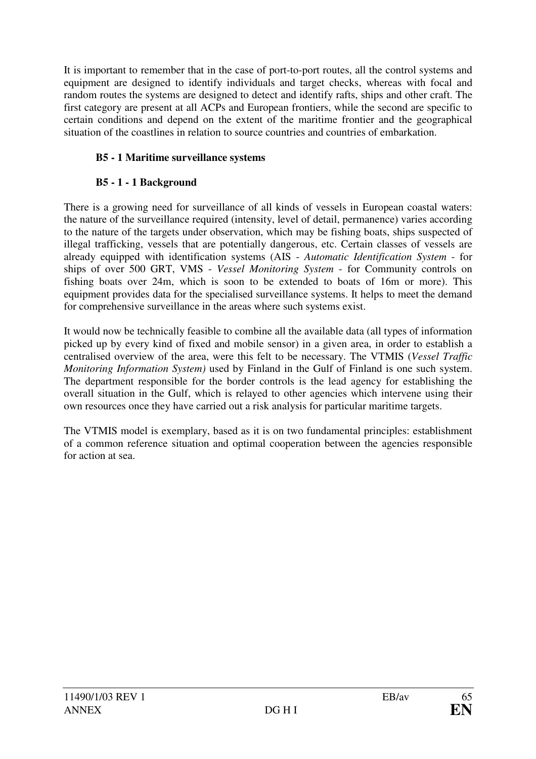It is important to remember that in the case of port-to-port routes, all the control systems and equipment are designed to identify individuals and target checks, whereas with focal and random routes the systems are designed to detect and identify rafts, ships and other craft. The first category are present at all ACPs and European frontiers, while the second are specific to certain conditions and depend on the extent of the maritime frontier and the geographical situation of the coastlines in relation to source countries and countries of embarkation.

## **B5 - 1 Maritime surveillance systems**

### **B5 - 1 - 1 Background**

There is a growing need for surveillance of all kinds of vessels in European coastal waters: the nature of the surveillance required (intensity, level of detail, permanence) varies according to the nature of the targets under observation, which may be fishing boats, ships suspected of illegal trafficking, vessels that are potentially dangerous, etc. Certain classes of vessels are already equipped with identification systems (AIS - *Automatic Identification System* - for ships of over 500 GRT, VMS - *Vessel Monitoring System* - for Community controls on fishing boats over 24m, which is soon to be extended to boats of 16m or more). This equipment provides data for the specialised surveillance systems. It helps to meet the demand for comprehensive surveillance in the areas where such systems exist.

It would now be technically feasible to combine all the available data (all types of information picked up by every kind of fixed and mobile sensor) in a given area, in order to establish a centralised overview of the area, were this felt to be necessary. The VTMIS (*Vessel Traffic Monitoring Information System)* used by Finland in the Gulf of Finland is one such system. The department responsible for the border controls is the lead agency for establishing the overall situation in the Gulf, which is relayed to other agencies which intervene using their own resources once they have carried out a risk analysis for particular maritime targets.

The VTMIS model is exemplary, based as it is on two fundamental principles: establishment of a common reference situation and optimal cooperation between the agencies responsible for action at sea.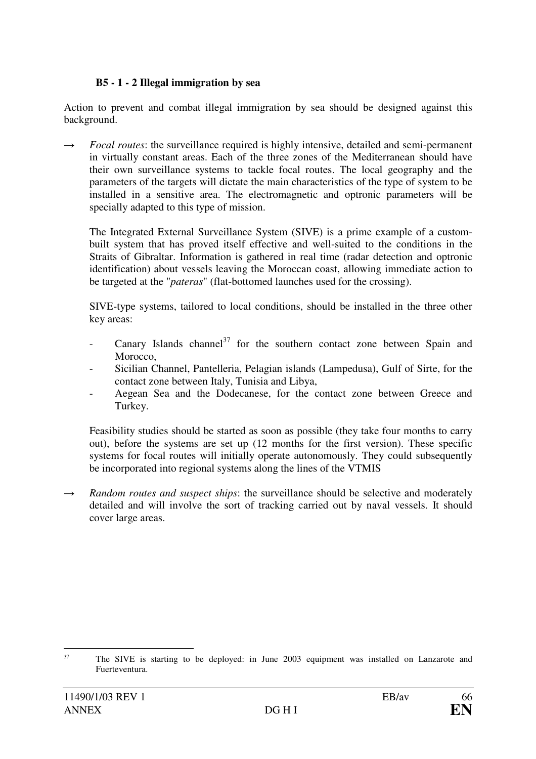### **B5 - 1 - 2 Illegal immigration by sea**

Action to prevent and combat illegal immigration by sea should be designed against this background.

 $\rightarrow$  *Focal routes*: the surveillance required is highly intensive, detailed and semi-permanent in virtually constant areas. Each of the three zones of the Mediterranean should have their own surveillance systems to tackle focal routes. The local geography and the parameters of the targets will dictate the main characteristics of the type of system to be installed in a sensitive area. The electromagnetic and optronic parameters will be specially adapted to this type of mission.

 The Integrated External Surveillance System (SIVE) is a prime example of a custombuilt system that has proved itself effective and well-suited to the conditions in the Straits of Gibraltar. Information is gathered in real time (radar detection and optronic identification) about vessels leaving the Moroccan coast, allowing immediate action to be targeted at the "*pateras*" (flat-bottomed launches used for the crossing).

 SIVE-type systems, tailored to local conditions, should be installed in the three other key areas:

- Canary Islands channel<sup>37</sup> for the southern contact zone between Spain and Morocco.
- Sicilian Channel, Pantelleria, Pelagian islands (Lampedusa), Gulf of Sirte, for the contact zone between Italy, Tunisia and Libya,
- Aegean Sea and the Dodecanese, for the contact zone between Greece and Turkey.

Feasibility studies should be started as soon as possible (they take four months to carry out), before the systems are set up (12 months for the first version). These specific systems for focal routes will initially operate autonomously. They could subsequently be incorporated into regional systems along the lines of the VTMIS

 $\rightarrow$  *Random routes and suspect ships*: the surveillance should be selective and moderately detailed and will involve the sort of tracking carried out by naval vessels. It should cover large areas.

 37 The SIVE is starting to be deployed: in June 2003 equipment was installed on Lanzarote and Fuerteventura.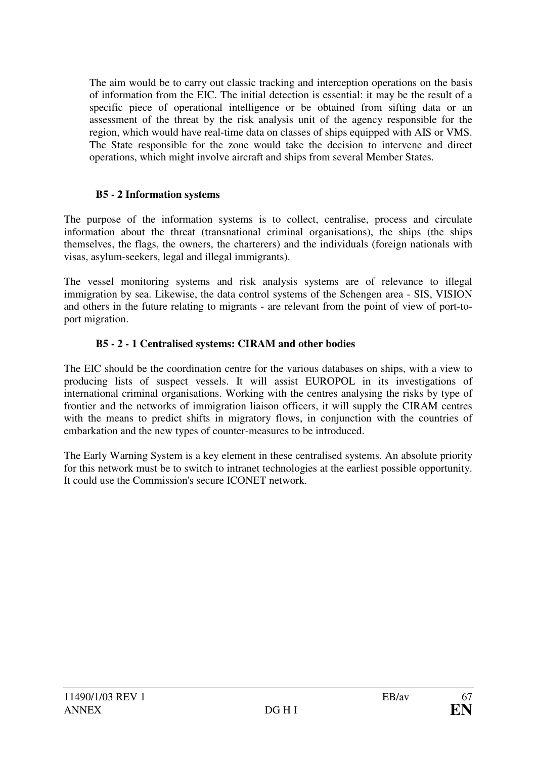The aim would be to carry out classic tracking and interception operations on the basis of information from the EIC. The initial detection is essential: it may be the result of a specific piece of operational intelligence or be obtained from sifting data or an assessment of the threat by the risk analysis unit of the agency responsible for the region, which would have real-time data on classes of ships equipped with AIS or VMS. The State responsible for the zone would take the decision to intervene and direct operations, which might involve aircraft and ships from several Member States.

### **B5 - 2 Information systems**

The purpose of the information systems is to collect, centralise, process and circulate information about the threat (transnational criminal organisations), the ships (the ships themselves, the flags, the owners, the charterers) and the individuals (foreign nationals with visas, asylum-seekers, legal and illegal immigrants).

The vessel monitoring systems and risk analysis systems are of relevance to illegal immigration by sea. Likewise, the data control systems of the Schengen area - SIS, VISION and others in the future relating to migrants - are relevant from the point of view of port-toport migration.

# **B5 - 2 - 1 Centralised systems: CIRAM and other bodies**

The EIC should be the coordination centre for the various databases on ships, with a view to producing lists of suspect vessels. It will assist EUROPOL in its investigations of international criminal organisations. Working with the centres analysing the risks by type of frontier and the networks of immigration liaison officers, it will supply the CIRAM centres with the means to predict shifts in migratory flows, in conjunction with the countries of embarkation and the new types of counter-measures to be introduced.

The Early Warning System is a key element in these centralised systems. An absolute priority for this network must be to switch to intranet technologies at the earliest possible opportunity. It could use the Commission's secure ICONET network.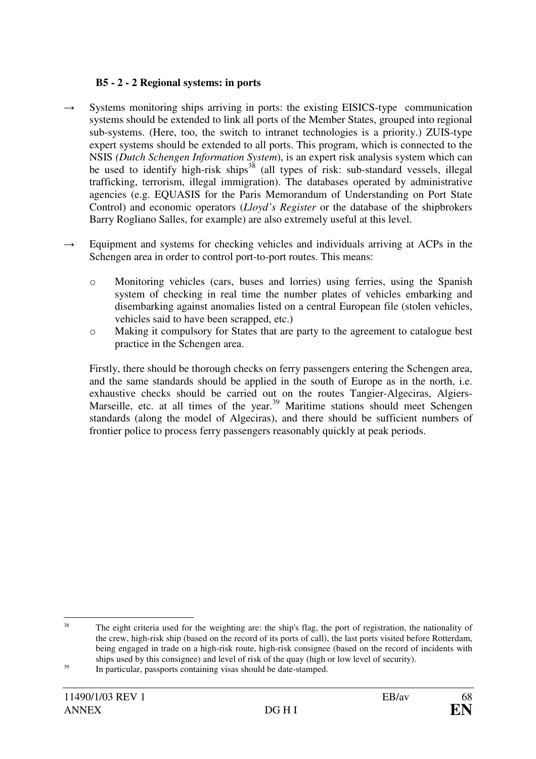### **B5 - 2 - 2 Regional systems: in ports**

- $\rightarrow$  Systems monitoring ships arriving in ports: the existing EISICS-type communication systems should be extended to link all ports of the Member States, grouped into regional sub-systems. (Here, too, the switch to intranet technologies is a priority.) ZUIS-type expert systems should be extended to all ports. This program, which is connected to the NSIS *(Dutch Schengen Information System*), is an expert risk analysis system which can be used to identify high-risk ships<sup>38</sup> (all types of risk: sub-standard vessels, illegal trafficking, terrorism, illegal immigration). The databases operated by administrative agencies (e.g. EQUASIS for the Paris Memorandum of Understanding on Port State Control) and economic operators (*Lloyd's Register* or the database of the shipbrokers Barry Rogliano Salles, for example) are also extremely useful at this level.
- $\rightarrow$  Equipment and systems for checking vehicles and individuals arriving at ACPs in the Schengen area in order to control port-to-port routes. This means:
	- o Monitoring vehicles (cars, buses and lorries) using ferries, using the Spanish system of checking in real time the number plates of vehicles embarking and disembarking against anomalies listed on a central European file (stolen vehicles, vehicles said to have been scrapped, etc.)
	- o Making it compulsory for States that are party to the agreement to catalogue best practice in the Schengen area.

Firstly, there should be thorough checks on ferry passengers entering the Schengen area, and the same standards should be applied in the south of Europe as in the north, i.e. exhaustive checks should be carried out on the routes Tangier-Algeciras, Algiers-Marseille, etc. at all times of the year.<sup>39</sup> Maritime stations should meet Schengen standards (along the model of Algeciras), and there should be sufficient numbers of frontier police to process ferry passengers reasonably quickly at peak periods.

 38 The eight criteria used for the weighting are: the ship's flag, the port of registration, the nationality of the crew, high-risk ship (based on the record of its ports of call), the last ports visited before Rotterdam, being engaged in trade on a high-risk route, high-risk consignee (based on the record of incidents with ships used by this consignee) and level of risk of the quay (high or low level of security).

<sup>39</sup> In particular, passports containing visas should be date-stamped.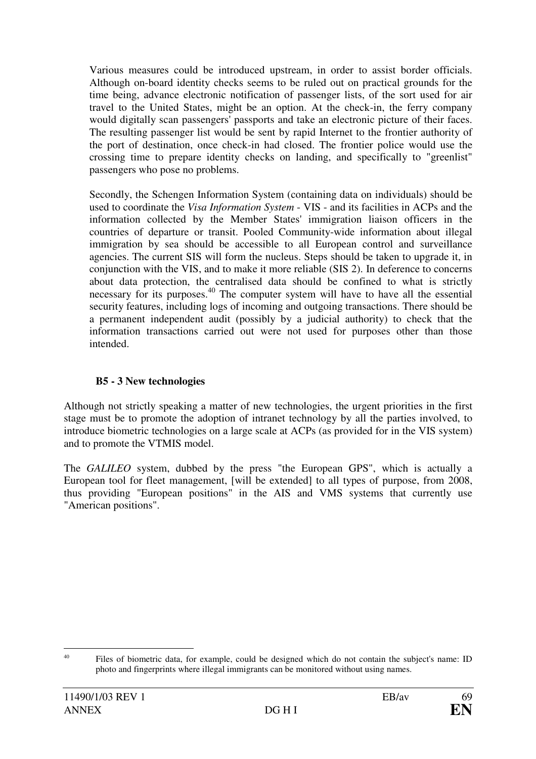Various measures could be introduced upstream, in order to assist border officials. Although on-board identity checks seems to be ruled out on practical grounds for the time being, advance electronic notification of passenger lists, of the sort used for air travel to the United States, might be an option. At the check-in, the ferry company would digitally scan passengers' passports and take an electronic picture of their faces. The resulting passenger list would be sent by rapid Internet to the frontier authority of the port of destination, once check-in had closed. The frontier police would use the crossing time to prepare identity checks on landing, and specifically to "greenlist" passengers who pose no problems.

Secondly, the Schengen Information System (containing data on individuals) should be used to coordinate the *Visa Information System* - VIS - and its facilities in ACPs and the information collected by the Member States' immigration liaison officers in the countries of departure or transit. Pooled Community-wide information about illegal immigration by sea should be accessible to all European control and surveillance agencies. The current SIS will form the nucleus. Steps should be taken to upgrade it, in conjunction with the VIS, and to make it more reliable (SIS 2). In deference to concerns about data protection, the centralised data should be confined to what is strictly necessary for its purposes.<sup>40</sup> The computer system will have to have all the essential security features, including logs of incoming and outgoing transactions. There should be a permanent independent audit (possibly by a judicial authority) to check that the information transactions carried out were not used for purposes other than those intended.

### **B5 - 3 New technologies**

Although not strictly speaking a matter of new technologies, the urgent priorities in the first stage must be to promote the adoption of intranet technology by all the parties involved, to introduce biometric technologies on a large scale at ACPs (as provided for in the VIS system) and to promote the VTMIS model.

The *GALILEO* system, dubbed by the press "the European GPS", which is actually a European tool for fleet management, [will be extended] to all types of purpose, from 2008, thus providing "European positions" in the AIS and VMS systems that currently use "American positions".

<sup>&</sup>lt;sup>40</sup> Files of biometric data, for example, could be designed which do not contain the subject's name: ID photo and fingerprints where illegal immigrants can be monitored without using names.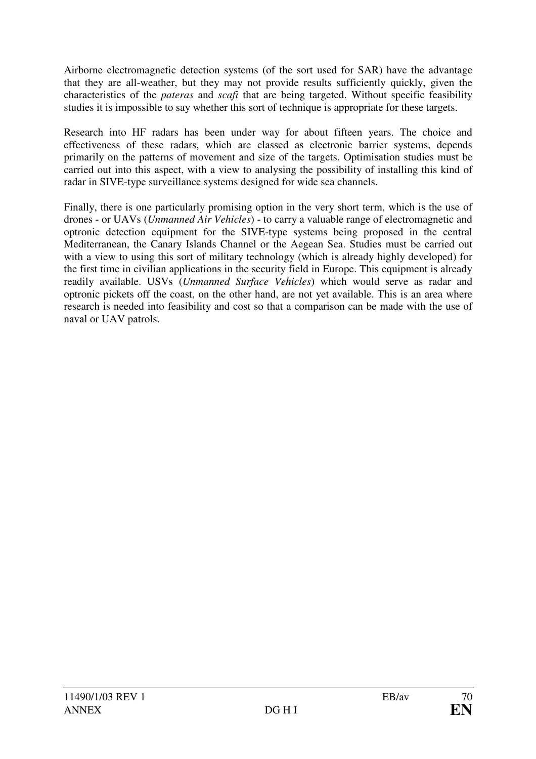Airborne electromagnetic detection systems (of the sort used for SAR) have the advantage that they are all-weather, but they may not provide results sufficiently quickly, given the characteristics of the *pateras* and *scafi* that are being targeted. Without specific feasibility studies it is impossible to say whether this sort of technique is appropriate for these targets.

Research into HF radars has been under way for about fifteen years. The choice and effectiveness of these radars, which are classed as electronic barrier systems, depends primarily on the patterns of movement and size of the targets. Optimisation studies must be carried out into this aspect, with a view to analysing the possibility of installing this kind of radar in SIVE-type surveillance systems designed for wide sea channels.

Finally, there is one particularly promising option in the very short term, which is the use of drones - or UAVs (*Unmanned Air Vehicles*) - to carry a valuable range of electromagnetic and optronic detection equipment for the SIVE-type systems being proposed in the central Mediterranean, the Canary Islands Channel or the Aegean Sea. Studies must be carried out with a view to using this sort of military technology (which is already highly developed) for the first time in civilian applications in the security field in Europe. This equipment is already readily available. USVs (*Unmanned Surface Vehicles*) which would serve as radar and optronic pickets off the coast, on the other hand, are not yet available. This is an area where research is needed into feasibility and cost so that a comparison can be made with the use of naval or UAV patrols.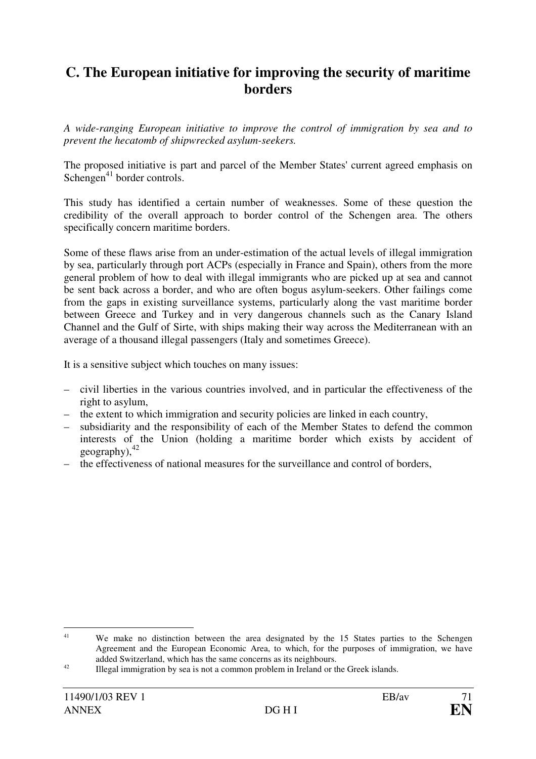# **C. The European initiative for improving the security of maritime borders**

*A wide-ranging European initiative to improve the control of immigration by sea and to prevent the hecatomb of shipwrecked asylum-seekers.* 

The proposed initiative is part and parcel of the Member States' current agreed emphasis on Schengen<sup>41</sup> border controls.

This study has identified a certain number of weaknesses. Some of these question the credibility of the overall approach to border control of the Schengen area. The others specifically concern maritime borders.

Some of these flaws arise from an under-estimation of the actual levels of illegal immigration by sea, particularly through port ACPs (especially in France and Spain), others from the more general problem of how to deal with illegal immigrants who are picked up at sea and cannot be sent back across a border, and who are often bogus asylum-seekers. Other failings come from the gaps in existing surveillance systems, particularly along the vast maritime border between Greece and Turkey and in very dangerous channels such as the Canary Island Channel and the Gulf of Sirte, with ships making their way across the Mediterranean with an average of a thousand illegal passengers (Italy and sometimes Greece).

It is a sensitive subject which touches on many issues:

- civil liberties in the various countries involved, and in particular the effectiveness of the right to asylum,
- the extent to which immigration and security policies are linked in each country,
- subsidiarity and the responsibility of each of the Member States to defend the common interests of the Union (holding a maritime border which exists by accident of geography), $42$
- the effectiveness of national measures for the surveillance and control of borders,

<sup>&</sup>lt;sup>41</sup> We make no distinction between the area designated by the 15 States parties to the Schengen Agreement and the European Economic Area, to which, for the purposes of immigration, we have added Switzerland, which has the same concerns as its neighbours.

<sup>42</sup> Illegal immigration by sea is not a common problem in Ireland or the Greek islands.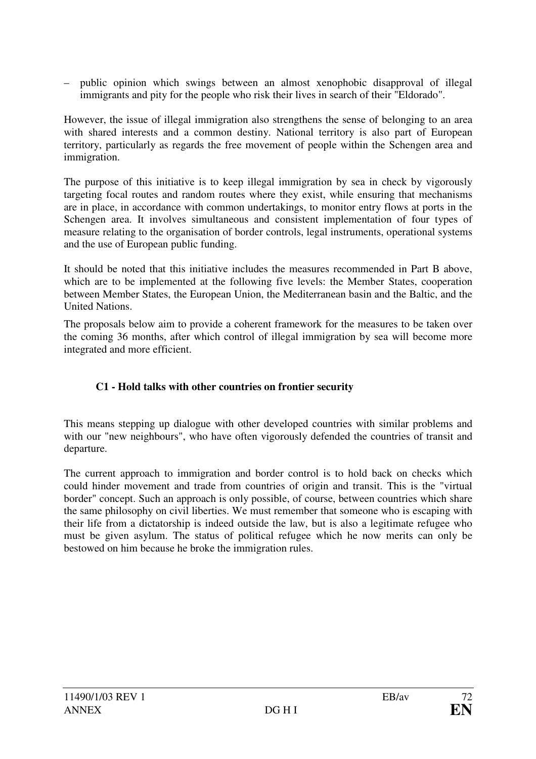– public opinion which swings between an almost xenophobic disapproval of illegal immigrants and pity for the people who risk their lives in search of their "Eldorado".

However, the issue of illegal immigration also strengthens the sense of belonging to an area with shared interests and a common destiny. National territory is also part of European territory, particularly as regards the free movement of people within the Schengen area and immigration.

The purpose of this initiative is to keep illegal immigration by sea in check by vigorously targeting focal routes and random routes where they exist, while ensuring that mechanisms are in place, in accordance with common undertakings, to monitor entry flows at ports in the Schengen area. It involves simultaneous and consistent implementation of four types of measure relating to the organisation of border controls, legal instruments, operational systems and the use of European public funding.

It should be noted that this initiative includes the measures recommended in Part B above, which are to be implemented at the following five levels: the Member States, cooperation between Member States, the European Union, the Mediterranean basin and the Baltic, and the United Nations.

The proposals below aim to provide a coherent framework for the measures to be taken over the coming 36 months, after which control of illegal immigration by sea will become more integrated and more efficient.

# **C1 - Hold talks with other countries on frontier security**

This means stepping up dialogue with other developed countries with similar problems and with our "new neighbours", who have often vigorously defended the countries of transit and departure.

The current approach to immigration and border control is to hold back on checks which could hinder movement and trade from countries of origin and transit. This is the "virtual border" concept. Such an approach is only possible, of course, between countries which share the same philosophy on civil liberties. We must remember that someone who is escaping with their life from a dictatorship is indeed outside the law, but is also a legitimate refugee who must be given asylum. The status of political refugee which he now merits can only be bestowed on him because he broke the immigration rules.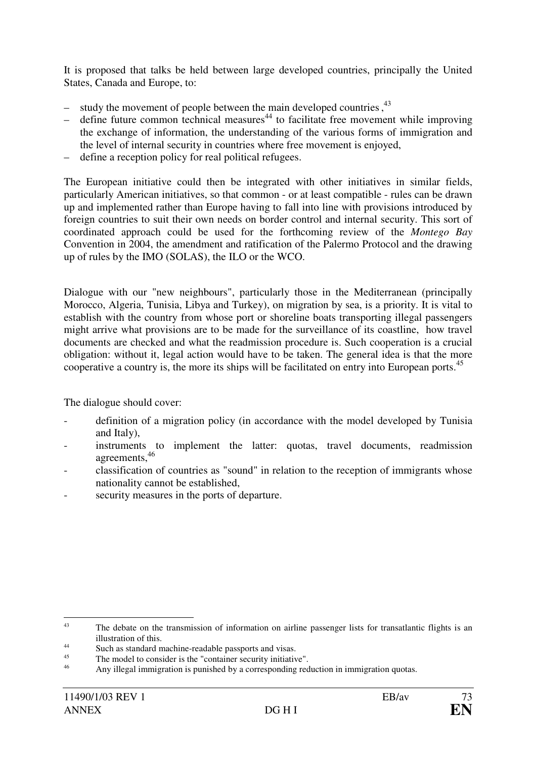It is proposed that talks be held between large developed countries, principally the United States, Canada and Europe, to:

- $-$  study the movement of people between the main developed countries,  $4<sup>3</sup>$
- $-$  define future common technical measures<sup>44</sup> to facilitate free movement while improving the exchange of information, the understanding of the various forms of immigration and the level of internal security in countries where free movement is enjoyed,
- define a reception policy for real political refugees.

The European initiative could then be integrated with other initiatives in similar fields, particularly American initiatives, so that common - or at least compatible - rules can be drawn up and implemented rather than Europe having to fall into line with provisions introduced by foreign countries to suit their own needs on border control and internal security. This sort of coordinated approach could be used for the forthcoming review of the *Montego Bay* Convention in 2004, the amendment and ratification of the Palermo Protocol and the drawing up of rules by the IMO (SOLAS), the ILO or the WCO.

Dialogue with our "new neighbours", particularly those in the Mediterranean (principally Morocco, Algeria, Tunisia, Libya and Turkey), on migration by sea, is a priority. It is vital to establish with the country from whose port or shoreline boats transporting illegal passengers might arrive what provisions are to be made for the surveillance of its coastline, how travel documents are checked and what the readmission procedure is. Such cooperation is a crucial obligation: without it, legal action would have to be taken. The general idea is that the more cooperative a country is, the more its ships will be facilitated on entry into European ports.<sup>45</sup>

The dialogue should cover:

- definition of a migration policy (in accordance with the model developed by Tunisia and Italy),
- instruments to implement the latter: quotas, travel documents, readmission agreements,<sup>46</sup>
- classification of countries as "sound" in relation to the reception of immigrants whose nationality cannot be established,
- security measures in the ports of departure.

 43 The debate on the transmission of information on airline passenger lists for transatlantic flights is an illustration of this.

<sup>44</sup> Such as standard machine-readable passports and visas.

<sup>45</sup> The model to consider is the "container security initiative".

<sup>46</sup> Any illegal immigration is punished by a corresponding reduction in immigration quotas.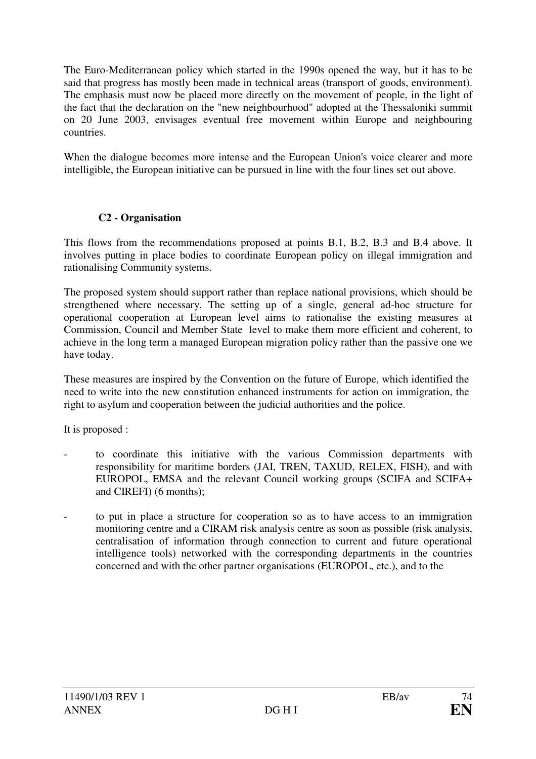The Euro-Mediterranean policy which started in the 1990s opened the way, but it has to be said that progress has mostly been made in technical areas (transport of goods, environment). The emphasis must now be placed more directly on the movement of people, in the light of the fact that the declaration on the "new neighbourhood" adopted at the Thessaloniki summit on 20 June 2003, envisages eventual free movement within Europe and neighbouring countries.

When the dialogue becomes more intense and the European Union's voice clearer and more intelligible, the European initiative can be pursued in line with the four lines set out above.

#### **C2 - Organisation**

This flows from the recommendations proposed at points B.1, B.2, B.3 and B.4 above. It involves putting in place bodies to coordinate European policy on illegal immigration and rationalising Community systems.

The proposed system should support rather than replace national provisions, which should be strengthened where necessary. The setting up of a single, general ad-hoc structure for operational cooperation at European level aims to rationalise the existing measures at Commission, Council and Member State level to make them more efficient and coherent, to achieve in the long term a managed European migration policy rather than the passive one we have today.

These measures are inspired by the Convention on the future of Europe, which identified the need to write into the new constitution enhanced instruments for action on immigration, the right to asylum and cooperation between the judicial authorities and the police.

It is proposed :

- to coordinate this initiative with the various Commission departments with responsibility for maritime borders (JAI, TREN, TAXUD, RELEX, FISH), and with EUROPOL, EMSA and the relevant Council working groups (SCIFA and SCIFA+ and CIREFI) (6 months);
- to put in place a structure for cooperation so as to have access to an immigration monitoring centre and a CIRAM risk analysis centre as soon as possible (risk analysis, centralisation of information through connection to current and future operational intelligence tools) networked with the corresponding departments in the countries concerned and with the other partner organisations (EUROPOL, etc.), and to the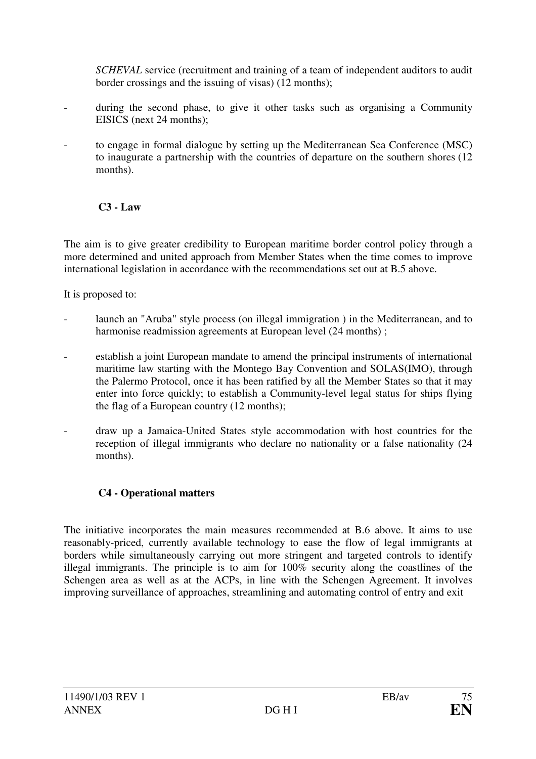*SCHEVAL* service (recruitment and training of a team of independent auditors to audit border crossings and the issuing of visas) (12 months);

- during the second phase, to give it other tasks such as organising a Community EISICS (next 24 months);
- to engage in formal dialogue by setting up the Mediterranean Sea Conference (MSC) to inaugurate a partnership with the countries of departure on the southern shores (12 months).

#### **C3 - Law**

The aim is to give greater credibility to European maritime border control policy through a more determined and united approach from Member States when the time comes to improve international legislation in accordance with the recommendations set out at B.5 above.

It is proposed to:

- launch an "Aruba" style process (on illegal immigration) in the Mediterranean, and to harmonise readmission agreements at European level (24 months);
- establish a joint European mandate to amend the principal instruments of international maritime law starting with the Montego Bay Convention and SOLAS(IMO), through the Palermo Protocol, once it has been ratified by all the Member States so that it may enter into force quickly; to establish a Community-level legal status for ships flying the flag of a European country (12 months);
- draw up a Jamaica-United States style accommodation with host countries for the reception of illegal immigrants who declare no nationality or a false nationality (24 months).

### **C4 - Operational matters**

The initiative incorporates the main measures recommended at B.6 above. It aims to use reasonably-priced, currently available technology to ease the flow of legal immigrants at borders while simultaneously carrying out more stringent and targeted controls to identify illegal immigrants. The principle is to aim for 100% security along the coastlines of the Schengen area as well as at the ACPs, in line with the Schengen Agreement. It involves improving surveillance of approaches, streamlining and automating control of entry and exit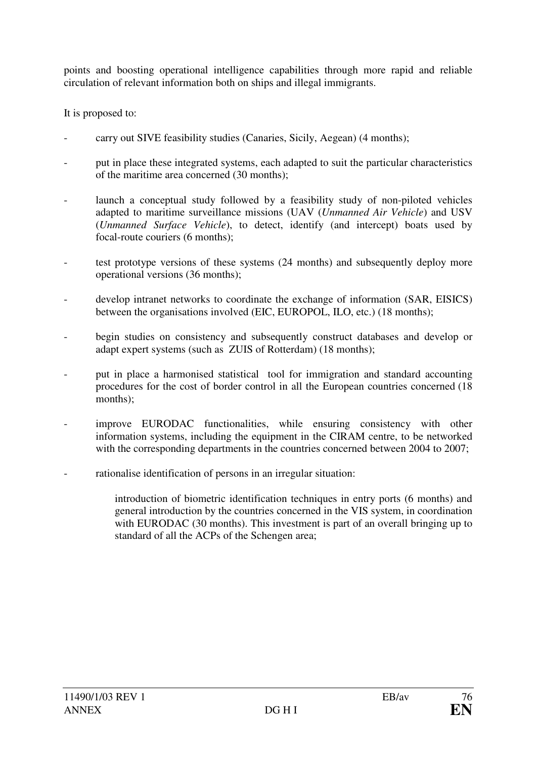points and boosting operational intelligence capabilities through more rapid and reliable circulation of relevant information both on ships and illegal immigrants.

It is proposed to:

- carry out SIVE feasibility studies (Canaries, Sicily, Aegean) (4 months);
- put in place these integrated systems, each adapted to suit the particular characteristics of the maritime area concerned (30 months);
- launch a conceptual study followed by a feasibility study of non-piloted vehicles adapted to maritime surveillance missions (UAV (*Unmanned Air Vehicle*) and USV (*Unmanned Surface Vehicle*), to detect, identify (and intercept) boats used by focal-route couriers (6 months);
- test prototype versions of these systems (24 months) and subsequently deploy more operational versions (36 months);
- develop intranet networks to coordinate the exchange of information (SAR, EISICS) between the organisations involved (EIC, EUROPOL, ILO, etc.) (18 months);
- begin studies on consistency and subsequently construct databases and develop or adapt expert systems (such as ZUIS of Rotterdam) (18 months);
- put in place a harmonised statistical tool for immigration and standard accounting procedures for the cost of border control in all the European countries concerned (18 months);
- improve EURODAC functionalities, while ensuring consistency with other information systems, including the equipment in the CIRAM centre, to be networked with the corresponding departments in the countries concerned between 2004 to 2007;
- rationalise identification of persons in an irregular situation:
	- introduction of biometric identification techniques in entry ports (6 months) and general introduction by the countries concerned in the VIS system, in coordination with EURODAC (30 months). This investment is part of an overall bringing up to standard of all the ACPs of the Schengen area;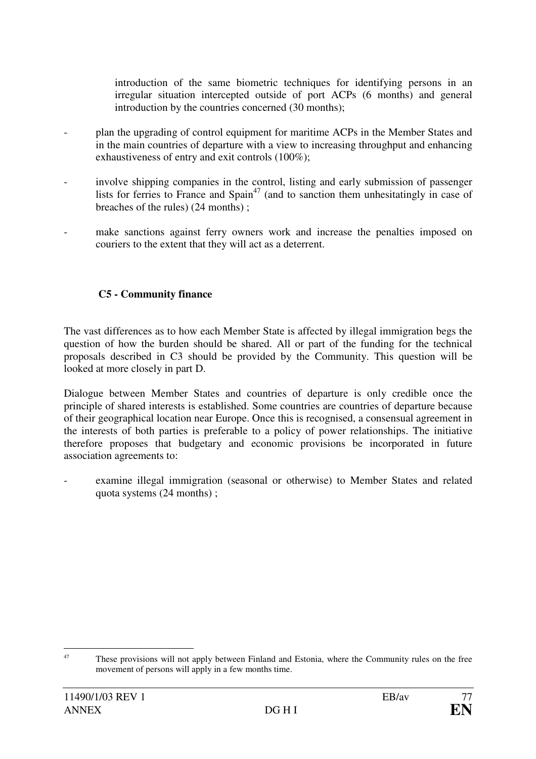introduction of the same biometric techniques for identifying persons in an irregular situation intercepted outside of port ACPs (6 months) and general introduction by the countries concerned (30 months);

- plan the upgrading of control equipment for maritime ACPs in the Member States and in the main countries of departure with a view to increasing throughput and enhancing exhaustiveness of entry and exit controls (100%);
- involve shipping companies in the control, listing and early submission of passenger lists for ferries to France and Spain<sup>47</sup> (and to sanction them unhesitatingly in case of breaches of the rules) (24 months) ;
- make sanctions against ferry owners work and increase the penalties imposed on couriers to the extent that they will act as a deterrent.

### **C5 - Community finance**

The vast differences as to how each Member State is affected by illegal immigration begs the question of how the burden should be shared. All or part of the funding for the technical proposals described in C3 should be provided by the Community. This question will be looked at more closely in part D.

Dialogue between Member States and countries of departure is only credible once the principle of shared interests is established. Some countries are countries of departure because of their geographical location near Europe. Once this is recognised, a consensual agreement in the interests of both parties is preferable to a policy of power relationships. The initiative therefore proposes that budgetary and economic provisions be incorporated in future association agreements to:

examine illegal immigration (seasonal or otherwise) to Member States and related quota systems (24 months) ;

<sup>&</sup>lt;sup>47</sup> These provisions will not apply between Finland and Estonia, where the Community rules on the free movement of persons will apply in a few months time.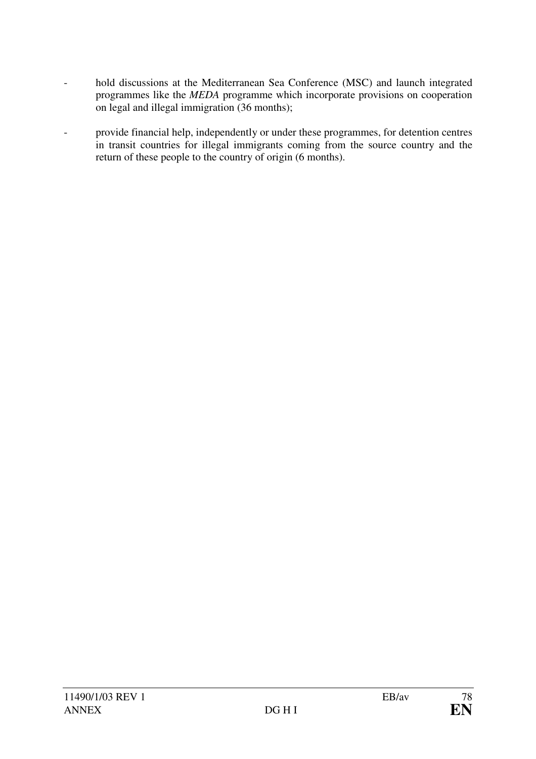- hold discussions at the Mediterranean Sea Conference (MSC) and launch integrated programmes like the *MEDA* programme which incorporate provisions on cooperation on legal and illegal immigration (36 months);
- provide financial help, independently or under these programmes, for detention centres in transit countries for illegal immigrants coming from the source country and the return of these people to the country of origin (6 months).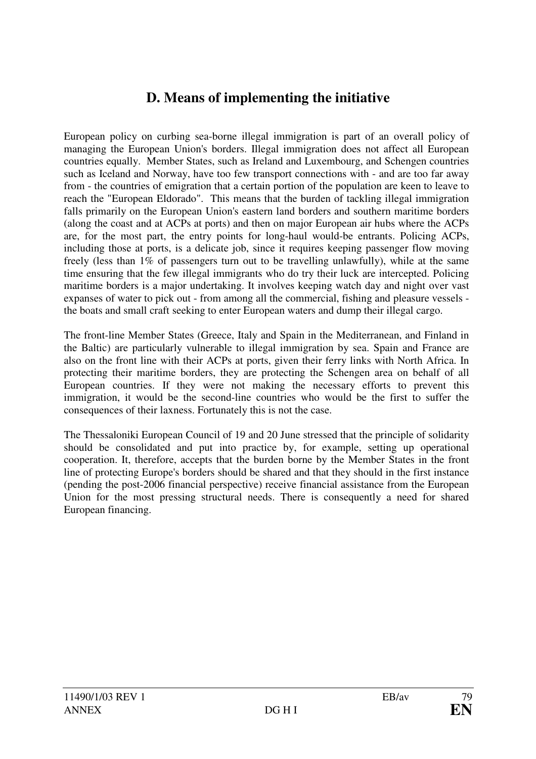# **D. Means of implementing the initiative**

European policy on curbing sea-borne illegal immigration is part of an overall policy of managing the European Union's borders. Illegal immigration does not affect all European countries equally. Member States, such as Ireland and Luxembourg, and Schengen countries such as Iceland and Norway, have too few transport connections with - and are too far away from - the countries of emigration that a certain portion of the population are keen to leave to reach the "European Eldorado". This means that the burden of tackling illegal immigration falls primarily on the European Union's eastern land borders and southern maritime borders (along the coast and at ACPs at ports) and then on major European air hubs where the ACPs are, for the most part, the entry points for long-haul would-be entrants. Policing ACPs, including those at ports, is a delicate job, since it requires keeping passenger flow moving freely (less than 1% of passengers turn out to be travelling unlawfully), while at the same time ensuring that the few illegal immigrants who do try their luck are intercepted. Policing maritime borders is a major undertaking. It involves keeping watch day and night over vast expanses of water to pick out - from among all the commercial, fishing and pleasure vessels the boats and small craft seeking to enter European waters and dump their illegal cargo.

The front-line Member States (Greece, Italy and Spain in the Mediterranean, and Finland in the Baltic) are particularly vulnerable to illegal immigration by sea. Spain and France are also on the front line with their ACPs at ports, given their ferry links with North Africa. In protecting their maritime borders, they are protecting the Schengen area on behalf of all European countries. If they were not making the necessary efforts to prevent this immigration, it would be the second-line countries who would be the first to suffer the consequences of their laxness. Fortunately this is not the case.

The Thessaloniki European Council of 19 and 20 June stressed that the principle of solidarity should be consolidated and put into practice by, for example, setting up operational cooperation. It, therefore, accepts that the burden borne by the Member States in the front line of protecting Europe's borders should be shared and that they should in the first instance (pending the post-2006 financial perspective) receive financial assistance from the European Union for the most pressing structural needs. There is consequently a need for shared European financing.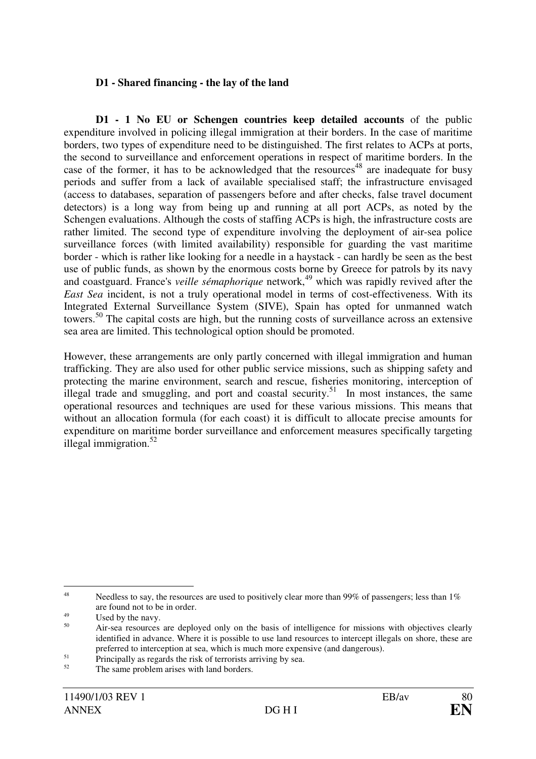#### **D1 - Shared financing - the lay of the land**

**D1 - 1 No EU or Schengen countries keep detailed accounts** of the public expenditure involved in policing illegal immigration at their borders. In the case of maritime borders, two types of expenditure need to be distinguished. The first relates to ACPs at ports, the second to surveillance and enforcement operations in respect of maritime borders. In the case of the former, it has to be acknowledged that the resources<sup>48</sup> are inadequate for busy periods and suffer from a lack of available specialised staff; the infrastructure envisaged (access to databases, separation of passengers before and after checks, false travel document detectors) is a long way from being up and running at all port ACPs, as noted by the Schengen evaluations. Although the costs of staffing ACPs is high, the infrastructure costs are rather limited. The second type of expenditure involving the deployment of air-sea police surveillance forces (with limited availability) responsible for guarding the vast maritime border - which is rather like looking for a needle in a haystack - can hardly be seen as the best use of public funds, as shown by the enormous costs borne by Greece for patrols by its navy and coastguard. France's *veille sémaphorique* network,<sup>49</sup> which was rapidly revived after the *East Sea* incident, is not a truly operational model in terms of cost-effectiveness. With its Integrated External Surveillance System (SIVE), Spain has opted for unmanned watch towers.<sup>50</sup> The capital costs are high, but the running costs of surveillance across an extensive sea area are limited. This technological option should be promoted.

However, these arrangements are only partly concerned with illegal immigration and human trafficking. They are also used for other public service missions, such as shipping safety and protecting the marine environment, search and rescue, fisheries monitoring, interception of illegal trade and smuggling, and port and coastal security.<sup>51</sup> In most instances, the same operational resources and techniques are used for these various missions. This means that without an allocation formula (for each coast) it is difficult to allocate precise amounts for expenditure on maritime border surveillance and enforcement measures specifically targeting illegal immigration. $52$ 

 $\overline{a}$ 

<sup>48</sup> Needless to say, the resources are used to positively clear more than 99% of passengers; less than 1% are found not to be in order.

<sup>49</sup> Used by the navy.

<sup>50</sup> Air-sea resources are deployed only on the basis of intelligence for missions with objectives clearly identified in advance. Where it is possible to use land resources to intercept illegals on shore, these are preferred to interception at sea, which is much more expensive (and dangerous).

<sup>51</sup> Principally as regards the risk of terrorists arriving by sea.

<sup>52</sup> The same problem arises with land borders.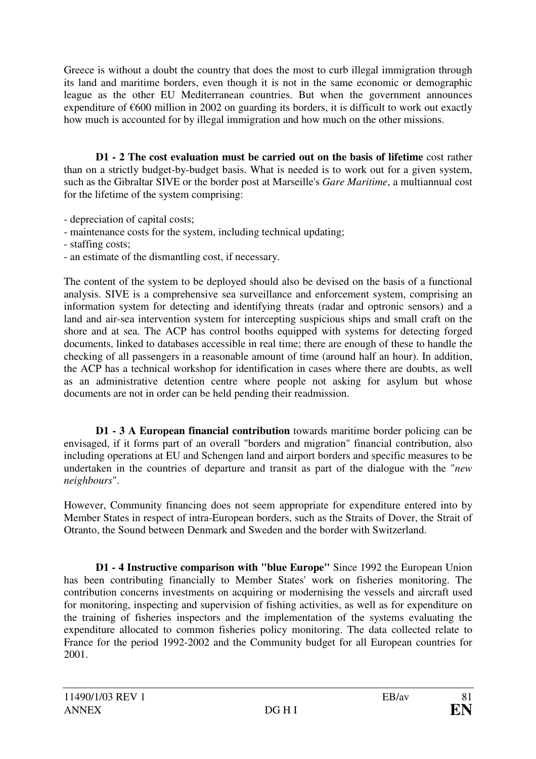Greece is without a doubt the country that does the most to curb illegal immigration through its land and maritime borders, even though it is not in the same economic or demographic league as the other EU Mediterranean countries. But when the government announces expenditure of  $\epsilon$ 600 million in 2002 on guarding its borders, it is difficult to work out exactly how much is accounted for by illegal immigration and how much on the other missions.

**D1 - 2 The cost evaluation must be carried out on the basis of lifetime** cost rather than on a strictly budget-by-budget basis. What is needed is to work out for a given system, such as the Gibraltar SIVE or the border post at Marseille's *Gare Maritime*, a multiannual cost for the lifetime of the system comprising:

- depreciation of capital costs;
- maintenance costs for the system, including technical updating;
- staffing costs;
- an estimate of the dismantling cost, if necessary.

The content of the system to be deployed should also be devised on the basis of a functional analysis. SIVE is a comprehensive sea surveillance and enforcement system, comprising an information system for detecting and identifying threats (radar and optronic sensors) and a land and air-sea intervention system for intercepting suspicious ships and small craft on the shore and at sea. The ACP has control booths equipped with systems for detecting forged documents, linked to databases accessible in real time; there are enough of these to handle the checking of all passengers in a reasonable amount of time (around half an hour). In addition, the ACP has a technical workshop for identification in cases where there are doubts, as well as an administrative detention centre where people not asking for asylum but whose documents are not in order can be held pending their readmission.

**D1 - 3 A European financial contribution** towards maritime border policing can be envisaged, if it forms part of an overall "borders and migration" financial contribution, also including operations at EU and Schengen land and airport borders and specific measures to be undertaken in the countries of departure and transit as part of the dialogue with the "*new neighbours*".

However, Community financing does not seem appropriate for expenditure entered into by Member States in respect of intra-European borders, such as the Straits of Dover, the Strait of Otranto, the Sound between Denmark and Sweden and the border with Switzerland.

**D1 - 4 Instructive comparison with "blue Europe"** Since 1992 the European Union has been contributing financially to Member States' work on fisheries monitoring. The contribution concerns investments on acquiring or modernising the vessels and aircraft used for monitoring, inspecting and supervision of fishing activities, as well as for expenditure on the training of fisheries inspectors and the implementation of the systems evaluating the expenditure allocated to common fisheries policy monitoring. The data collected relate to France for the period 1992-2002 and the Community budget for all European countries for 2001.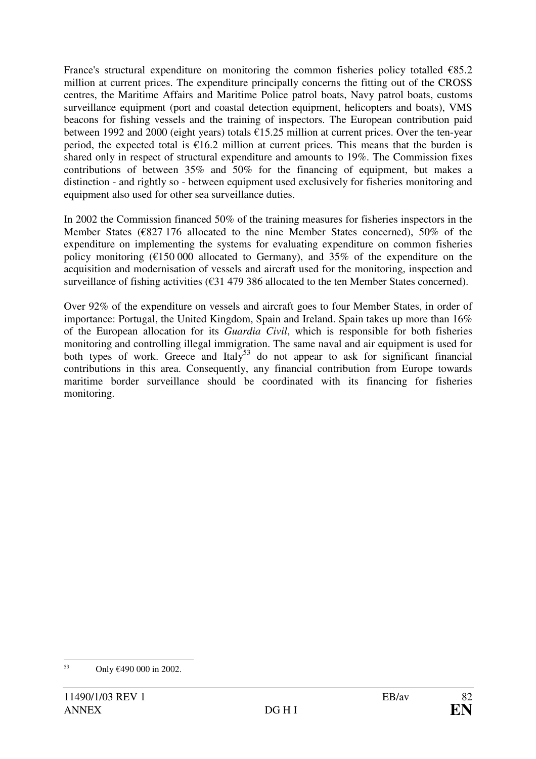France's structural expenditure on monitoring the common fisheries policy totalled  $€85.2$ million at current prices. The expenditure principally concerns the fitting out of the CROSS centres, the Maritime Affairs and Maritime Police patrol boats, Navy patrol boats, customs surveillance equipment (port and coastal detection equipment, helicopters and boats), VMS beacons for fishing vessels and the training of inspectors. The European contribution paid between 1992 and 2000 (eight years) totals €15.25 million at current prices. Over the ten-year period, the expected total is  $\epsilon$ 16.2 million at current prices. This means that the burden is shared only in respect of structural expenditure and amounts to 19%. The Commission fixes contributions of between 35% and 50% for the financing of equipment, but makes a distinction - and rightly so - between equipment used exclusively for fisheries monitoring and equipment also used for other sea surveillance duties.

In 2002 the Commission financed 50% of the training measures for fisheries inspectors in the Member States (€827 176 allocated to the nine Member States concerned), 50% of the expenditure on implementing the systems for evaluating expenditure on common fisheries policy monitoring  $(\text{\textsterling}150\,000)$  allocated to Germany), and 35% of the expenditure on the acquisition and modernisation of vessels and aircraft used for the monitoring, inspection and surveillance of fishing activities (€31 479 386 allocated to the ten Member States concerned).

Over 92% of the expenditure on vessels and aircraft goes to four Member States, in order of importance: Portugal, the United Kingdom, Spain and Ireland. Spain takes up more than 16% of the European allocation for its *Guardia Civil*, which is responsible for both fisheries monitoring and controlling illegal immigration. The same naval and air equipment is used for both types of work. Greece and Italy<sup>53</sup> do not appear to ask for significant financial contributions in this area. Consequently, any financial contribution from Europe towards maritime border surveillance should be coordinated with its financing for fisheries monitoring.

 53 Only €490 000 in 2002.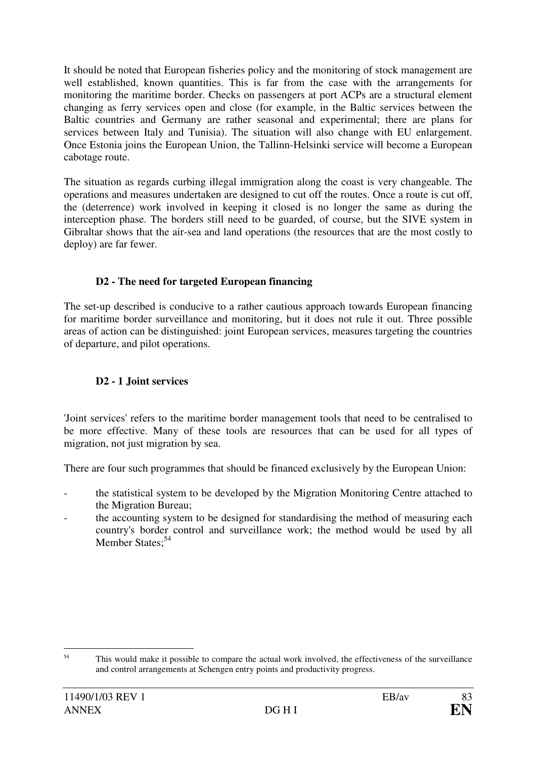It should be noted that European fisheries policy and the monitoring of stock management are well established, known quantities. This is far from the case with the arrangements for monitoring the maritime border. Checks on passengers at port ACPs are a structural element changing as ferry services open and close (for example, in the Baltic services between the Baltic countries and Germany are rather seasonal and experimental; there are plans for services between Italy and Tunisia). The situation will also change with EU enlargement. Once Estonia joins the European Union, the Tallinn-Helsinki service will become a European cabotage route.

The situation as regards curbing illegal immigration along the coast is very changeable. The operations and measures undertaken are designed to cut off the routes. Once a route is cut off, the (deterrence) work involved in keeping it closed is no longer the same as during the interception phase. The borders still need to be guarded, of course, but the SIVE system in Gibraltar shows that the air-sea and land operations (the resources that are the most costly to deploy) are far fewer.

### **D2 - The need for targeted European financing**

The set-up described is conducive to a rather cautious approach towards European financing for maritime border surveillance and monitoring, but it does not rule it out. Three possible areas of action can be distinguished: joint European services, measures targeting the countries of departure, and pilot operations.

### **D2 - 1 Joint services**

'Joint services' refers to the maritime border management tools that need to be centralised to be more effective. Many of these tools are resources that can be used for all types of migration, not just migration by sea.

There are four such programmes that should be financed exclusively by the European Union:

- the statistical system to be developed by the Migration Monitoring Centre attached to the Migration Bureau;
- the accounting system to be designed for standardising the method of measuring each country's border control and surveillance work; the method would be used by all Member States;<sup>54</sup>

 54 This would make it possible to compare the actual work involved, the effectiveness of the surveillance and control arrangements at Schengen entry points and productivity progress.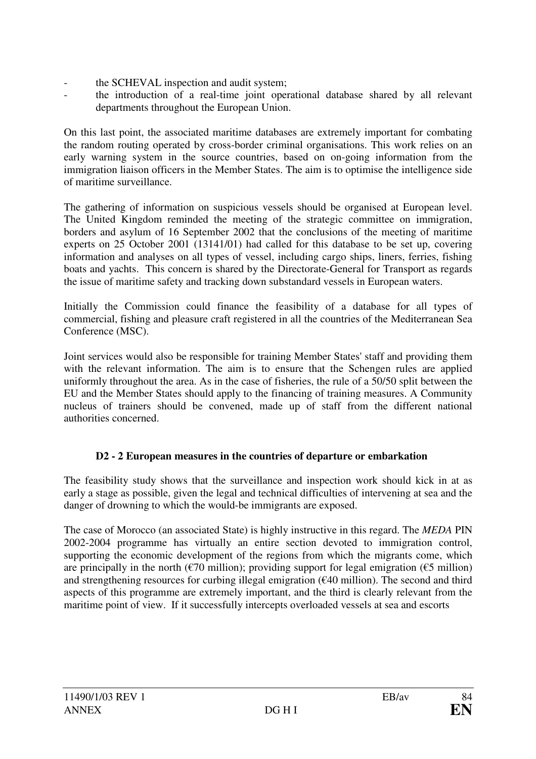- the SCHEVAL inspection and audit system;
- the introduction of a real-time joint operational database shared by all relevant departments throughout the European Union.

On this last point, the associated maritime databases are extremely important for combating the random routing operated by cross-border criminal organisations. This work relies on an early warning system in the source countries, based on on-going information from the immigration liaison officers in the Member States. The aim is to optimise the intelligence side of maritime surveillance.

The gathering of information on suspicious vessels should be organised at European level. The United Kingdom reminded the meeting of the strategic committee on immigration, borders and asylum of 16 September 2002 that the conclusions of the meeting of maritime experts on 25 October 2001 (13141/01) had called for this database to be set up, covering information and analyses on all types of vessel, including cargo ships, liners, ferries, fishing boats and yachts. This concern is shared by the Directorate-General for Transport as regards the issue of maritime safety and tracking down substandard vessels in European waters.

Initially the Commission could finance the feasibility of a database for all types of commercial, fishing and pleasure craft registered in all the countries of the Mediterranean Sea Conference (MSC).

Joint services would also be responsible for training Member States' staff and providing them with the relevant information. The aim is to ensure that the Schengen rules are applied uniformly throughout the area. As in the case of fisheries, the rule of a 50/50 split between the EU and the Member States should apply to the financing of training measures. A Community nucleus of trainers should be convened, made up of staff from the different national authorities concerned.

### **D2 - 2 European measures in the countries of departure or embarkation**

The feasibility study shows that the surveillance and inspection work should kick in at as early a stage as possible, given the legal and technical difficulties of intervening at sea and the danger of drowning to which the would-be immigrants are exposed.

The case of Morocco (an associated State) is highly instructive in this regard. The *MEDA* PIN 2002-2004 programme has virtually an entire section devoted to immigration control, supporting the economic development of the regions from which the migrants come, which are principally in the north ( $\epsilon$ 70 million); providing support for legal emigration ( $\epsilon$ 5 million) and strengthening resources for curbing illegal emigration ( $\epsilon$ 40 million). The second and third aspects of this programme are extremely important, and the third is clearly relevant from the maritime point of view. If it successfully intercepts overloaded vessels at sea and escorts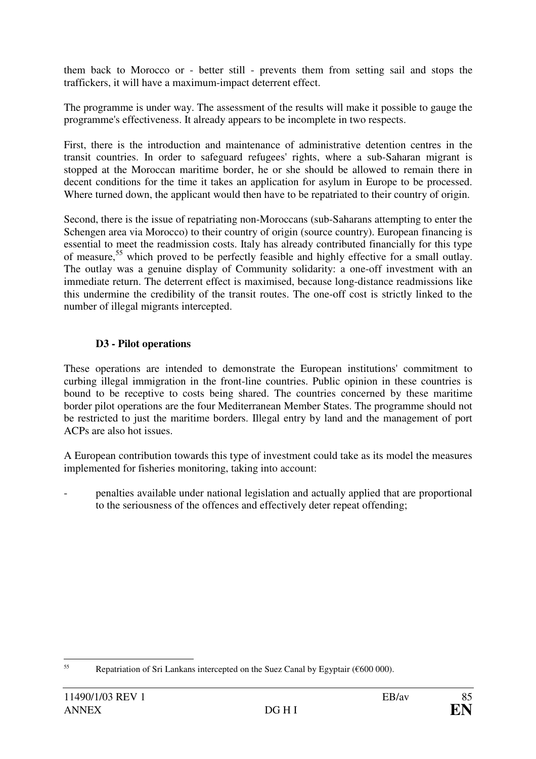them back to Morocco or - better still - prevents them from setting sail and stops the traffickers, it will have a maximum-impact deterrent effect.

The programme is under way. The assessment of the results will make it possible to gauge the programme's effectiveness. It already appears to be incomplete in two respects.

First, there is the introduction and maintenance of administrative detention centres in the transit countries. In order to safeguard refugees' rights, where a sub-Saharan migrant is stopped at the Moroccan maritime border, he or she should be allowed to remain there in decent conditions for the time it takes an application for asylum in Europe to be processed. Where turned down, the applicant would then have to be repatriated to their country of origin.

Second, there is the issue of repatriating non-Moroccans (sub-Saharans attempting to enter the Schengen area via Morocco) to their country of origin (source country). European financing is essential to meet the readmission costs. Italy has already contributed financially for this type of measure,<sup>55</sup> which proved to be perfectly feasible and highly effective for a small outlay. The outlay was a genuine display of Community solidarity: a one-off investment with an immediate return. The deterrent effect is maximised, because long-distance readmissions like this undermine the credibility of the transit routes. The one-off cost is strictly linked to the number of illegal migrants intercepted.

#### **D3 - Pilot operations**

These operations are intended to demonstrate the European institutions' commitment to curbing illegal immigration in the front-line countries. Public opinion in these countries is bound to be receptive to costs being shared. The countries concerned by these maritime border pilot operations are the four Mediterranean Member States. The programme should not be restricted to just the maritime borders. Illegal entry by land and the management of port ACPs are also hot issues.

A European contribution towards this type of investment could take as its model the measures implemented for fisheries monitoring, taking into account:

- penalties available under national legislation and actually applied that are proportional to the seriousness of the offences and effectively deter repeat offending;

 55 Repatriation of Sri Lankans intercepted on the Suez Canal by Egyptair (€600 000).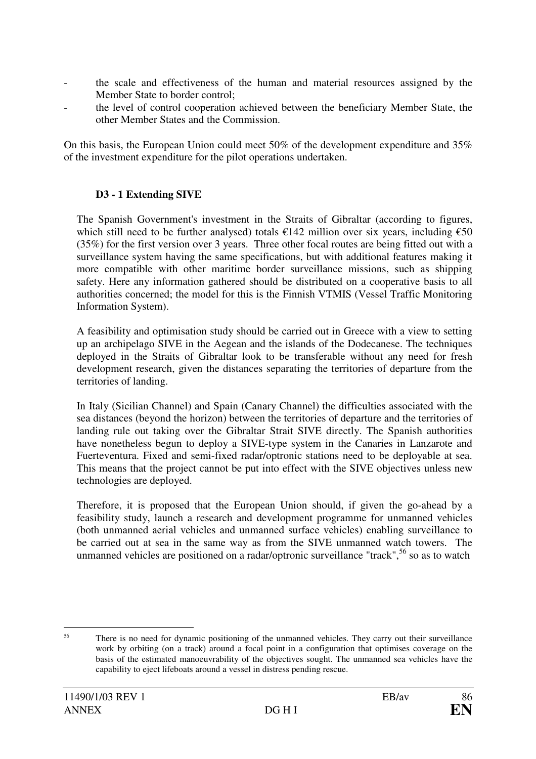- the scale and effectiveness of the human and material resources assigned by the Member State to border control;
- the level of control cooperation achieved between the beneficiary Member State, the other Member States and the Commission.

On this basis, the European Union could meet 50% of the development expenditure and 35% of the investment expenditure for the pilot operations undertaken.

#### **D3 - 1 Extending SIVE**

The Spanish Government's investment in the Straits of Gibraltar (according to figures, which still need to be further analysed) totals  $\epsilon$ 142 million over six years, including  $\epsilon$ 50 (35%) for the first version over 3 years. Three other focal routes are being fitted out with a surveillance system having the same specifications, but with additional features making it more compatible with other maritime border surveillance missions, such as shipping safety. Here any information gathered should be distributed on a cooperative basis to all authorities concerned; the model for this is the Finnish VTMIS (Vessel Traffic Monitoring Information System).

A feasibility and optimisation study should be carried out in Greece with a view to setting up an archipelago SIVE in the Aegean and the islands of the Dodecanese. The techniques deployed in the Straits of Gibraltar look to be transferable without any need for fresh development research, given the distances separating the territories of departure from the territories of landing.

In Italy (Sicilian Channel) and Spain (Canary Channel) the difficulties associated with the sea distances (beyond the horizon) between the territories of departure and the territories of landing rule out taking over the Gibraltar Strait SIVE directly. The Spanish authorities have nonetheless begun to deploy a SIVE-type system in the Canaries in Lanzarote and Fuerteventura. Fixed and semi-fixed radar/optronic stations need to be deployable at sea. This means that the project cannot be put into effect with the SIVE objectives unless new technologies are deployed.

Therefore, it is proposed that the European Union should, if given the go-ahead by a feasibility study, launch a research and development programme for unmanned vehicles (both unmanned aerial vehicles and unmanned surface vehicles) enabling surveillance to be carried out at sea in the same way as from the SIVE unmanned watch towers. The unmanned vehicles are positioned on a radar/optronic surveillance "track",<sup>56</sup> so as to watch

 56 There is no need for dynamic positioning of the unmanned vehicles. They carry out their surveillance work by orbiting (on a track) around a focal point in a configuration that optimises coverage on the basis of the estimated manoeuvrability of the objectives sought. The unmanned sea vehicles have the capability to eject lifeboats around a vessel in distress pending rescue.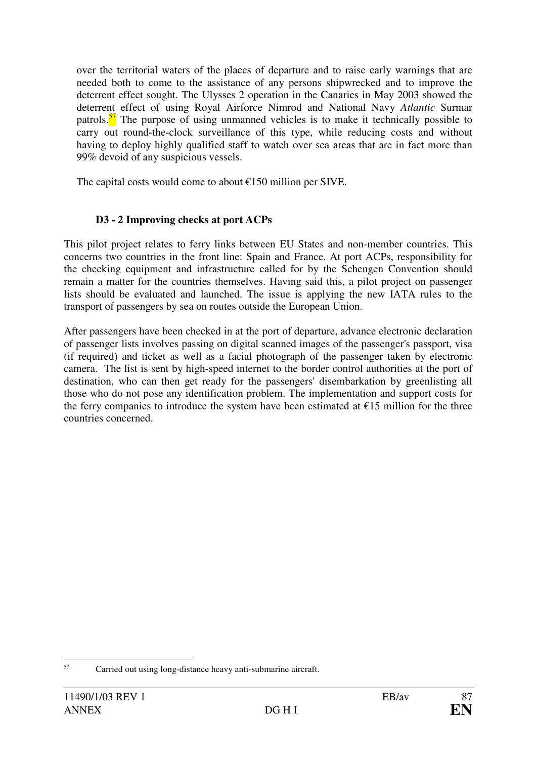over the territorial waters of the places of departure and to raise early warnings that are needed both to come to the assistance of any persons shipwrecked and to improve the deterrent effect sought. The Ulysses 2 operation in the Canaries in May 2003 showed the deterrent effect of using Royal Airforce Nimrod and National Navy *Atlantic* Surmar patrols. $\frac{57}{1}$  The purpose of using unmanned vehicles is to make it technically possible to carry out round-the-clock surveillance of this type, while reducing costs and without having to deploy highly qualified staff to watch over sea areas that are in fact more than 99% devoid of any suspicious vessels.

The capital costs would come to about  $£150$  million per SIVE.

#### **D3 - 2 Improving checks at port ACPs**

This pilot project relates to ferry links between EU States and non-member countries. This concerns two countries in the front line: Spain and France. At port ACPs, responsibility for the checking equipment and infrastructure called for by the Schengen Convention should remain a matter for the countries themselves. Having said this, a pilot project on passenger lists should be evaluated and launched. The issue is applying the new IATA rules to the transport of passengers by sea on routes outside the European Union.

After passengers have been checked in at the port of departure, advance electronic declaration of passenger lists involves passing on digital scanned images of the passenger's passport, visa (if required) and ticket as well as a facial photograph of the passenger taken by electronic camera. The list is sent by high-speed internet to the border control authorities at the port of destination, who can then get ready for the passengers' disembarkation by greenlisting all those who do not pose any identification problem. The implementation and support costs for the ferry companies to introduce the system have been estimated at  $E15$  million for the three countries concerned.

 57 Carried out using long-distance heavy anti-submarine aircraft.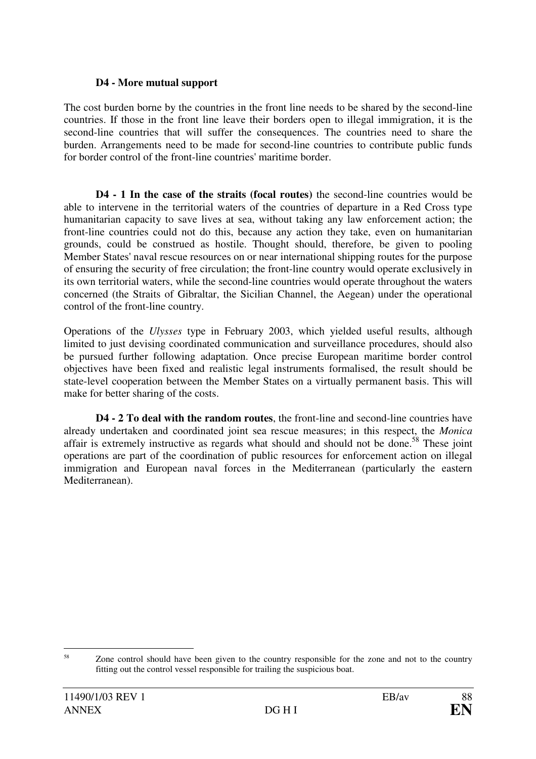#### **D4 - More mutual support**

The cost burden borne by the countries in the front line needs to be shared by the second-line countries. If those in the front line leave their borders open to illegal immigration, it is the second-line countries that will suffer the consequences. The countries need to share the burden. Arrangements need to be made for second-line countries to contribute public funds for border control of the front-line countries' maritime border.

**D4 - 1 In the case of the straits (focal routes)** the second-line countries would be able to intervene in the territorial waters of the countries of departure in a Red Cross type humanitarian capacity to save lives at sea, without taking any law enforcement action; the front-line countries could not do this, because any action they take, even on humanitarian grounds, could be construed as hostile. Thought should, therefore, be given to pooling Member States' naval rescue resources on or near international shipping routes for the purpose of ensuring the security of free circulation; the front-line country would operate exclusively in its own territorial waters, while the second-line countries would operate throughout the waters concerned (the Straits of Gibraltar, the Sicilian Channel, the Aegean) under the operational control of the front-line country.

Operations of the *Ulysses* type in February 2003, which yielded useful results, although limited to just devising coordinated communication and surveillance procedures, should also be pursued further following adaptation. Once precise European maritime border control objectives have been fixed and realistic legal instruments formalised, the result should be state-level cooperation between the Member States on a virtually permanent basis. This will make for better sharing of the costs.

**D4 - 2 To deal with the random routes**, the front-line and second-line countries have already undertaken and coordinated joint sea rescue measures; in this respect, the *Monica* affair is extremely instructive as regards what should and should not be done.<sup>58</sup> These joint operations are part of the coordination of public resources for enforcement action on illegal immigration and European naval forces in the Mediterranean (particularly the eastern Mediterranean).

 58 Zone control should have been given to the country responsible for the zone and not to the country fitting out the control vessel responsible for trailing the suspicious boat.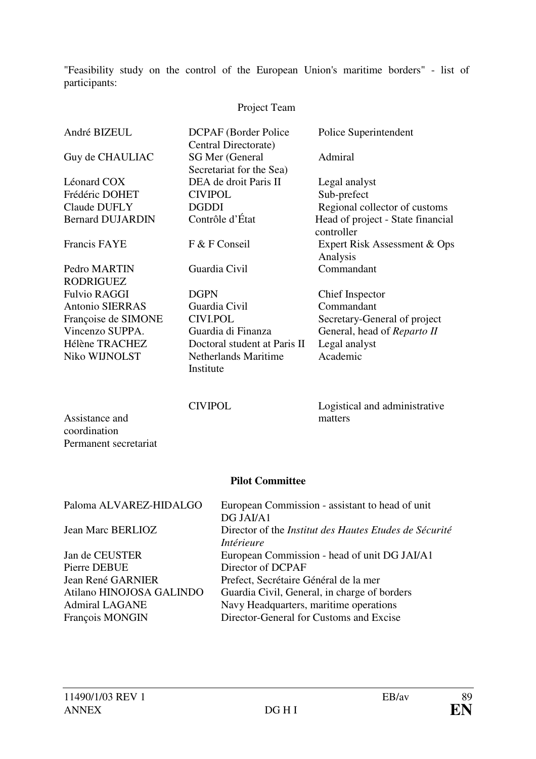"Feasibility study on the control of the European Union's maritime borders" - list of participants:

# Project Team

| André BIZEUL            | <b>DCPAF</b> (Border Police)<br>Central Directorate) | Police Superintendent                           |
|-------------------------|------------------------------------------------------|-------------------------------------------------|
| Guy de CHAULIAC         | SG Mer (General<br>Secretariat for the Sea)          | Admiral                                         |
| Léonard COX             | DEA de droit Paris II                                | Legal analyst                                   |
| Frédéric DOHET          | <b>CIVIPOL</b>                                       | Sub-prefect                                     |
| Claude DUFLY            | <b>DGDDI</b>                                         | Regional collector of customs                   |
| <b>Bernard DUJARDIN</b> | Contrôle d'État                                      | Head of project - State financial<br>controller |
| <b>Francis FAYE</b>     | F & F Conseil                                        | Expert Risk Assessment & Ops<br>Analysis        |
| Pedro MARTIN            | Guardia Civil                                        | Commandant                                      |
| <b>RODRIGUEZ</b>        |                                                      |                                                 |
| <b>Fulvio RAGGI</b>     | <b>DGPN</b>                                          | Chief Inspector                                 |
| <b>Antonio SIERRAS</b>  | Guardia Civil                                        | Commandant                                      |
| Françoise de SIMONE     | <b>CIVI.POL</b>                                      | Secretary-General of project                    |
| Vincenzo SUPPA.         | Guardia di Finanza                                   | General, head of Reparto II                     |
| Hélène TRACHEZ          | Doctoral student at Paris II                         | Legal analyst                                   |
| Niko WIJNOLST           | Netherlands Maritime<br>Institute                    | Academic                                        |

CIVIPOL Logistical and administrative matters

#### **Pilot Committee**

| Paloma ALVAREZ-HIDALGO   | European Commission - assistant to head of unit               |
|--------------------------|---------------------------------------------------------------|
|                          | DG JAI/A1                                                     |
| Jean Marc BERLIOZ        | Director of the <i>Institut des Hautes Etudes de Sécurité</i> |
|                          | Intérieure                                                    |
| Jan de CEUSTER           | European Commission - head of unit DG JAI/A1                  |
| Pierre DEBUE             | Director of DCPAF                                             |
| Jean René GARNIER        | Prefect, Secrétaire Général de la mer                         |
| Atilano HINOJOSA GALINDO | Guardia Civil, General, in charge of borders                  |
| <b>Admiral LAGANE</b>    | Navy Headquarters, maritime operations                        |
| François MONGIN          | Director-General for Customs and Excise                       |

Assistance and coordination

Permanent secretariat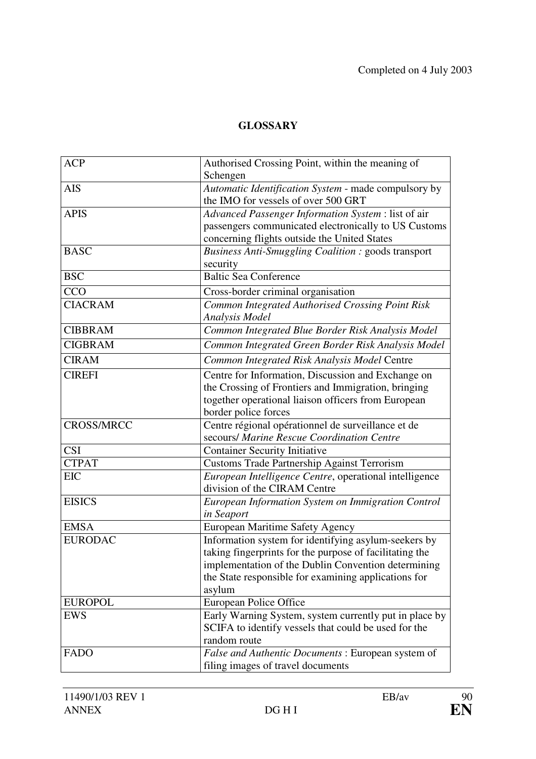# **GLOSSARY**

| <b>ACP</b>        | Authorised Crossing Point, within the meaning of        |
|-------------------|---------------------------------------------------------|
|                   | Schengen                                                |
| <b>AIS</b>        | Automatic Identification System - made compulsory by    |
|                   | the IMO for vessels of over 500 GRT                     |
| <b>APIS</b>       | Advanced Passenger Information System : list of air     |
|                   | passengers communicated electronically to US Customs    |
|                   | concerning flights outside the United States            |
| <b>BASC</b>       | Business Anti-Smuggling Coalition : goods transport     |
|                   | security                                                |
| <b>BSC</b>        | <b>Baltic Sea Conference</b>                            |
| CCO               | Cross-border criminal organisation                      |
| <b>CIACRAM</b>    | Common Integrated Authorised Crossing Point Risk        |
|                   | <b>Analysis Model</b>                                   |
| <b>CIBBRAM</b>    | Common Integrated Blue Border Risk Analysis Model       |
| <b>CIGBRAM</b>    | Common Integrated Green Border Risk Analysis Model      |
| <b>CIRAM</b>      | Common Integrated Risk Analysis Model Centre            |
| <b>CIREFI</b>     | Centre for Information, Discussion and Exchange on      |
|                   | the Crossing of Frontiers and Immigration, bringing     |
|                   | together operational liaison officers from European     |
|                   | border police forces                                    |
| <b>CROSS/MRCC</b> | Centre régional opérationnel de surveillance et de      |
|                   | secours/ Marine Rescue Coordination Centre              |
| <b>CSI</b>        | <b>Container Security Initiative</b>                    |
| <b>CTPAT</b>      | Customs Trade Partnership Against Terrorism             |
| <b>EIC</b>        | European Intelligence Centre, operational intelligence  |
|                   | division of the CIRAM Centre                            |
| <b>EISICS</b>     | European Information System on Immigration Control      |
|                   | in Seaport                                              |
| <b>EMSA</b>       | European Maritime Safety Agency                         |
| <b>EURODAC</b>    | Information system for identifying asylum-seekers by    |
|                   | taking fingerprints for the purpose of facilitating the |
|                   | implementation of the Dublin Convention determining     |
|                   | the State responsible for examining applications for    |
|                   | asylum                                                  |
| <b>EUROPOL</b>    | <b>European Police Office</b>                           |
| <b>EWS</b>        | Early Warning System, system currently put in place by  |
|                   | SCIFA to identify vessels that could be used for the    |
|                   | random route                                            |
| <b>FADO</b>       | False and Authentic Documents: European system of       |
|                   | filing images of travel documents                       |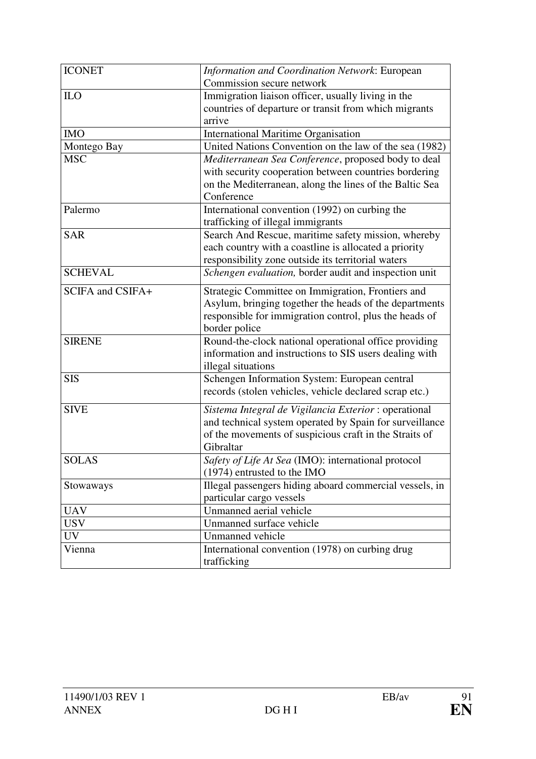| <b>ICONET</b>    | Information and Coordination Network: European<br>Commission secure network                                                                                                             |  |
|------------------|-----------------------------------------------------------------------------------------------------------------------------------------------------------------------------------------|--|
| ILO              | Immigration liaison officer, usually living in the<br>countries of departure or transit from which migrants<br>arrive                                                                   |  |
| <b>IMO</b>       | <b>International Maritime Organisation</b>                                                                                                                                              |  |
| Montego Bay      | United Nations Convention on the law of the sea (1982)                                                                                                                                  |  |
| <b>MSC</b>       | Mediterranean Sea Conference, proposed body to deal<br>with security cooperation between countries bordering<br>on the Mediterranean, along the lines of the Baltic Sea<br>Conference   |  |
| Palermo          | International convention (1992) on curbing the<br>trafficking of illegal immigrants                                                                                                     |  |
| <b>SAR</b>       | Search And Rescue, maritime safety mission, whereby<br>each country with a coastline is allocated a priority<br>responsibility zone outside its territorial waters                      |  |
| <b>SCHEVAL</b>   | Schengen evaluation, border audit and inspection unit                                                                                                                                   |  |
| SCIFA and CSIFA+ | Strategic Committee on Immigration, Frontiers and<br>Asylum, bringing together the heads of the departments<br>responsible for immigration control, plus the heads of<br>border police  |  |
| <b>SIRENE</b>    | Round-the-clock national operational office providing<br>information and instructions to SIS users dealing with<br>illegal situations                                                   |  |
| <b>SIS</b>       | Schengen Information System: European central<br>records (stolen vehicles, vehicle declared scrap etc.)                                                                                 |  |
| <b>SIVE</b>      | Sistema Integral de Vigilancia Exterior : operational<br>and technical system operated by Spain for surveillance<br>of the movements of suspicious craft in the Straits of<br>Gibraltar |  |
| <b>SOLAS</b>     | Safety of Life At Sea (IMO): international protocol<br>$(1974)$ entrusted to the IMO                                                                                                    |  |
| Stowaways        | Illegal passengers hiding aboard commercial vessels, in<br>particular cargo vessels                                                                                                     |  |
| <b>UAV</b>       | Unmanned aerial vehicle                                                                                                                                                                 |  |
| <b>USV</b>       | Unmanned surface vehicle                                                                                                                                                                |  |
| <b>UV</b>        | Unmanned vehicle                                                                                                                                                                        |  |
| Vienna           | International convention (1978) on curbing drug<br>trafficking                                                                                                                          |  |